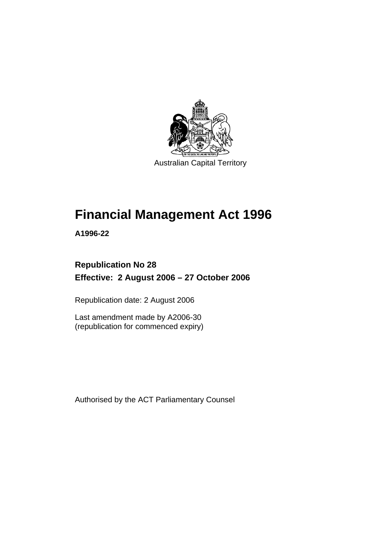

Australian Capital Territory

# **Financial Management Act 1996**

**A1996-22** 

# **Republication No 28 Effective: 2 August 2006 – 27 October 2006**

Republication date: 2 August 2006

Last amendment made by A2006-30 (republication for commenced expiry)

Authorised by the ACT Parliamentary Counsel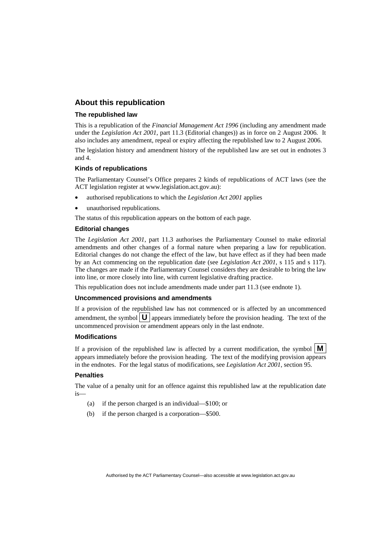#### **About this republication**

#### **The republished law**

This is a republication of the *Financial Management Act 1996* (including any amendment made under the *Legislation Act 2001*, part 11.3 (Editorial changes)) as in force on 2 August 2006*.* It also includes any amendment, repeal or expiry affecting the republished law to 2 August 2006.

The legislation history and amendment history of the republished law are set out in endnotes 3 and 4.

#### **Kinds of republications**

The Parliamentary Counsel's Office prepares 2 kinds of republications of ACT laws (see the ACT legislation register at www.legislation.act.gov.au):

- authorised republications to which the *Legislation Act 2001* applies
- unauthorised republications.

The status of this republication appears on the bottom of each page.

#### **Editorial changes**

The *Legislation Act 2001*, part 11.3 authorises the Parliamentary Counsel to make editorial amendments and other changes of a formal nature when preparing a law for republication. Editorial changes do not change the effect of the law, but have effect as if they had been made by an Act commencing on the republication date (see *Legislation Act 2001*, s 115 and s 117). The changes are made if the Parliamentary Counsel considers they are desirable to bring the law into line, or more closely into line, with current legislative drafting practice.

This republication does not include amendments made under part 11.3 (see endnote 1).

#### **Uncommenced provisions and amendments**

If a provision of the republished law has not commenced or is affected by an uncommenced amendment, the symbol  $\mathbf{U}$  appears immediately before the provision heading. The text of the uncommenced provision or amendment appears only in the last endnote.

#### **Modifications**

If a provision of the republished law is affected by a current modification, the symbol  $\mathbf{M}$ appears immediately before the provision heading. The text of the modifying provision appears in the endnotes. For the legal status of modifications, see *Legislation Act 2001*, section 95.

#### **Penalties**

The value of a penalty unit for an offence against this republished law at the republication date is—

- (a) if the person charged is an individual—\$100; or
- (b) if the person charged is a corporation—\$500.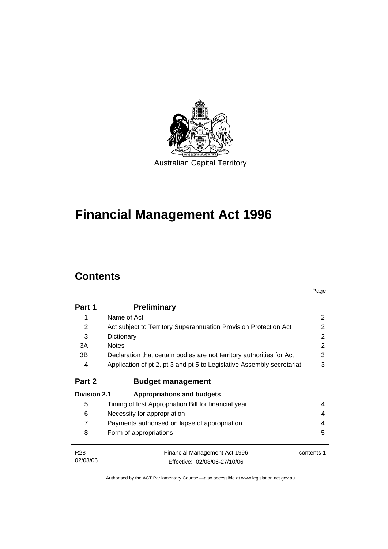

# **Financial Management Act 1996**

### **Contents**

|                     |                                                                        | Page       |
|---------------------|------------------------------------------------------------------------|------------|
| Part 1              | <b>Preliminary</b>                                                     |            |
| 1                   | Name of Act                                                            | 2          |
| 2                   | Act subject to Territory Superannuation Provision Protection Act       | 2          |
| 3                   | Dictionary                                                             | 2          |
| 3A                  | <b>Notes</b>                                                           | 2          |
| 3B                  | Declaration that certain bodies are not territory authorities for Act  | 3          |
| 4                   | Application of pt 2, pt 3 and pt 5 to Legislative Assembly secretariat | 3          |
| Part 2              | <b>Budget management</b>                                               |            |
| <b>Division 2.1</b> | <b>Appropriations and budgets</b>                                      |            |
| 5                   | Timing of first Appropriation Bill for financial year                  | 4          |
| 6                   | Necessity for appropriation                                            | 4          |
| 7                   | Payments authorised on lapse of appropriation                          | 4          |
| 8                   | Form of appropriations                                                 | 5          |
| R <sub>28</sub>     | <b>Financial Management Act 1996</b>                                   | contents 1 |
| 02/08/06            | Effective: 02/08/06-27/10/06                                           |            |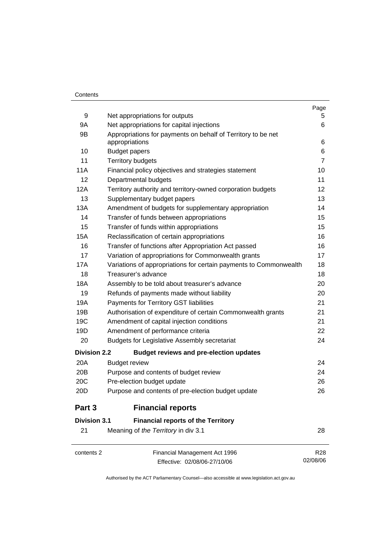#### **Contents**

|                     |                                                                                | Page            |
|---------------------|--------------------------------------------------------------------------------|-----------------|
| 9                   | Net appropriations for outputs                                                 | 5               |
| 9A                  | Net appropriations for capital injections                                      | 6               |
| 9B                  | Appropriations for payments on behalf of Territory to be net<br>appropriations | 6               |
| 10                  | <b>Budget papers</b>                                                           | 6               |
| 11                  | <b>Territory budgets</b>                                                       | $\overline{7}$  |
| 11A                 | Financial policy objectives and strategies statement                           | 10              |
| 12                  | Departmental budgets                                                           | 11              |
| 12A                 | Territory authority and territory-owned corporation budgets                    | 12              |
| 13                  | Supplementary budget papers                                                    | 13              |
| 13A                 | Amendment of budgets for supplementary appropriation                           | 14              |
| 14                  | Transfer of funds between appropriations                                       | 15              |
| 15                  | Transfer of funds within appropriations                                        | 15              |
| 15A                 | Reclassification of certain appropriations                                     | 16              |
| 16                  | Transfer of functions after Appropriation Act passed                           | 16              |
| 17                  | Variation of appropriations for Commonwealth grants                            | 17              |
| 17A                 | Variations of appropriations for certain payments to Commonwealth              | 18              |
| 18                  | Treasurer's advance                                                            | 18              |
| 18A                 | Assembly to be told about treasurer's advance                                  | 20              |
| 19                  | Refunds of payments made without liability                                     | 20              |
| 19A                 | Payments for Territory GST liabilities                                         | 21              |
| 19B                 | Authorisation of expenditure of certain Commonwealth grants                    | 21              |
| 19C                 | Amendment of capital injection conditions                                      | 21              |
| 19D                 | Amendment of performance criteria                                              | 22              |
| 20                  | <b>Budgets for Legislative Assembly secretariat</b>                            | 24              |
| <b>Division 2.2</b> | <b>Budget reviews and pre-election updates</b>                                 |                 |
| 20A                 | <b>Budget review</b>                                                           | 24              |
| 20 <sub>B</sub>     | Purpose and contents of budget review                                          | 24              |
| 20C                 | Pre-election budget update                                                     | 26              |
| 20D                 | Purpose and contents of pre-election budget update                             | 26              |
| Part 3              | <b>Financial reports</b>                                                       |                 |
| <b>Division 3.1</b> | <b>Financial reports of the Territory</b>                                      |                 |
| 21                  | Meaning of the Territory in div 3.1                                            | 28              |
| contents 2          | Financial Management Act 1996                                                  | R <sub>28</sub> |
|                     | Effective: 02/08/06-27/10/06                                                   | 02/08/06        |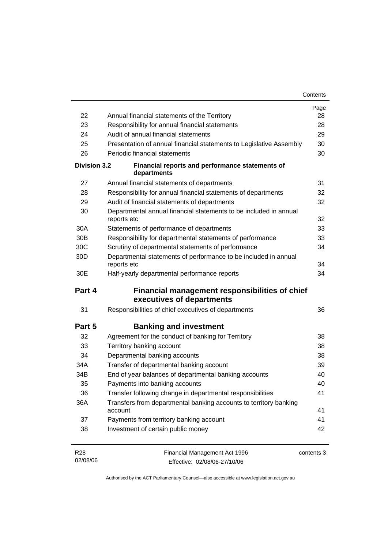| 22                  | Annual financial statements of the Territory                                       | Page<br>28 |
|---------------------|------------------------------------------------------------------------------------|------------|
| 23                  | Responsibility for annual financial statements                                     | 28         |
| 24                  | Audit of annual financial statements                                               | 29         |
| 25                  | Presentation of annual financial statements to Legislative Assembly                | 30         |
| 26                  | Periodic financial statements                                                      | 30         |
| <b>Division 3.2</b> | Financial reports and performance statements of<br>departments                     |            |
| 27                  | Annual financial statements of departments                                         | 31         |
| 28                  | Responsibility for annual financial statements of departments                      | 32         |
| 29                  | Audit of financial statements of departments                                       | 32         |
| 30                  | Departmental annual financial statements to be included in annual<br>reports etc   | 32         |
| 30A                 | Statements of performance of departments                                           | 33         |
| 30 <sub>B</sub>     | Responsibility for departmental statements of performance                          | 33         |
| 30C                 | Scrutiny of departmental statements of performance                                 | 34         |
| 30D                 | Departmental statements of performance to be included in annual<br>reports etc     | 34         |
| 30E                 | Half-yearly departmental performance reports                                       | 34         |
| Part 4              | <b>Financial management responsibilities of chief</b><br>executives of departments |            |
| 31                  | Responsibilities of chief executives of departments                                | 36         |
| Part 5              | <b>Banking and investment</b>                                                      |            |
| 32                  | Agreement for the conduct of banking for Territory                                 | 38         |
| 33                  | Territory banking account                                                          | 38         |
| 34                  | Departmental banking accounts                                                      | 38         |
| 34A                 | Transfer of departmental banking account                                           | 39         |
| 34B                 | End of year balances of departmental banking accounts                              | 40         |
| 35                  | Payments into banking accounts                                                     | 40         |
| 36                  | Transfer following change in departmental responsibilities                         | 41         |
|                     | Transfers from departmental banking accounts to territory banking                  | 41         |
| 36A                 | account                                                                            |            |
| 37                  | Payments from territory banking account                                            | 41         |

| R28      | Financial Management Act 1996 | contents 3 |
|----------|-------------------------------|------------|
| 02/08/06 | Effective: 02/08/06-27/10/06  |            |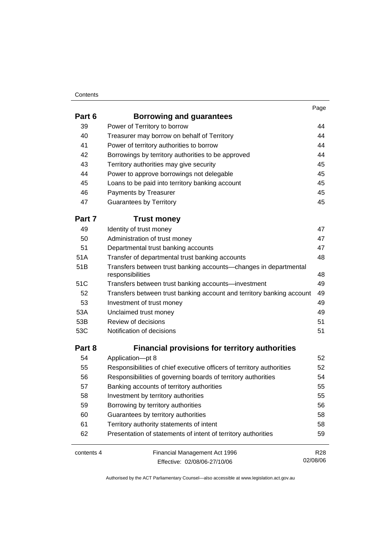#### **Contents**

| Part 6     | <b>Borrowing and guarantees</b>                                                      |                 |
|------------|--------------------------------------------------------------------------------------|-----------------|
| 39         | Power of Territory to borrow                                                         | 44              |
| 40         | Treasurer may borrow on behalf of Territory                                          | 44              |
| 41         | Power of territory authorities to borrow                                             | 44              |
| 42         | Borrowings by territory authorities to be approved                                   | 44              |
| 43         | Territory authorities may give security                                              | 45              |
| 44         | Power to approve borrowings not delegable                                            | 45              |
| 45         | Loans to be paid into territory banking account                                      | 45              |
| 46         | Payments by Treasurer                                                                | 45              |
| 47         | <b>Guarantees by Territory</b>                                                       | 45              |
| Part 7     | <b>Trust money</b>                                                                   |                 |
| 49         | Identity of trust money                                                              | 47              |
| 50         | Administration of trust money                                                        | 47              |
| 51         | Departmental trust banking accounts                                                  | 47              |
| 51A        | Transfer of departmental trust banking accounts                                      | 48              |
| 51B        | Transfers between trust banking accounts-changes in departmental<br>responsibilities | 48              |
| 51C        | Transfers between trust banking accounts-investment                                  | 49              |
| 52         | Transfers between trust banking account and territory banking account                | 49              |
| 53         | Investment of trust money                                                            | 49              |
| 53A        | Unclaimed trust money                                                                | 49              |
| 53B        | Review of decisions                                                                  | 51              |
| 53C        | Notification of decisions                                                            | 51              |
| Part 8     | <b>Financial provisions for territory authorities</b>                                |                 |
| 54         | Application-pt 8                                                                     | 52              |
| 55         | Responsibilities of chief executive officers of territory authorities                | 52              |
| 56         | Responsibilities of governing boards of territory authorities                        | 54              |
| 57         | Banking accounts of territory authorities                                            | 55              |
| 58         | Investment by territory authorities                                                  | 55              |
| 59         | Borrowing by territory authorities                                                   | 56              |
| 60         | Guarantees by territory authorities                                                  | 58              |
| 61         | Territory authority statements of intent                                             | 58              |
| 62         | Presentation of statements of intent of territory authorities                        | 59              |
| contents 4 | Financial Management Act 1996                                                        | R <sub>28</sub> |
|            | Effective: 02/08/06-27/10/06                                                         | 02/08/06        |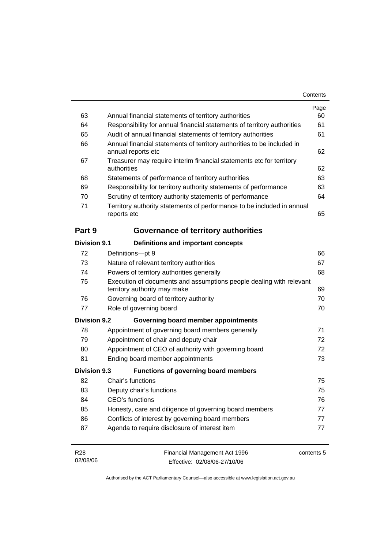|                     |                                                                                                     | Page |
|---------------------|-----------------------------------------------------------------------------------------------------|------|
| 63                  | Annual financial statements of territory authorities                                                | 60   |
| 64                  | Responsibility for annual financial statements of territory authorities                             | 61   |
| 65                  | Audit of annual financial statements of territory authorities                                       | 61   |
| 66                  | Annual financial statements of territory authorities to be included in<br>annual reports etc        | 62   |
| 67                  | Treasurer may require interim financial statements etc for territory<br>authorities                 | 62   |
| 68                  | Statements of performance of territory authorities                                                  | 63   |
| 69                  | Responsibility for territory authority statements of performance                                    | 63   |
| 70                  | Scrutiny of territory authority statements of performance                                           | 64   |
| 71                  | Territory authority statements of performance to be included in annual<br>reports etc               | 65   |
| Part 9              | Governance of territory authorities                                                                 |      |
| Division 9.1        | Definitions and important concepts                                                                  |      |
| 72                  | Definitions-pt 9                                                                                    | 66   |
| 73                  | Nature of relevant territory authorities                                                            | 67   |
| 74                  | Powers of territory authorities generally                                                           |      |
| 75                  | Execution of documents and assumptions people dealing with relevant<br>territory authority may make | 69   |
| 76                  | Governing board of territory authority                                                              | 70   |
| 77                  | Role of governing board                                                                             | 70   |
| <b>Division 9.2</b> | Governing board member appointments                                                                 |      |
| 78                  | Appointment of governing board members generally                                                    | 71   |
| 79                  | Appointment of chair and deputy chair                                                               | 72   |
| 80                  | Appointment of CEO of authority with governing board                                                | 72   |
| 81                  | Ending board member appointments                                                                    | 73   |
| <b>Division 9.3</b> | Functions of governing board members                                                                |      |
| 82                  | Chair's functions                                                                                   | 75   |
| 83                  | Deputy chair's functions                                                                            | 75   |
| 84                  | CEO's functions                                                                                     | 76   |
| 85                  | Honesty, care and diligence of governing board members                                              | 77   |
| 86                  | Conflicts of interest by governing board members                                                    | 77   |
| 87                  | Agenda to require disclosure of interest item                                                       | 77   |
|                     |                                                                                                     |      |

| R28      | Financial Management Act 1996 | contents 5 |
|----------|-------------------------------|------------|
| 02/08/06 | Effective: 02/08/06-27/10/06  |            |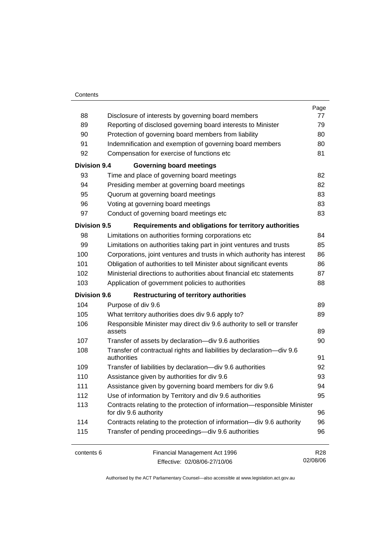#### **Contents**

|                     |                                                                                                   | Page            |
|---------------------|---------------------------------------------------------------------------------------------------|-----------------|
| 88                  | Disclosure of interests by governing board members                                                | 77              |
| 89                  | Reporting of disclosed governing board interests to Minister                                      | 79              |
| 90                  | Protection of governing board members from liability                                              | 80              |
| 91                  | Indemnification and exemption of governing board members                                          | 80              |
| 92                  | Compensation for exercise of functions etc                                                        | 81              |
| <b>Division 9.4</b> | <b>Governing board meetings</b>                                                                   |                 |
| 93                  | Time and place of governing board meetings                                                        | 82              |
| 94                  | Presiding member at governing board meetings                                                      | 82              |
| 95                  | Quorum at governing board meetings                                                                | 83              |
| 96                  | Voting at governing board meetings                                                                | 83              |
| 97                  | Conduct of governing board meetings etc                                                           | 83              |
| <b>Division 9.5</b> | Requirements and obligations for territory authorities                                            |                 |
| 98                  | Limitations on authorities forming corporations etc                                               | 84              |
| 99                  | Limitations on authorities taking part in joint ventures and trusts                               | 85              |
| 100                 | Corporations, joint ventures and trusts in which authority has interest                           | 86              |
| 101                 | Obligation of authorities to tell Minister about significant events                               | 86              |
| 102                 | Ministerial directions to authorities about financial etc statements                              | 87              |
| 103                 | Application of government policies to authorities                                                 | 88              |
| <b>Division 9.6</b> | <b>Restructuring of territory authorities</b>                                                     |                 |
| 104                 | Purpose of div 9.6                                                                                | 89              |
| 105                 | What territory authorities does div 9.6 apply to?                                                 | 89              |
| 106                 | Responsible Minister may direct div 9.6 authority to sell or transfer<br>assets                   | 89              |
| 107                 | Transfer of assets by declaration-div 9.6 authorities                                             | 90              |
| 108                 | Transfer of contractual rights and liabilities by declaration-div 9.6                             |                 |
|                     | authorities                                                                                       | 91              |
| 109                 | Transfer of liabilities by declaration-div 9.6 authorities                                        | 92              |
| 110                 | Assistance given by authorities for div 9.6                                                       | 93              |
| 111                 | Assistance given by governing board members for div 9.6                                           | 94              |
| 112                 | Use of information by Territory and div 9.6 authorities                                           |                 |
| 113                 | Contracts relating to the protection of information-responsible Minister<br>for div 9.6 authority |                 |
| 114                 | Contracts relating to the protection of information-div 9.6 authority                             | 96              |
| 115                 | Transfer of pending proceedings-div 9.6 authorities                                               | 96              |
| contents 6          | Financial Management Act 1996                                                                     | R <sub>28</sub> |
|                     | Effective: 02/08/06-27/10/06                                                                      | 02/08/06        |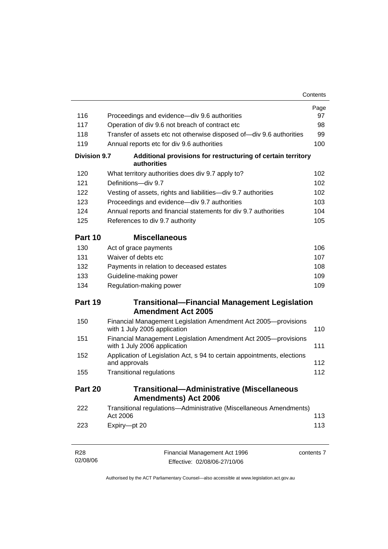|                             |                                                                                                | Contents   |
|-----------------------------|------------------------------------------------------------------------------------------------|------------|
|                             |                                                                                                | Page       |
| 116                         | Proceedings and evidence—div 9.6 authorities                                                   | 97         |
| 117                         | Operation of div 9.6 not breach of contract etc                                                | 98         |
| 118                         | Transfer of assets etc not otherwise disposed of-div 9.6 authorities                           | 99         |
| 119                         | Annual reports etc for div 9.6 authorities                                                     | 100        |
| <b>Division 9.7</b>         | Additional provisions for restructuring of certain territory<br>authorities                    |            |
| 120                         | What territory authorities does div 9.7 apply to?                                              | 102        |
| 121                         | Definitions-div 9.7                                                                            | 102        |
| 122                         | Vesting of assets, rights and liabilities-div 9.7 authorities                                  | 102        |
| 123                         | Proceedings and evidence—div 9.7 authorities                                                   | 103        |
| 124                         | Annual reports and financial statements for div 9.7 authorities                                | 104        |
| 125                         | References to div 9.7 authority                                                                | 105        |
| Part 10                     | <b>Miscellaneous</b>                                                                           |            |
| 130                         | Act of grace payments                                                                          | 106        |
| 131                         | Waiver of debts etc                                                                            | 107        |
| 132                         | Payments in relation to deceased estates                                                       | 108        |
| 133                         | Guideline-making power                                                                         | 109        |
| 134                         | Regulation-making power                                                                        | 109        |
| Part 19                     | <b>Transitional-Financial Management Legislation</b>                                           |            |
|                             | <b>Amendment Act 2005</b>                                                                      |            |
| 150                         | Financial Management Legislation Amendment Act 2005-provisions<br>with 1 July 2005 application | 110        |
| 151                         | Financial Management Legislation Amendment Act 2005-provisions<br>with 1 July 2006 application | 111        |
| 152                         | Application of Legislation Act, s 94 to certain appointments, elections<br>and approvals       | 112        |
| 155                         | <b>Transitional regulations</b>                                                                | 112        |
| Part 20                     | <b>Transitional-Administrative (Miscellaneous</b><br><b>Amendments) Act 2006</b>               |            |
| 222                         | Transitional regulations-Administrative (Miscellaneous Amendments)<br>Act 2006                 | 113        |
| 223                         | Expiry-pt 20                                                                                   | 113        |
| R <sub>28</sub><br>02/08/06 | Financial Management Act 1996<br>Effective: 02/08/06-27/10/06                                  | contents 7 |

Effective: 02/08/06-27/10/06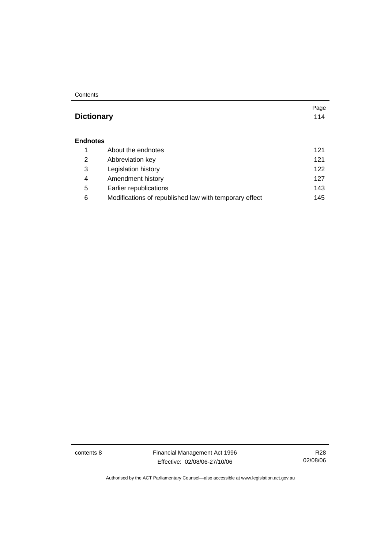**Contents** 

#### **Dictionary** 114

#### **Endnotes**

|   | About the endnotes                                     | 121 |
|---|--------------------------------------------------------|-----|
| 2 | Abbreviation key                                       | 121 |
| 3 | Legislation history                                    | 122 |
| 4 | Amendment history                                      | 127 |
| 5 | Earlier republications                                 | 143 |
| 6 | Modifications of republished law with temporary effect | 145 |

contents 8 Financial Management Act 1996 Effective: 02/08/06-27/10/06

R28 02/08/06

Page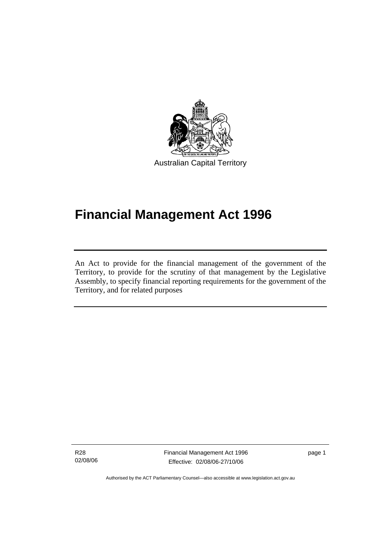

# **Financial Management Act 1996**

An Act to provide for the financial management of the government of the Territory, to provide for the scrutiny of that management by the Legislative Assembly, to specify financial reporting requirements for the government of the Territory, and for related purposes

R28 02/08/06

Ī

Financial Management Act 1996 Effective: 02/08/06-27/10/06

page 1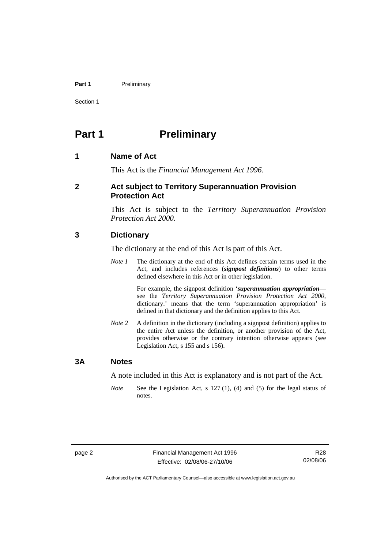#### Part 1 **Preliminary**

Section 1

### **Part 1** Preliminary

#### **1 Name of Act**

This Act is the *Financial Management Act 1996*.

#### **2 Act subject to Territory Superannuation Provision Protection Act**

This Act is subject to the *Territory Superannuation Provision Protection Act 2000*.

#### **3 Dictionary**

The dictionary at the end of this Act is part of this Act.

*Note 1* The dictionary at the end of this Act defines certain terms used in the Act, and includes references (*signpost definitions*) to other terms defined elsewhere in this Act or in other legislation.

> For example, the signpost definition '*superannuation appropriation* see the *Territory Superannuation Provision Protection Act 2000*, dictionary.' means that the term 'superannuation appropriation' is defined in that dictionary and the definition applies to this Act.

*Note 2* A definition in the dictionary (including a signpost definition) applies to the entire Act unless the definition, or another provision of the Act, provides otherwise or the contrary intention otherwise appears (see Legislation Act, s 155 and s 156).

#### **3A Notes**

A note included in this Act is explanatory and is not part of the Act.

*Note* See the Legislation Act, s 127 (1), (4) and (5) for the legal status of notes.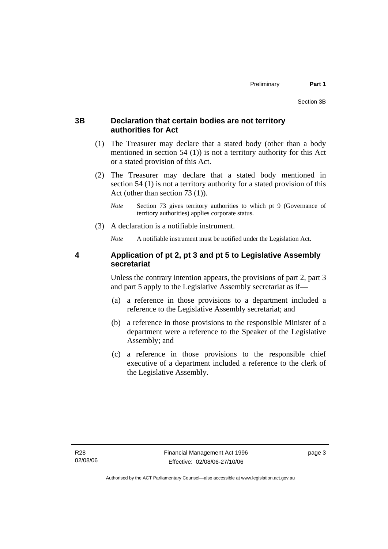#### **3B Declaration that certain bodies are not territory authorities for Act**

- (1) The Treasurer may declare that a stated body (other than a body mentioned in section 54 (1)) is not a territory authority for this Act or a stated provision of this Act.
- (2) The Treasurer may declare that a stated body mentioned in section 54 (1) is not a territory authority for a stated provision of this Act (other than section 73 (1)).
	- *Note* Section 73 gives territory authorities to which pt 9 (Governance of territory authorities) applies corporate status.
- (3) A declaration is a notifiable instrument.

*Note* A notifiable instrument must be notified under the Legislation Act.

#### **4 Application of pt 2, pt 3 and pt 5 to Legislative Assembly secretariat**

Unless the contrary intention appears, the provisions of part 2, part 3 and part 5 apply to the Legislative Assembly secretariat as if—

- (a) a reference in those provisions to a department included a reference to the Legislative Assembly secretariat; and
- (b) a reference in those provisions to the responsible Minister of a department were a reference to the Speaker of the Legislative Assembly; and
- (c) a reference in those provisions to the responsible chief executive of a department included a reference to the clerk of the Legislative Assembly.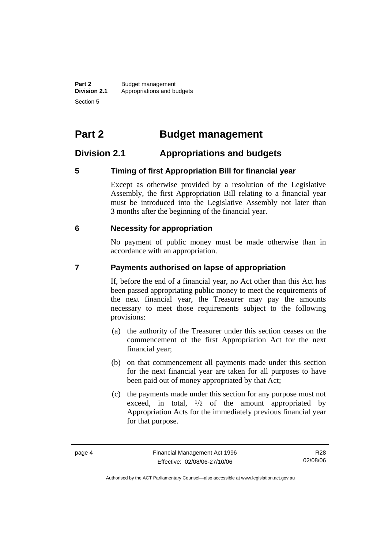**Part 2** Budget management<br>**Division 2.1** Appropriations and be **Division 2.1** Appropriations and budgets Section 5

# **Part 2 Budget management**

#### **Division 2.1 Appropriations and budgets**

#### **5 Timing of first Appropriation Bill for financial year**

Except as otherwise provided by a resolution of the Legislative Assembly, the first Appropriation Bill relating to a financial year must be introduced into the Legislative Assembly not later than 3 months after the beginning of the financial year.

#### **6 Necessity for appropriation**

No payment of public money must be made otherwise than in accordance with an appropriation.

#### **7 Payments authorised on lapse of appropriation**

If, before the end of a financial year, no Act other than this Act has been passed appropriating public money to meet the requirements of the next financial year, the Treasurer may pay the amounts necessary to meet those requirements subject to the following provisions:

- (a) the authority of the Treasurer under this section ceases on the commencement of the first Appropriation Act for the next financial year;
- (b) on that commencement all payments made under this section for the next financial year are taken for all purposes to have been paid out of money appropriated by that Act;
- (c) the payments made under this section for any purpose must not exceed, in total,  $\frac{1}{2}$  of the amount appropriated by Appropriation Acts for the immediately previous financial year for that purpose.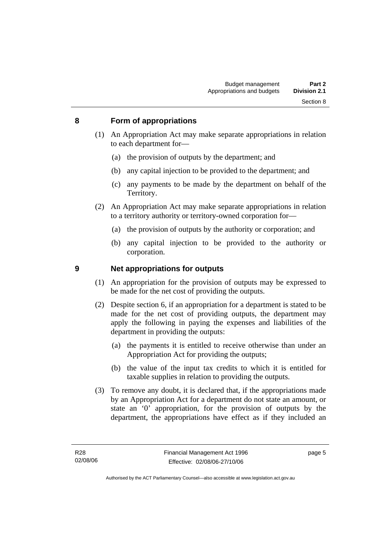#### **8 Form of appropriations**

- (1) An Appropriation Act may make separate appropriations in relation to each department for—
	- (a) the provision of outputs by the department; and
	- (b) any capital injection to be provided to the department; and
	- (c) any payments to be made by the department on behalf of the Territory.
- (2) An Appropriation Act may make separate appropriations in relation to a territory authority or territory-owned corporation for—
	- (a) the provision of outputs by the authority or corporation; and
	- (b) any capital injection to be provided to the authority or corporation.

#### **9 Net appropriations for outputs**

- (1) An appropriation for the provision of outputs may be expressed to be made for the net cost of providing the outputs.
- (2) Despite section 6, if an appropriation for a department is stated to be made for the net cost of providing outputs, the department may apply the following in paying the expenses and liabilities of the department in providing the outputs:
	- (a) the payments it is entitled to receive otherwise than under an Appropriation Act for providing the outputs;
	- (b) the value of the input tax credits to which it is entitled for taxable supplies in relation to providing the outputs.
- (3) To remove any doubt, it is declared that, if the appropriations made by an Appropriation Act for a department do not state an amount, or state an '0' appropriation, for the provision of outputs by the department, the appropriations have effect as if they included an

page 5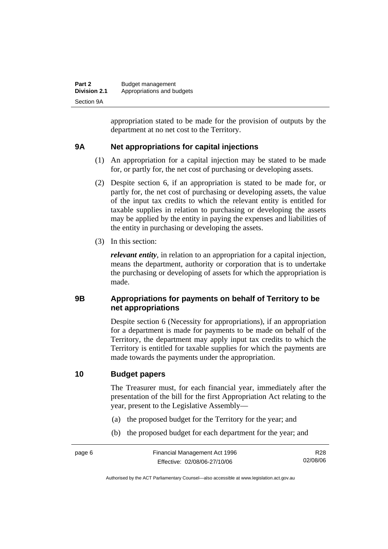| Part 2              | Budget management          |
|---------------------|----------------------------|
| <b>Division 2.1</b> | Appropriations and budgets |
| Section 9A          |                            |

appropriation stated to be made for the provision of outputs by the department at no net cost to the Territory.

#### **9A Net appropriations for capital injections**

- (1) An appropriation for a capital injection may be stated to be made for, or partly for, the net cost of purchasing or developing assets.
- (2) Despite section 6, if an appropriation is stated to be made for, or partly for, the net cost of purchasing or developing assets, the value of the input tax credits to which the relevant entity is entitled for taxable supplies in relation to purchasing or developing the assets may be applied by the entity in paying the expenses and liabilities of the entity in purchasing or developing the assets.
- (3) In this section:

*relevant entity*, in relation to an appropriation for a capital injection, means the department, authority or corporation that is to undertake the purchasing or developing of assets for which the appropriation is made.

#### **9B Appropriations for payments on behalf of Territory to be net appropriations**

Despite section 6 (Necessity for appropriations), if an appropriation for a department is made for payments to be made on behalf of the Territory, the department may apply input tax credits to which the Territory is entitled for taxable supplies for which the payments are made towards the payments under the appropriation.

#### **10 Budget papers**

The Treasurer must, for each financial year, immediately after the presentation of the bill for the first Appropriation Act relating to the year, present to the Legislative Assembly—

- (a) the proposed budget for the Territory for the year; and
- (b) the proposed budget for each department for the year; and

R28 02/08/06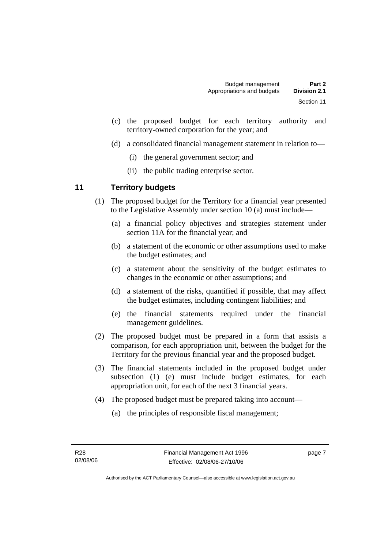- (c) the proposed budget for each territory authority and territory-owned corporation for the year; and
- (d) a consolidated financial management statement in relation to—
	- (i) the general government sector; and
	- (ii) the public trading enterprise sector.

#### **11 Territory budgets**

- (1) The proposed budget for the Territory for a financial year presented to the Legislative Assembly under section 10 (a) must include—
	- (a) a financial policy objectives and strategies statement under section 11A for the financial year; and
	- (b) a statement of the economic or other assumptions used to make the budget estimates; and
	- (c) a statement about the sensitivity of the budget estimates to changes in the economic or other assumptions; and
	- (d) a statement of the risks, quantified if possible, that may affect the budget estimates, including contingent liabilities; and
	- (e) the financial statements required under the financial management guidelines.
- (2) The proposed budget must be prepared in a form that assists a comparison, for each appropriation unit, between the budget for the Territory for the previous financial year and the proposed budget.
- (3) The financial statements included in the proposed budget under subsection (1) (e) must include budget estimates, for each appropriation unit, for each of the next 3 financial years.
- (4) The proposed budget must be prepared taking into account—
	- (a) the principles of responsible fiscal management;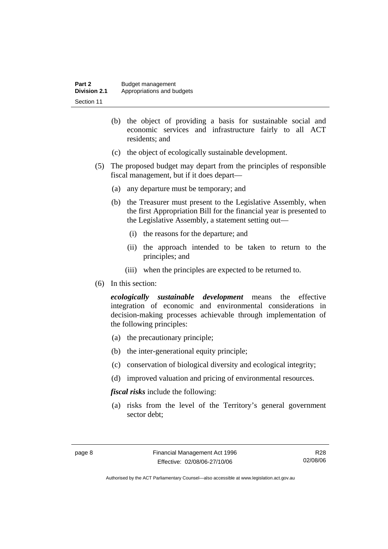| Part 2              | Budget management          |
|---------------------|----------------------------|
| <b>Division 2.1</b> | Appropriations and budgets |
| Section 11          |                            |

- (b) the object of providing a basis for sustainable social and economic services and infrastructure fairly to all ACT residents; and
- (c) the object of ecologically sustainable development.
- (5) The proposed budget may depart from the principles of responsible fiscal management, but if it does depart—
	- (a) any departure must be temporary; and
	- (b) the Treasurer must present to the Legislative Assembly, when the first Appropriation Bill for the financial year is presented to the Legislative Assembly, a statement setting out—
		- (i) the reasons for the departure; and
		- (ii) the approach intended to be taken to return to the principles; and
		- (iii) when the principles are expected to be returned to.
- (6) In this section:

*ecologically sustainable development* means the effective integration of economic and environmental considerations in decision-making processes achievable through implementation of the following principles:

- (a) the precautionary principle;
- (b) the inter-generational equity principle;
- (c) conservation of biological diversity and ecological integrity;
- (d) improved valuation and pricing of environmental resources.

*fiscal risks* include the following:

 (a) risks from the level of the Territory's general government sector debt;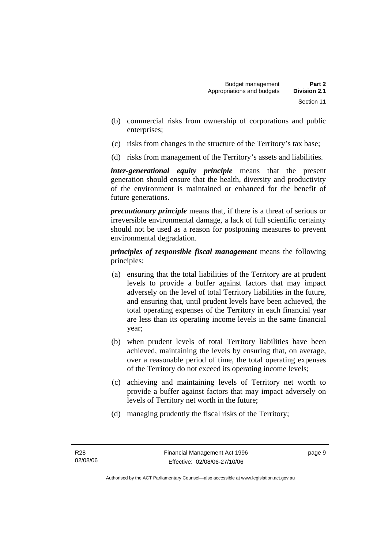- (b) commercial risks from ownership of corporations and public enterprises;
- (c) risks from changes in the structure of the Territory's tax base;
- (d) risks from management of the Territory's assets and liabilities.

*inter-generational equity principle* means that the present generation should ensure that the health, diversity and productivity of the environment is maintained or enhanced for the benefit of future generations.

*precautionary principle* means that, if there is a threat of serious or irreversible environmental damage, a lack of full scientific certainty should not be used as a reason for postponing measures to prevent environmental degradation.

*principles of responsible fiscal management* means the following principles:

- (a) ensuring that the total liabilities of the Territory are at prudent levels to provide a buffer against factors that may impact adversely on the level of total Territory liabilities in the future, and ensuring that, until prudent levels have been achieved, the total operating expenses of the Territory in each financial year are less than its operating income levels in the same financial year;
- (b) when prudent levels of total Territory liabilities have been achieved, maintaining the levels by ensuring that, on average, over a reasonable period of time, the total operating expenses of the Territory do not exceed its operating income levels;
- (c) achieving and maintaining levels of Territory net worth to provide a buffer against factors that may impact adversely on levels of Territory net worth in the future;
- (d) managing prudently the fiscal risks of the Territory;

page 9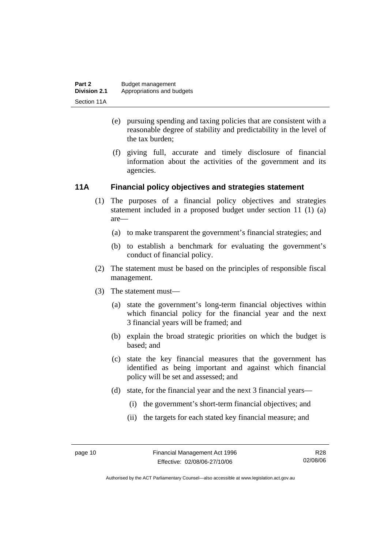- (e) pursuing spending and taxing policies that are consistent with a reasonable degree of stability and predictability in the level of the tax burden;
- (f) giving full, accurate and timely disclosure of financial information about the activities of the government and its agencies.

#### **11A Financial policy objectives and strategies statement**

- (1) The purposes of a financial policy objectives and strategies statement included in a proposed budget under section 11 (1) (a) are—
	- (a) to make transparent the government's financial strategies; and
	- (b) to establish a benchmark for evaluating the government's conduct of financial policy.
- (2) The statement must be based on the principles of responsible fiscal management.
- (3) The statement must—
	- (a) state the government's long-term financial objectives within which financial policy for the financial year and the next 3 financial years will be framed; and
	- (b) explain the broad strategic priorities on which the budget is based; and
	- (c) state the key financial measures that the government has identified as being important and against which financial policy will be set and assessed; and
	- (d) state, for the financial year and the next 3 financial years—
		- (i) the government's short-term financial objectives; and
		- (ii) the targets for each stated key financial measure; and

Authorised by the ACT Parliamentary Counsel—also accessible at www.legislation.act.gov.au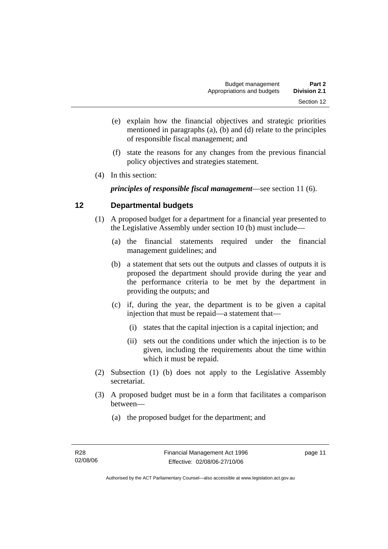- (e) explain how the financial objectives and strategic priorities mentioned in paragraphs (a), (b) and (d) relate to the principles of responsible fiscal management; and
- (f) state the reasons for any changes from the previous financial policy objectives and strategies statement.
- (4) In this section:

*principles of responsible fiscal management*—see section 11 (6).

#### **12 Departmental budgets**

- (1) A proposed budget for a department for a financial year presented to the Legislative Assembly under section 10 (b) must include—
	- (a) the financial statements required under the financial management guidelines; and
	- (b) a statement that sets out the outputs and classes of outputs it is proposed the department should provide during the year and the performance criteria to be met by the department in providing the outputs; and
	- (c) if, during the year, the department is to be given a capital injection that must be repaid—a statement that—
		- (i) states that the capital injection is a capital injection; and
		- (ii) sets out the conditions under which the injection is to be given, including the requirements about the time within which it must be repaid.
- (2) Subsection (1) (b) does not apply to the Legislative Assembly secretariat.
- (3) A proposed budget must be in a form that facilitates a comparison between—
	- (a) the proposed budget for the department; and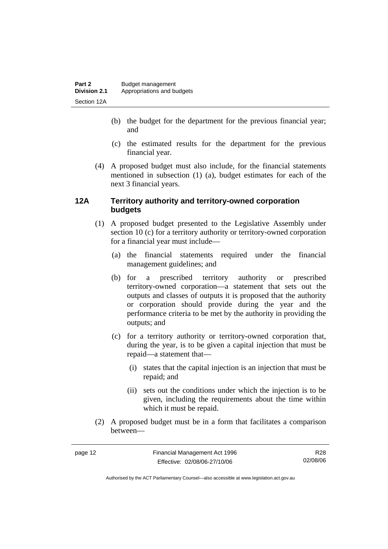- (b) the budget for the department for the previous financial year; and
- (c) the estimated results for the department for the previous financial year.
- (4) A proposed budget must also include, for the financial statements mentioned in subsection (1) (a), budget estimates for each of the next 3 financial years.

#### **12A Territory authority and territory-owned corporation budgets**

- (1) A proposed budget presented to the Legislative Assembly under section 10 (c) for a territory authority or territory-owned corporation for a financial year must include—
	- (a) the financial statements required under the financial management guidelines; and
	- (b) for a prescribed territory authority or prescribed territory-owned corporation—a statement that sets out the outputs and classes of outputs it is proposed that the authority or corporation should provide during the year and the performance criteria to be met by the authority in providing the outputs; and
	- (c) for a territory authority or territory-owned corporation that, during the year, is to be given a capital injection that must be repaid—a statement that—
		- (i) states that the capital injection is an injection that must be repaid; and
		- (ii) sets out the conditions under which the injection is to be given, including the requirements about the time within which it must be repaid.
- (2) A proposed budget must be in a form that facilitates a comparison between—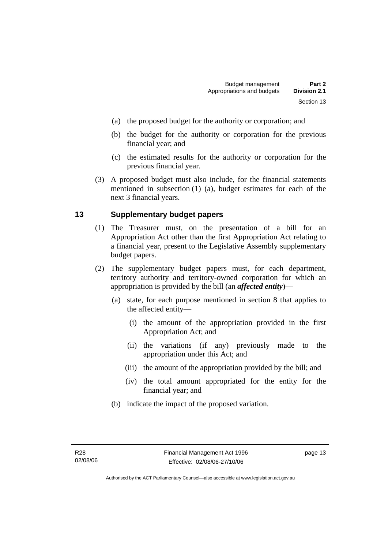- (a) the proposed budget for the authority or corporation; and
- (b) the budget for the authority or corporation for the previous financial year; and
- (c) the estimated results for the authority or corporation for the previous financial year.
- (3) A proposed budget must also include, for the financial statements mentioned in subsection (1) (a), budget estimates for each of the next 3 financial years.

#### **13 Supplementary budget papers**

- (1) The Treasurer must, on the presentation of a bill for an Appropriation Act other than the first Appropriation Act relating to a financial year, present to the Legislative Assembly supplementary budget papers.
- (2) The supplementary budget papers must, for each department, territory authority and territory-owned corporation for which an appropriation is provided by the bill (an *affected entity*)—
	- (a) state, for each purpose mentioned in section 8 that applies to the affected entity—
		- (i) the amount of the appropriation provided in the first Appropriation Act; and
		- (ii) the variations (if any) previously made to the appropriation under this Act; and
		- (iii) the amount of the appropriation provided by the bill; and
		- (iv) the total amount appropriated for the entity for the financial year; and
	- (b) indicate the impact of the proposed variation.

page 13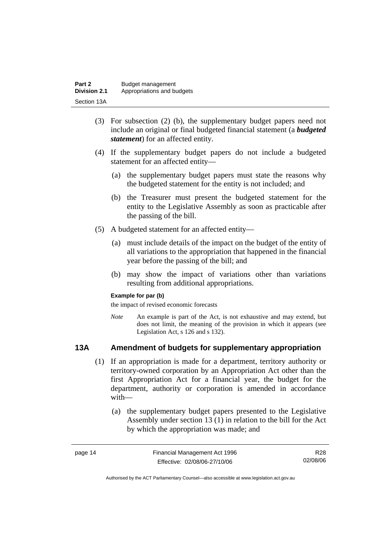| Part 2              | Budget management          |
|---------------------|----------------------------|
| <b>Division 2.1</b> | Appropriations and budgets |
| Section 13A         |                            |

- (3) For subsection (2) (b), the supplementary budget papers need not include an original or final budgeted financial statement (a *budgeted statement*) for an affected entity.
- (4) If the supplementary budget papers do not include a budgeted statement for an affected entity—
	- (a) the supplementary budget papers must state the reasons why the budgeted statement for the entity is not included; and
	- (b) the Treasurer must present the budgeted statement for the entity to the Legislative Assembly as soon as practicable after the passing of the bill.
- (5) A budgeted statement for an affected entity—
	- (a) must include details of the impact on the budget of the entity of all variations to the appropriation that happened in the financial year before the passing of the bill; and
	- (b) may show the impact of variations other than variations resulting from additional appropriations.

#### **Example for par (b)**

the impact of revised economic forecasts

*Note* An example is part of the Act, is not exhaustive and may extend, but does not limit, the meaning of the provision in which it appears (see Legislation Act, s 126 and s 132).

#### **13A Amendment of budgets for supplementary appropriation**

- (1) If an appropriation is made for a department, territory authority or territory-owned corporation by an Appropriation Act other than the first Appropriation Act for a financial year, the budget for the department, authority or corporation is amended in accordance with—
	- (a) the supplementary budget papers presented to the Legislative Assembly under section 13 (1) in relation to the bill for the Act by which the appropriation was made; and

| page 14 | Financial Management Act 1996 | R28      |
|---------|-------------------------------|----------|
|         | Effective: 02/08/06-27/10/06  | 02/08/06 |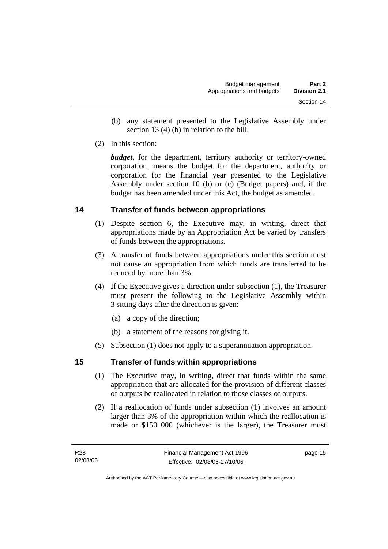- (b) any statement presented to the Legislative Assembly under section 13 (4) (b) in relation to the bill.
- (2) In this section:

*budget*, for the department, territory authority or territory-owned corporation, means the budget for the department, authority or corporation for the financial year presented to the Legislative Assembly under section 10 (b) or (c) (Budget papers) and, if the budget has been amended under this Act, the budget as amended.

#### **14 Transfer of funds between appropriations**

- (1) Despite section 6, the Executive may, in writing, direct that appropriations made by an Appropriation Act be varied by transfers of funds between the appropriations.
- (3) A transfer of funds between appropriations under this section must not cause an appropriation from which funds are transferred to be reduced by more than 3%.
- (4) If the Executive gives a direction under subsection (1), the Treasurer must present the following to the Legislative Assembly within 3 sitting days after the direction is given:
	- (a) a copy of the direction;
	- (b) a statement of the reasons for giving it.
- (5) Subsection (1) does not apply to a superannuation appropriation.

#### **15 Transfer of funds within appropriations**

- (1) The Executive may, in writing, direct that funds within the same appropriation that are allocated for the provision of different classes of outputs be reallocated in relation to those classes of outputs.
- (2) If a reallocation of funds under subsection (1) involves an amount larger than 3% of the appropriation within which the reallocation is made or \$150 000 (whichever is the larger), the Treasurer must

page 15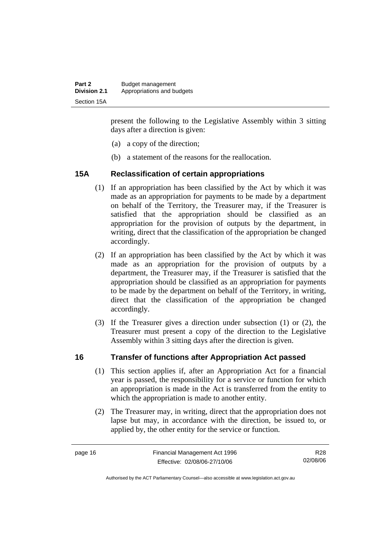| Part 2              | Budget management          |
|---------------------|----------------------------|
| <b>Division 2.1</b> | Appropriations and budgets |
| Section 15A         |                            |

present the following to the Legislative Assembly within 3 sitting days after a direction is given:

- (a) a copy of the direction;
- (b) a statement of the reasons for the reallocation.

#### **15A Reclassification of certain appropriations**

- (1) If an appropriation has been classified by the Act by which it was made as an appropriation for payments to be made by a department on behalf of the Territory, the Treasurer may, if the Treasurer is satisfied that the appropriation should be classified as an appropriation for the provision of outputs by the department, in writing, direct that the classification of the appropriation be changed accordingly.
- (2) If an appropriation has been classified by the Act by which it was made as an appropriation for the provision of outputs by a department, the Treasurer may, if the Treasurer is satisfied that the appropriation should be classified as an appropriation for payments to be made by the department on behalf of the Territory, in writing, direct that the classification of the appropriation be changed accordingly.
- (3) If the Treasurer gives a direction under subsection (1) or (2), the Treasurer must present a copy of the direction to the Legislative Assembly within 3 sitting days after the direction is given.

#### **16 Transfer of functions after Appropriation Act passed**

- (1) This section applies if, after an Appropriation Act for a financial year is passed, the responsibility for a service or function for which an appropriation is made in the Act is transferred from the entity to which the appropriation is made to another entity.
- (2) The Treasurer may, in writing, direct that the appropriation does not lapse but may, in accordance with the direction, be issued to, or applied by, the other entity for the service or function.

R28 02/08/06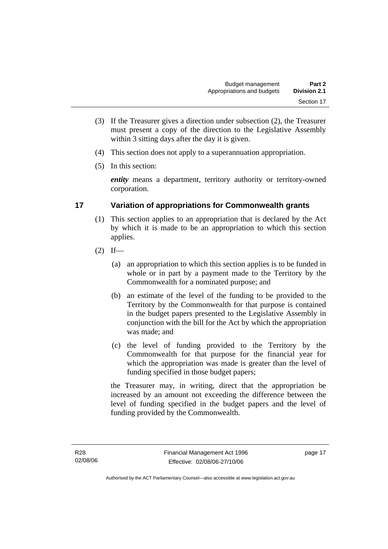- (3) If the Treasurer gives a direction under subsection (2), the Treasurer must present a copy of the direction to the Legislative Assembly within 3 sitting days after the day it is given.
- (4) This section does not apply to a superannuation appropriation.
- (5) In this section:

*entity* means a department, territory authority or territory-owned corporation.

#### **17 Variation of appropriations for Commonwealth grants**

- (1) This section applies to an appropriation that is declared by the Act by which it is made to be an appropriation to which this section applies.
- $(2)$  If—
	- (a) an appropriation to which this section applies is to be funded in whole or in part by a payment made to the Territory by the Commonwealth for a nominated purpose; and
	- (b) an estimate of the level of the funding to be provided to the Territory by the Commonwealth for that purpose is contained in the budget papers presented to the Legislative Assembly in conjunction with the bill for the Act by which the appropriation was made; and
	- (c) the level of funding provided to the Territory by the Commonwealth for that purpose for the financial year for which the appropriation was made is greater than the level of funding specified in those budget papers;

the Treasurer may, in writing, direct that the appropriation be increased by an amount not exceeding the difference between the level of funding specified in the budget papers and the level of funding provided by the Commonwealth.

page 17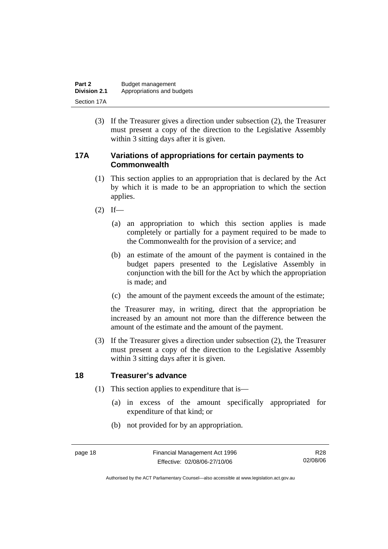| Part 2              | Budget management          |
|---------------------|----------------------------|
| <b>Division 2.1</b> | Appropriations and budgets |
| Section 17A         |                            |

 (3) If the Treasurer gives a direction under subsection (2), the Treasurer must present a copy of the direction to the Legislative Assembly within 3 sitting days after it is given.

#### **17A Variations of appropriations for certain payments to Commonwealth**

- (1) This section applies to an appropriation that is declared by the Act by which it is made to be an appropriation to which the section applies.
- $(2)$  If—
	- (a) an appropriation to which this section applies is made completely or partially for a payment required to be made to the Commonwealth for the provision of a service; and
	- (b) an estimate of the amount of the payment is contained in the budget papers presented to the Legislative Assembly in conjunction with the bill for the Act by which the appropriation is made; and
	- (c) the amount of the payment exceeds the amount of the estimate;

the Treasurer may, in writing, direct that the appropriation be increased by an amount not more than the difference between the amount of the estimate and the amount of the payment.

 (3) If the Treasurer gives a direction under subsection (2), the Treasurer must present a copy of the direction to the Legislative Assembly within 3 sitting days after it is given.

#### **18 Treasurer's advance**

- (1) This section applies to expenditure that is—
	- (a) in excess of the amount specifically appropriated for expenditure of that kind; or
	- (b) not provided for by an appropriation.

Authorised by the ACT Parliamentary Counsel—also accessible at www.legislation.act.gov.au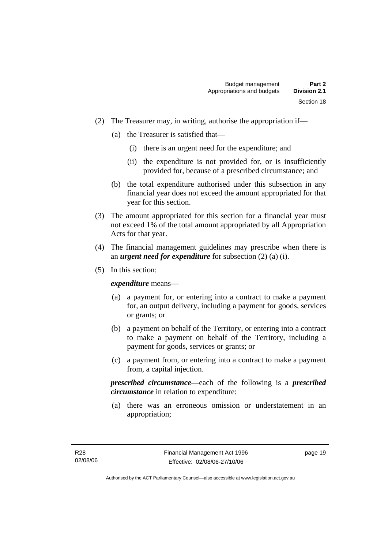- (2) The Treasurer may, in writing, authorise the appropriation if—
	- (a) the Treasurer is satisfied that—
		- (i) there is an urgent need for the expenditure; and
		- (ii) the expenditure is not provided for, or is insufficiently provided for, because of a prescribed circumstance; and
	- (b) the total expenditure authorised under this subsection in any financial year does not exceed the amount appropriated for that year for this section.
- (3) The amount appropriated for this section for a financial year must not exceed 1% of the total amount appropriated by all Appropriation Acts for that year.
- (4) The financial management guidelines may prescribe when there is an *urgent need for expenditure* for subsection (2) (a) (i).
- (5) In this section:

*expenditure* means—

- (a) a payment for, or entering into a contract to make a payment for, an output delivery, including a payment for goods, services or grants; or
- (b) a payment on behalf of the Territory, or entering into a contract to make a payment on behalf of the Territory, including a payment for goods, services or grants; or
- (c) a payment from, or entering into a contract to make a payment from, a capital injection.

*prescribed circumstance*—each of the following is a *prescribed circumstance* in relation to expenditure:

 (a) there was an erroneous omission or understatement in an appropriation;

page 19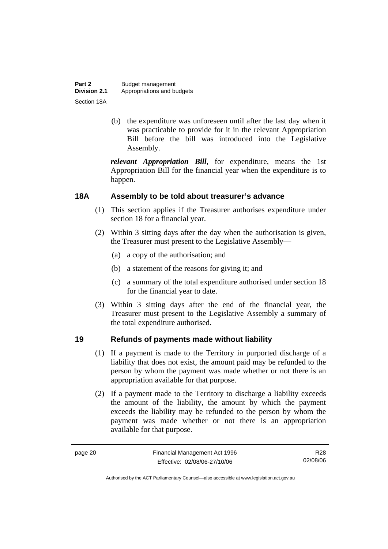| Part 2              | Budget management          |
|---------------------|----------------------------|
| <b>Division 2.1</b> | Appropriations and budgets |
| Section 18A         |                            |

 (b) the expenditure was unforeseen until after the last day when it was practicable to provide for it in the relevant Appropriation Bill before the bill was introduced into the Legislative Assembly.

*relevant Appropriation Bill*, for expenditure, means the 1st Appropriation Bill for the financial year when the expenditure is to happen.

#### **18A Assembly to be told about treasurer's advance**

- (1) This section applies if the Treasurer authorises expenditure under section 18 for a financial year.
- (2) Within 3 sitting days after the day when the authorisation is given, the Treasurer must present to the Legislative Assembly—
	- (a) a copy of the authorisation; and
	- (b) a statement of the reasons for giving it; and
	- (c) a summary of the total expenditure authorised under section 18 for the financial year to date.
- (3) Within 3 sitting days after the end of the financial year, the Treasurer must present to the Legislative Assembly a summary of the total expenditure authorised.

#### **19 Refunds of payments made without liability**

- (1) If a payment is made to the Territory in purported discharge of a liability that does not exist, the amount paid may be refunded to the person by whom the payment was made whether or not there is an appropriation available for that purpose.
- (2) If a payment made to the Territory to discharge a liability exceeds the amount of the liability, the amount by which the payment exceeds the liability may be refunded to the person by whom the payment was made whether or not there is an appropriation available for that purpose.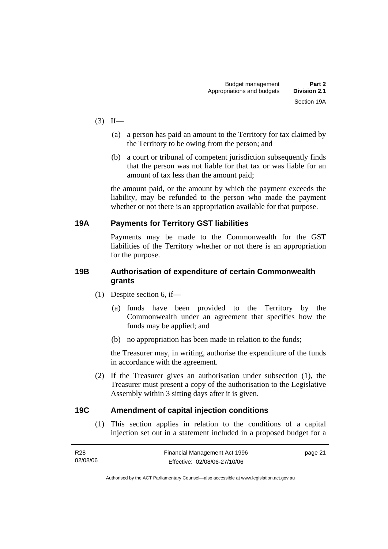- $(3)$  If—
	- (a) a person has paid an amount to the Territory for tax claimed by the Territory to be owing from the person; and
	- (b) a court or tribunal of competent jurisdiction subsequently finds that the person was not liable for that tax or was liable for an amount of tax less than the amount paid;

the amount paid, or the amount by which the payment exceeds the liability, may be refunded to the person who made the payment whether or not there is an appropriation available for that purpose.

#### **19A Payments for Territory GST liabilities**

Payments may be made to the Commonwealth for the GST liabilities of the Territory whether or not there is an appropriation for the purpose.

#### **19B Authorisation of expenditure of certain Commonwealth grants**

- (1) Despite section 6, if—
	- (a) funds have been provided to the Territory by the Commonwealth under an agreement that specifies how the funds may be applied; and
	- (b) no appropriation has been made in relation to the funds;

the Treasurer may, in writing, authorise the expenditure of the funds in accordance with the agreement.

 (2) If the Treasurer gives an authorisation under subsection (1), the Treasurer must present a copy of the authorisation to the Legislative Assembly within 3 sitting days after it is given.

#### **19C Amendment of capital injection conditions**

 (1) This section applies in relation to the conditions of a capital injection set out in a statement included in a proposed budget for a

| R28      | Financial Management Act 1996 | page 21 |
|----------|-------------------------------|---------|
| 02/08/06 | Effective: 02/08/06-27/10/06  |         |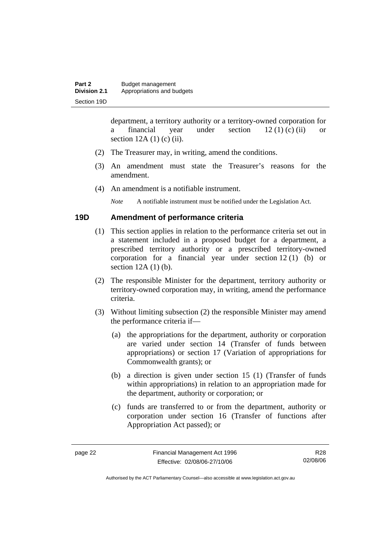department, a territory authority or a territory-owned corporation for a financial year under section  $12 (1) (c) (ii)$  or section  $12A(1)$  (c) (ii).

- (2) The Treasurer may, in writing, amend the conditions.
- (3) An amendment must state the Treasurer's reasons for the amendment.
- (4) An amendment is a notifiable instrument.

*Note* A notifiable instrument must be notified under the Legislation Act.

#### **19D Amendment of performance criteria**

- (1) This section applies in relation to the performance criteria set out in a statement included in a proposed budget for a department, a prescribed territory authority or a prescribed territory-owned corporation for a financial year under section 12 (1) (b) or section 12A (1) (b).
- (2) The responsible Minister for the department, territory authority or territory-owned corporation may, in writing, amend the performance criteria.
- (3) Without limiting subsection (2) the responsible Minister may amend the performance criteria if—
	- (a) the appropriations for the department, authority or corporation are varied under section 14 (Transfer of funds between appropriations) or section 17 (Variation of appropriations for Commonwealth grants); or
	- (b) a direction is given under section 15 (1) (Transfer of funds within appropriations) in relation to an appropriation made for the department, authority or corporation; or
	- (c) funds are transferred to or from the department, authority or corporation under section 16 (Transfer of functions after Appropriation Act passed); or

Authorised by the ACT Parliamentary Counsel—also accessible at www.legislation.act.gov.au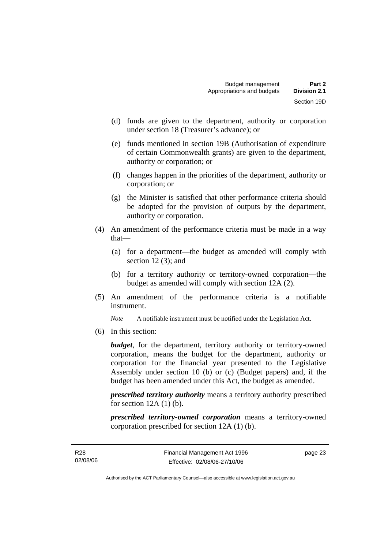- (d) funds are given to the department, authority or corporation under section 18 (Treasurer's advance); or
- (e) funds mentioned in section 19B (Authorisation of expenditure of certain Commonwealth grants) are given to the department, authority or corporation; or
- (f) changes happen in the priorities of the department, authority or corporation; or
- (g) the Minister is satisfied that other performance criteria should be adopted for the provision of outputs by the department, authority or corporation.
- (4) An amendment of the performance criteria must be made in a way that—
	- (a) for a department—the budget as amended will comply with section  $12(3)$ ; and
	- (b) for a territory authority or territory-owned corporation—the budget as amended will comply with section 12A (2).
- (5) An amendment of the performance criteria is a notifiable instrument.

*Note* A notifiable instrument must be notified under the Legislation Act.

(6) In this section:

*budget*, for the department, territory authority or territory-owned corporation, means the budget for the department, authority or corporation for the financial year presented to the Legislative Assembly under section 10 (b) or (c) (Budget papers) and, if the budget has been amended under this Act, the budget as amended.

*prescribed territory authority* means a territory authority prescribed for section  $12A(1)$  (b).

*prescribed territory-owned corporation* means a territory-owned corporation prescribed for section 12A (1) (b).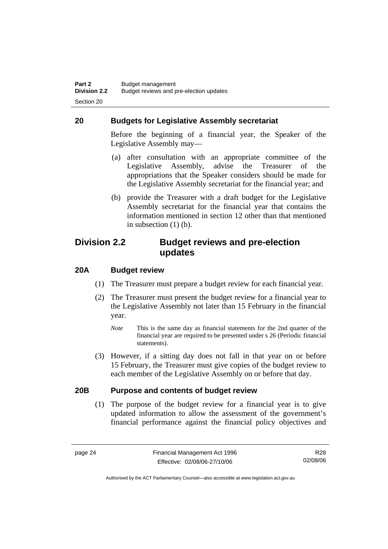#### **20 Budgets for Legislative Assembly secretariat**

Before the beginning of a financial year, the Speaker of the Legislative Assembly may—

- (a) after consultation with an appropriate committee of the Legislative Assembly, advise the Treasurer of the appropriations that the Speaker considers should be made for the Legislative Assembly secretariat for the financial year; and
- (b) provide the Treasurer with a draft budget for the Legislative Assembly secretariat for the financial year that contains the information mentioned in section 12 other than that mentioned in subsection (1) (b).

### **Division 2.2 Budget reviews and pre-election updates**

#### **20A Budget review**

- (1) The Treasurer must prepare a budget review for each financial year.
- (2) The Treasurer must present the budget review for a financial year to the Legislative Assembly not later than 15 February in the financial year.
	- *Note* This is the same day as financial statements for the 2nd quarter of the financial year are required to be presented under s 26 (Periodic financial statements).
- (3) However, if a sitting day does not fall in that year on or before 15 February, the Treasurer must give copies of the budget review to each member of the Legislative Assembly on or before that day.

#### **20B Purpose and contents of budget review**

 (1) The purpose of the budget review for a financial year is to give updated information to allow the assessment of the government's financial performance against the financial policy objectives and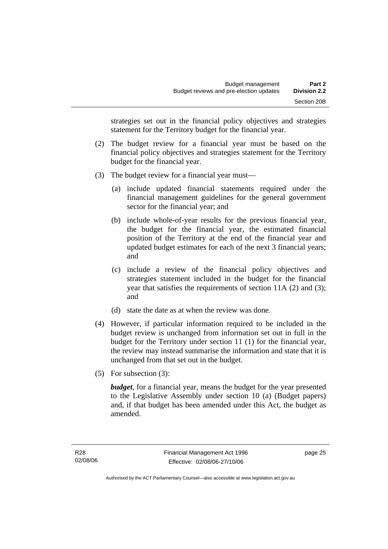strategies set out in the financial policy objectives and strategies statement for the Territory budget for the financial year.

- (2) The budget review for a financial year must be based on the financial policy objectives and strategies statement for the Territory budget for the financial year.
- (3) The budget review for a financial year must—
	- (a) include updated financial statements required under the financial management guidelines for the general government sector for the financial year; and
	- (b) include whole-of-year results for the previous financial year, the budget for the financial year, the estimated financial position of the Territory at the end of the financial year and updated budget estimates for each of the next 3 financial years; and
	- (c) include a review of the financial policy objectives and strategies statement included in the budget for the financial year that satisfies the requirements of section 11A (2) and (3); and
	- (d) state the date as at when the review was done.
- (4) However, if particular information required to be included in the budget review is unchanged from information set out in full in the budget for the Territory under section 11 (1) for the financial year, the review may instead summarise the information and state that it is unchanged from that set out in the budget.
- (5) For subsection (3):

*budget*, for a financial year, means the budget for the year presented to the Legislative Assembly under section 10 (a) (Budget papers) and, if that budget has been amended under this Act, the budget as amended.

page 25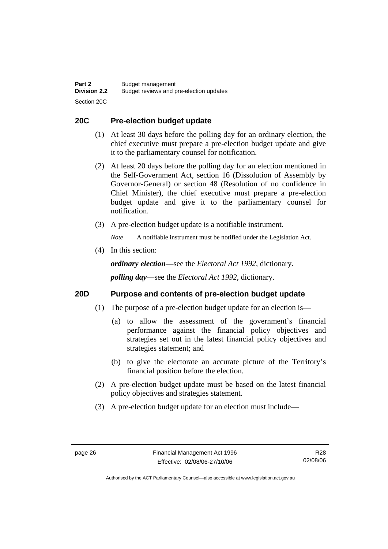#### **20C Pre-election budget update**

- (1) At least 30 days before the polling day for an ordinary election, the chief executive must prepare a pre-election budget update and give it to the parliamentary counsel for notification.
- (2) At least 20 days before the polling day for an election mentioned in the Self-Government Act, section 16 (Dissolution of Assembly by Governor-General) or section 48 (Resolution of no confidence in Chief Minister), the chief executive must prepare a pre-election budget update and give it to the parliamentary counsel for notification.
- (3) A pre-election budget update is a notifiable instrument.

*Note* A notifiable instrument must be notified under the Legislation Act.

(4) In this section:

*ordinary election*—see the *Electoral Act 1992*, dictionary.

*polling day*—see the *Electoral Act 1992*, dictionary.

#### **20D Purpose and contents of pre-election budget update**

- (1) The purpose of a pre-election budget update for an election is—
	- (a) to allow the assessment of the government's financial performance against the financial policy objectives and strategies set out in the latest financial policy objectives and strategies statement; and
	- (b) to give the electorate an accurate picture of the Territory's financial position before the election.
- (2) A pre-election budget update must be based on the latest financial policy objectives and strategies statement.
- (3) A pre-election budget update for an election must include—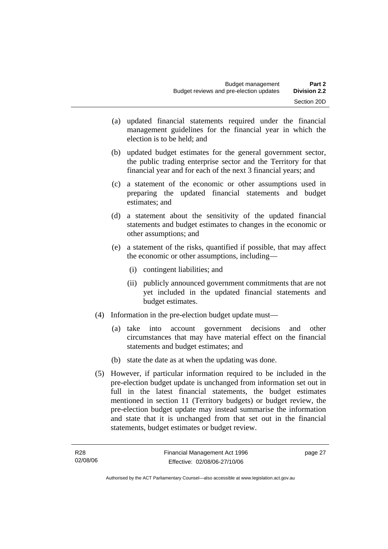- (a) updated financial statements required under the financial management guidelines for the financial year in which the election is to be held; and
- (b) updated budget estimates for the general government sector, the public trading enterprise sector and the Territory for that financial year and for each of the next 3 financial years; and
- (c) a statement of the economic or other assumptions used in preparing the updated financial statements and budget estimates; and
- (d) a statement about the sensitivity of the updated financial statements and budget estimates to changes in the economic or other assumptions; and
- (e) a statement of the risks, quantified if possible, that may affect the economic or other assumptions, including—
	- (i) contingent liabilities; and
	- (ii) publicly announced government commitments that are not yet included in the updated financial statements and budget estimates.
- (4) Information in the pre-election budget update must—
	- (a) take into account government decisions and other circumstances that may have material effect on the financial statements and budget estimates; and
	- (b) state the date as at when the updating was done.
- (5) However, if particular information required to be included in the pre-election budget update is unchanged from information set out in full in the latest financial statements, the budget estimates mentioned in section 11 (Territory budgets) or budget review, the pre-election budget update may instead summarise the information and state that it is unchanged from that set out in the financial statements, budget estimates or budget review.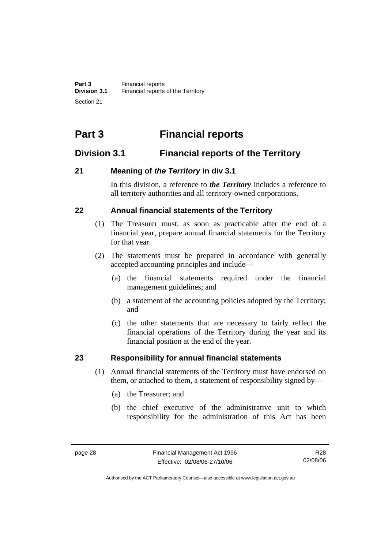# **Part 3 Financial reports**

# **Division 3.1 Financial reports of the Territory**

# **21 Meaning of** *the Territory* **in div 3.1**

In this division, a reference to *the Territory* includes a reference to all territory authorities and all territory-owned corporations.

## **22 Annual financial statements of the Territory**

- (1) The Treasurer must, as soon as practicable after the end of a financial year, prepare annual financial statements for the Territory for that year.
- (2) The statements must be prepared in accordance with generally accepted accounting principles and include—
	- (a) the financial statements required under the financial management guidelines; and
	- (b) a statement of the accounting policies adopted by the Territory; and
	- (c) the other statements that are necessary to fairly reflect the financial operations of the Territory during the year and its financial position at the end of the year.

# **23 Responsibility for annual financial statements**

- (1) Annual financial statements of the Territory must have endorsed on them, or attached to them, a statement of responsibility signed by—
	- (a) the Treasurer; and
	- (b) the chief executive of the administrative unit to which responsibility for the administration of this Act has been

Authorised by the ACT Parliamentary Counsel—also accessible at www.legislation.act.gov.au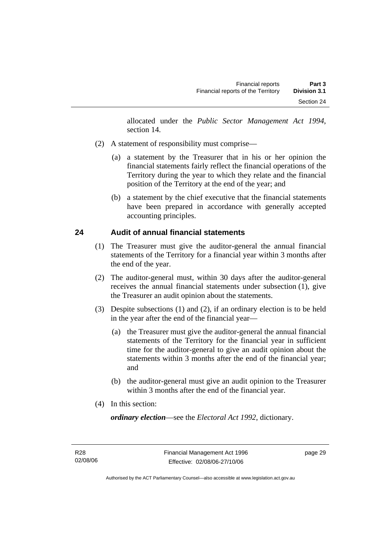allocated under the *Public Sector Management Act 1994*, section 14.

- (2) A statement of responsibility must comprise—
	- (a) a statement by the Treasurer that in his or her opinion the financial statements fairly reflect the financial operations of the Territory during the year to which they relate and the financial position of the Territory at the end of the year; and
	- (b) a statement by the chief executive that the financial statements have been prepared in accordance with generally accepted accounting principles.

#### **24 Audit of annual financial statements**

- (1) The Treasurer must give the auditor-general the annual financial statements of the Territory for a financial year within 3 months after the end of the year.
- (2) The auditor-general must, within 30 days after the auditor-general receives the annual financial statements under subsection (1), give the Treasurer an audit opinion about the statements.
- (3) Despite subsections (1) and (2), if an ordinary election is to be held in the year after the end of the financial year—
	- (a) the Treasurer must give the auditor-general the annual financial statements of the Territory for the financial year in sufficient time for the auditor-general to give an audit opinion about the statements within 3 months after the end of the financial year; and
	- (b) the auditor-general must give an audit opinion to the Treasurer within 3 months after the end of the financial year.
- (4) In this section:

*ordinary election*—see the *Electoral Act 1992*, dictionary.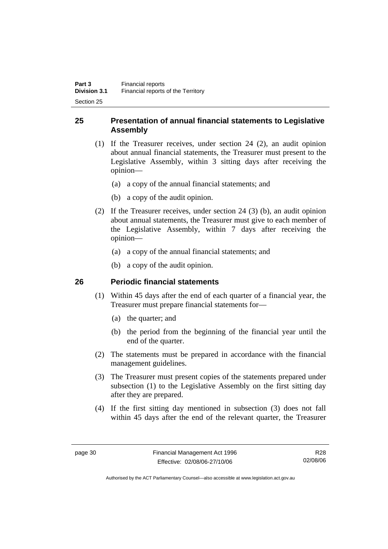## **25 Presentation of annual financial statements to Legislative Assembly**

- (1) If the Treasurer receives, under section 24 (2), an audit opinion about annual financial statements, the Treasurer must present to the Legislative Assembly, within 3 sitting days after receiving the opinion—
	- (a) a copy of the annual financial statements; and
	- (b) a copy of the audit opinion.
- (2) If the Treasurer receives, under section 24 (3) (b), an audit opinion about annual statements, the Treasurer must give to each member of the Legislative Assembly, within 7 days after receiving the opinion—
	- (a) a copy of the annual financial statements; and
	- (b) a copy of the audit opinion.

## **26 Periodic financial statements**

- (1) Within 45 days after the end of each quarter of a financial year, the Treasurer must prepare financial statements for—
	- (a) the quarter; and
	- (b) the period from the beginning of the financial year until the end of the quarter.
- (2) The statements must be prepared in accordance with the financial management guidelines.
- (3) The Treasurer must present copies of the statements prepared under subsection (1) to the Legislative Assembly on the first sitting day after they are prepared.
- (4) If the first sitting day mentioned in subsection (3) does not fall within 45 days after the end of the relevant quarter, the Treasurer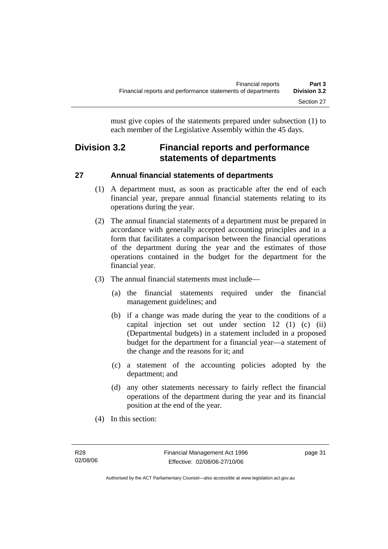must give copies of the statements prepared under subsection (1) to each member of the Legislative Assembly within the 45 days.

# **Division 3.2 Financial reports and performance statements of departments**

# **27 Annual financial statements of departments**

- (1) A department must, as soon as practicable after the end of each financial year, prepare annual financial statements relating to its operations during the year.
- (2) The annual financial statements of a department must be prepared in accordance with generally accepted accounting principles and in a form that facilitates a comparison between the financial operations of the department during the year and the estimates of those operations contained in the budget for the department for the financial year.
- (3) The annual financial statements must include—
	- (a) the financial statements required under the financial management guidelines; and
	- (b) if a change was made during the year to the conditions of a capital injection set out under section 12 (1) (c) (ii) (Departmental budgets) in a statement included in a proposed budget for the department for a financial year—a statement of the change and the reasons for it; and
	- (c) a statement of the accounting policies adopted by the department; and
	- (d) any other statements necessary to fairly reflect the financial operations of the department during the year and its financial position at the end of the year.
- (4) In this section: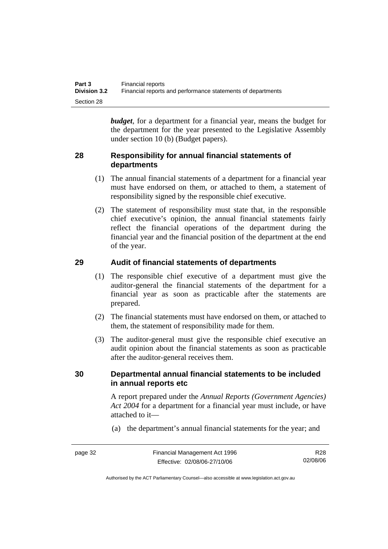| Part 3              | Financial reports                                           |
|---------------------|-------------------------------------------------------------|
| <b>Division 3.2</b> | Financial reports and performance statements of departments |
| Section 28          |                                                             |

*budget*, for a department for a financial year, means the budget for the department for the year presented to the Legislative Assembly under section 10 (b) (Budget papers).

#### **28 Responsibility for annual financial statements of departments**

- (1) The annual financial statements of a department for a financial year must have endorsed on them, or attached to them, a statement of responsibility signed by the responsible chief executive.
- (2) The statement of responsibility must state that, in the responsible chief executive's opinion, the annual financial statements fairly reflect the financial operations of the department during the financial year and the financial position of the department at the end of the year.

#### **29 Audit of financial statements of departments**

- (1) The responsible chief executive of a department must give the auditor-general the financial statements of the department for a financial year as soon as practicable after the statements are prepared.
- (2) The financial statements must have endorsed on them, or attached to them, the statement of responsibility made for them.
- (3) The auditor-general must give the responsible chief executive an audit opinion about the financial statements as soon as practicable after the auditor-general receives them.

#### **30 Departmental annual financial statements to be included in annual reports etc**

A report prepared under the *Annual Reports (Government Agencies) Act 2004* for a department for a financial year must include, or have attached to it—

(a) the department's annual financial statements for the year; and

R28 02/08/06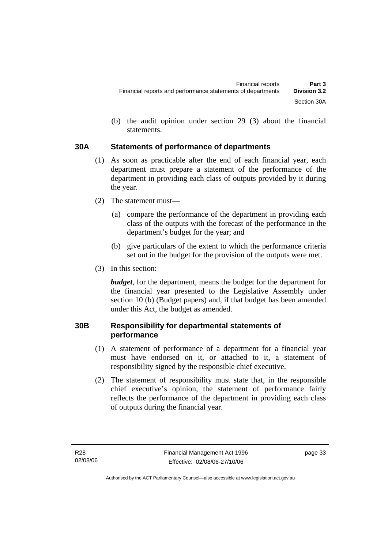(b) the audit opinion under section 29 (3) about the financial statements.

## **30A Statements of performance of departments**

- (1) As soon as practicable after the end of each financial year, each department must prepare a statement of the performance of the department in providing each class of outputs provided by it during the year.
- (2) The statement must—
	- (a) compare the performance of the department in providing each class of the outputs with the forecast of the performance in the department's budget for the year; and
	- (b) give particulars of the extent to which the performance criteria set out in the budget for the provision of the outputs were met.
- (3) In this section:

*budget*, for the department, means the budget for the department for the financial year presented to the Legislative Assembly under section 10 (b) (Budget papers) and, if that budget has been amended under this Act, the budget as amended.

## **30B Responsibility for departmental statements of performance**

- (1) A statement of performance of a department for a financial year must have endorsed on it, or attached to it, a statement of responsibility signed by the responsible chief executive.
- (2) The statement of responsibility must state that, in the responsible chief executive's opinion, the statement of performance fairly reflects the performance of the department in providing each class of outputs during the financial year.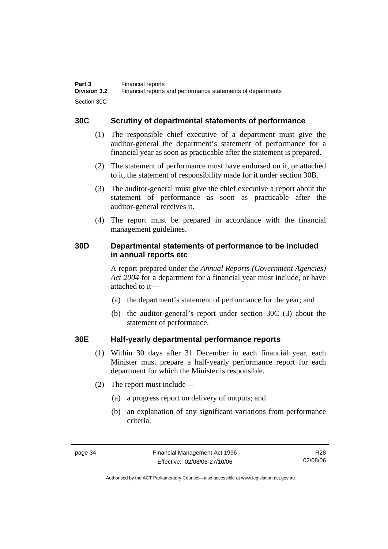#### **30C Scrutiny of departmental statements of performance**

- (1) The responsible chief executive of a department must give the auditor-general the department's statement of performance for a financial year as soon as practicable after the statement is prepared.
- (2) The statement of performance must have endorsed on it, or attached to it, the statement of responsibility made for it under section 30B.
- (3) The auditor-general must give the chief executive a report about the statement of performance as soon as practicable after the auditor-general receives it.
- (4) The report must be prepared in accordance with the financial management guidelines.

#### **30D Departmental statements of performance to be included in annual reports etc**

A report prepared under the *Annual Reports (Government Agencies) Act 2004* for a department for a financial year must include, or have attached to it—

- (a) the department's statement of performance for the year; and
- (b) the auditor-general's report under section 30C (3) about the statement of performance.

#### **30E Half-yearly departmental performance reports**

- (1) Within 30 days after 31 December in each financial year, each Minister must prepare a half-yearly performance report for each department for which the Minister is responsible.
- (2) The report must include—
	- (a) a progress report on delivery of outputs; and
	- (b) an explanation of any significant variations from performance criteria.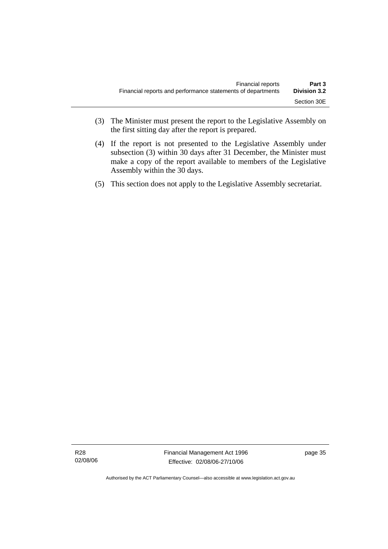- (3) The Minister must present the report to the Legislative Assembly on the first sitting day after the report is prepared.
- (4) If the report is not presented to the Legislative Assembly under subsection (3) within 30 days after 31 December, the Minister must make a copy of the report available to members of the Legislative Assembly within the 30 days.
- (5) This section does not apply to the Legislative Assembly secretariat.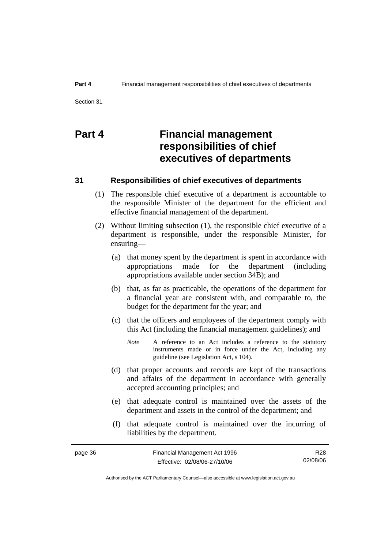# **Part 4 Financial management responsibilities of chief executives of departments**

#### **31 Responsibilities of chief executives of departments**

- (1) The responsible chief executive of a department is accountable to the responsible Minister of the department for the efficient and effective financial management of the department.
- (2) Without limiting subsection (1), the responsible chief executive of a department is responsible, under the responsible Minister, for ensuring—
	- (a) that money spent by the department is spent in accordance with appropriations made for the department (including appropriations available under section 34B); and
	- (b) that, as far as practicable, the operations of the department for a financial year are consistent with, and comparable to, the budget for the department for the year; and
	- (c) that the officers and employees of the department comply with this Act (including the financial management guidelines); and
		- *Note* A reference to an Act includes a reference to the statutory instruments made or in force under the Act, including any guideline (see Legislation Act, s 104).
	- (d) that proper accounts and records are kept of the transactions and affairs of the department in accordance with generally accepted accounting principles; and
	- (e) that adequate control is maintained over the assets of the department and assets in the control of the department; and
	- (f) that adequate control is maintained over the incurring of liabilities by the department.

| page 36 | Financial Management Act 1996 | R <sub>28</sub> |
|---------|-------------------------------|-----------------|
|         | Effective: 02/08/06-27/10/06  | 02/08/06        |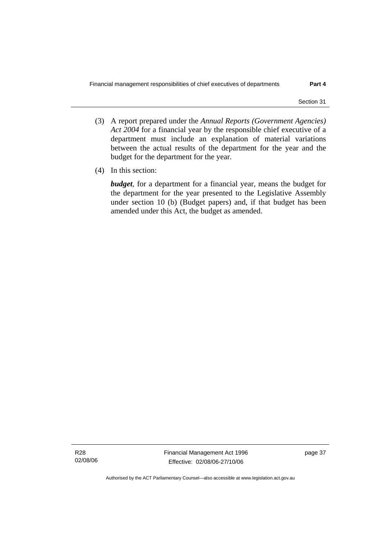- (3) A report prepared under the *Annual Reports (Government Agencies) Act 2004* for a financial year by the responsible chief executive of a department must include an explanation of material variations between the actual results of the department for the year and the budget for the department for the year.
- (4) In this section:

*budget*, for a department for a financial year, means the budget for the department for the year presented to the Legislative Assembly under section 10 (b) (Budget papers) and, if that budget has been amended under this Act, the budget as amended.

R28 02/08/06 Financial Management Act 1996 Effective: 02/08/06-27/10/06

page 37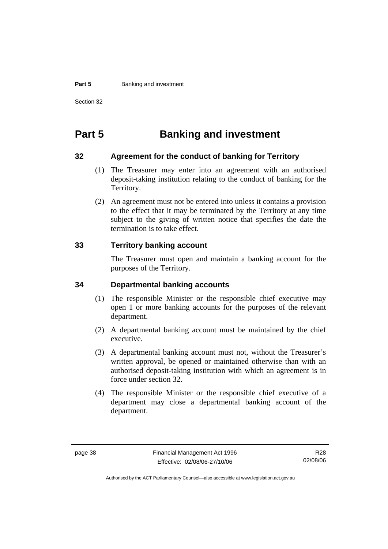#### **Part 5 Banking and investment**

Section 32

# **Part 5 Banking and investment**

#### **32 Agreement for the conduct of banking for Territory**

- (1) The Treasurer may enter into an agreement with an authorised deposit-taking institution relating to the conduct of banking for the Territory.
- (2) An agreement must not be entered into unless it contains a provision to the effect that it may be terminated by the Territory at any time subject to the giving of written notice that specifies the date the termination is to take effect.

#### **33 Territory banking account**

The Treasurer must open and maintain a banking account for the purposes of the Territory.

#### **34 Departmental banking accounts**

- (1) The responsible Minister or the responsible chief executive may open 1 or more banking accounts for the purposes of the relevant department.
- (2) A departmental banking account must be maintained by the chief executive.
- (3) A departmental banking account must not, without the Treasurer's written approval, be opened or maintained otherwise than with an authorised deposit-taking institution with which an agreement is in force under section 32.
- (4) The responsible Minister or the responsible chief executive of a department may close a departmental banking account of the department.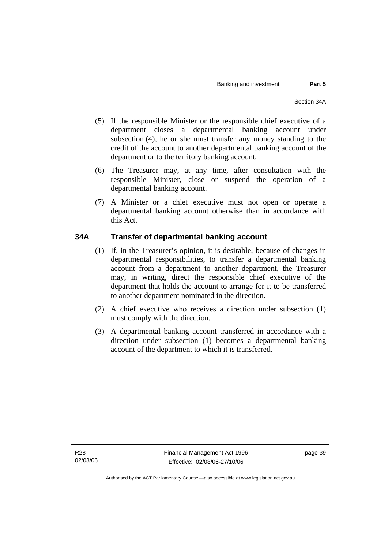- (5) If the responsible Minister or the responsible chief executive of a department closes a departmental banking account under subsection (4), he or she must transfer any money standing to the credit of the account to another departmental banking account of the department or to the territory banking account.
- (6) The Treasurer may, at any time, after consultation with the responsible Minister, close or suspend the operation of a departmental banking account.
- (7) A Minister or a chief executive must not open or operate a departmental banking account otherwise than in accordance with this Act.

## **34A Transfer of departmental banking account**

- (1) If, in the Treasurer's opinion, it is desirable, because of changes in departmental responsibilities, to transfer a departmental banking account from a department to another department, the Treasurer may, in writing, direct the responsible chief executive of the department that holds the account to arrange for it to be transferred to another department nominated in the direction.
- (2) A chief executive who receives a direction under subsection (1) must comply with the direction.
- (3) A departmental banking account transferred in accordance with a direction under subsection (1) becomes a departmental banking account of the department to which it is transferred.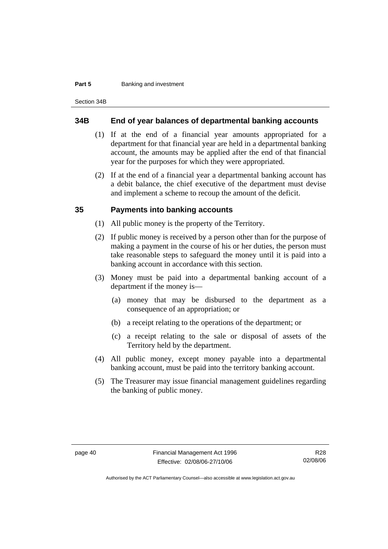#### **Part 5 Banking and investment**

Section 34B

#### **34B End of year balances of departmental banking accounts**

- (1) If at the end of a financial year amounts appropriated for a department for that financial year are held in a departmental banking account, the amounts may be applied after the end of that financial year for the purposes for which they were appropriated.
- (2) If at the end of a financial year a departmental banking account has a debit balance, the chief executive of the department must devise and implement a scheme to recoup the amount of the deficit.

#### **35 Payments into banking accounts**

- (1) All public money is the property of the Territory.
- (2) If public money is received by a person other than for the purpose of making a payment in the course of his or her duties, the person must take reasonable steps to safeguard the money until it is paid into a banking account in accordance with this section.
- (3) Money must be paid into a departmental banking account of a department if the money is—
	- (a) money that may be disbursed to the department as a consequence of an appropriation; or
	- (b) a receipt relating to the operations of the department; or
	- (c) a receipt relating to the sale or disposal of assets of the Territory held by the department.
- (4) All public money, except money payable into a departmental banking account, must be paid into the territory banking account.
- (5) The Treasurer may issue financial management guidelines regarding the banking of public money.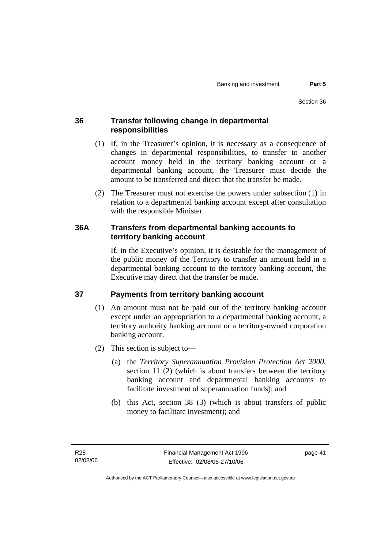#### **36 Transfer following change in departmental responsibilities**

- (1) If, in the Treasurer's opinion, it is necessary as a consequence of changes in departmental responsibilities, to transfer to another account money held in the territory banking account or a departmental banking account, the Treasurer must decide the amount to be transferred and direct that the transfer be made.
- (2) The Treasurer must not exercise the powers under subsection (1) in relation to a departmental banking account except after consultation with the responsible Minister.

#### **36A Transfers from departmental banking accounts to territory banking account**

If, in the Executive's opinion, it is desirable for the management of the public money of the Territory to transfer an amount held in a departmental banking account to the territory banking account, the Executive may direct that the transfer be made.

## **37 Payments from territory banking account**

- (1) An amount must not be paid out of the territory banking account except under an appropriation to a departmental banking account, a territory authority banking account or a territory-owned corporation banking account.
- (2) This section is subject to—
	- (a) the *Territory Superannuation Provision Protection Act 2000*, section 11 (2) (which is about transfers between the territory banking account and departmental banking accounts to facilitate investment of superannuation funds); and
	- (b) this Act, section 38 (3) (which is about transfers of public money to facilitate investment); and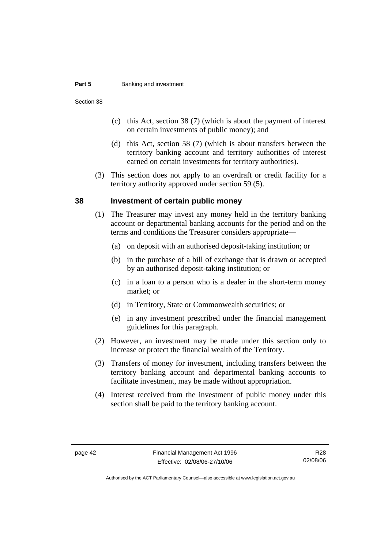#### **Part 5 Banking and investment**

Section 38

- (c) this Act, section 38 (7) (which is about the payment of interest on certain investments of public money); and
- (d) this Act, section 58 (7) (which is about transfers between the territory banking account and territory authorities of interest earned on certain investments for territory authorities).
- (3) This section does not apply to an overdraft or credit facility for a territory authority approved under section 59 (5).

#### **38 Investment of certain public money**

- (1) The Treasurer may invest any money held in the territory banking account or departmental banking accounts for the period and on the terms and conditions the Treasurer considers appropriate—
	- (a) on deposit with an authorised deposit-taking institution; or
	- (b) in the purchase of a bill of exchange that is drawn or accepted by an authorised deposit-taking institution; or
	- (c) in a loan to a person who is a dealer in the short-term money market; or
	- (d) in Territory, State or Commonwealth securities; or
	- (e) in any investment prescribed under the financial management guidelines for this paragraph.
- (2) However, an investment may be made under this section only to increase or protect the financial wealth of the Territory.
- (3) Transfers of money for investment, including transfers between the territory banking account and departmental banking accounts to facilitate investment, may be made without appropriation.
- (4) Interest received from the investment of public money under this section shall be paid to the territory banking account.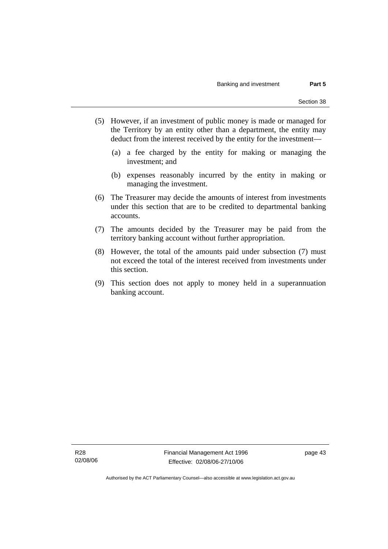- (5) However, if an investment of public money is made or managed for the Territory by an entity other than a department, the entity may deduct from the interest received by the entity for the investment—
	- (a) a fee charged by the entity for making or managing the investment; and
	- (b) expenses reasonably incurred by the entity in making or managing the investment.
- (6) The Treasurer may decide the amounts of interest from investments under this section that are to be credited to departmental banking accounts.
- (7) The amounts decided by the Treasurer may be paid from the territory banking account without further appropriation.
- (8) However, the total of the amounts paid under subsection (7) must not exceed the total of the interest received from investments under this section.
- (9) This section does not apply to money held in a superannuation banking account.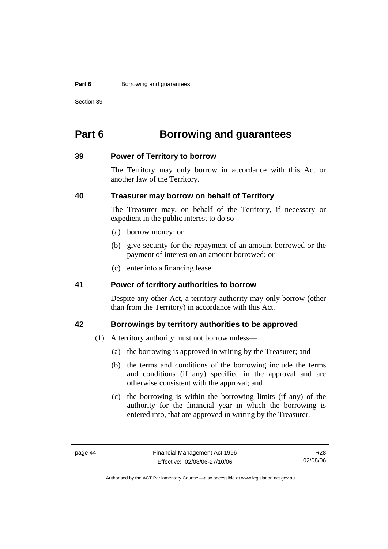#### **Part 6 Borrowing and guarantees**

Section 39

# **Part 6 Borrowing and guarantees**

#### **39 Power of Territory to borrow**

The Territory may only borrow in accordance with this Act or another law of the Territory.

#### **40 Treasurer may borrow on behalf of Territory**

The Treasurer may, on behalf of the Territory, if necessary or expedient in the public interest to do so—

- (a) borrow money; or
- (b) give security for the repayment of an amount borrowed or the payment of interest on an amount borrowed; or
- (c) enter into a financing lease.

#### **41 Power of territory authorities to borrow**

Despite any other Act, a territory authority may only borrow (other than from the Territory) in accordance with this Act.

#### **42 Borrowings by territory authorities to be approved**

- (1) A territory authority must not borrow unless—
	- (a) the borrowing is approved in writing by the Treasurer; and
	- (b) the terms and conditions of the borrowing include the terms and conditions (if any) specified in the approval and are otherwise consistent with the approval; and
	- (c) the borrowing is within the borrowing limits (if any) of the authority for the financial year in which the borrowing is entered into, that are approved in writing by the Treasurer.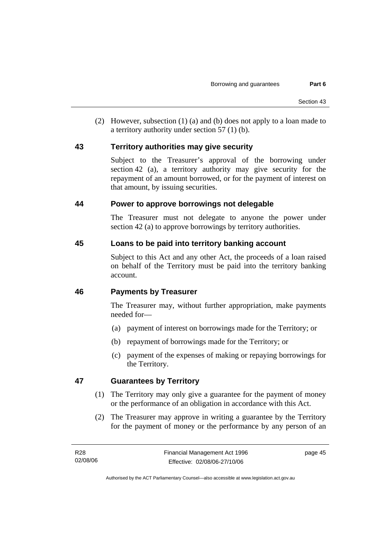(2) However, subsection (1) (a) and (b) does not apply to a loan made to a territory authority under section 57 (1) (b).

#### **43 Territory authorities may give security**

Subject to the Treasurer's approval of the borrowing under section 42 (a), a territory authority may give security for the repayment of an amount borrowed, or for the payment of interest on that amount, by issuing securities.

#### **44 Power to approve borrowings not delegable**

The Treasurer must not delegate to anyone the power under section 42 (a) to approve borrowings by territory authorities.

#### **45 Loans to be paid into territory banking account**

Subject to this Act and any other Act, the proceeds of a loan raised on behalf of the Territory must be paid into the territory banking account.

## **46 Payments by Treasurer**

The Treasurer may, without further appropriation, make payments needed for—

- (a) payment of interest on borrowings made for the Territory; or
- (b) repayment of borrowings made for the Territory; or
- (c) payment of the expenses of making or repaying borrowings for the Territory.

## **47 Guarantees by Territory**

- (1) The Territory may only give a guarantee for the payment of money or the performance of an obligation in accordance with this Act.
- (2) The Treasurer may approve in writing a guarantee by the Territory for the payment of money or the performance by any person of an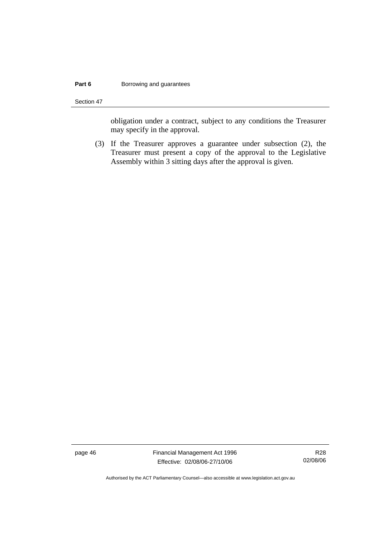#### **Part 6 Borrowing and guarantees**

Section 47

obligation under a contract, subject to any conditions the Treasurer may specify in the approval.

 (3) If the Treasurer approves a guarantee under subsection (2), the Treasurer must present a copy of the approval to the Legislative Assembly within 3 sitting days after the approval is given.

page 46 Financial Management Act 1996 Effective: 02/08/06-27/10/06

R28 02/08/06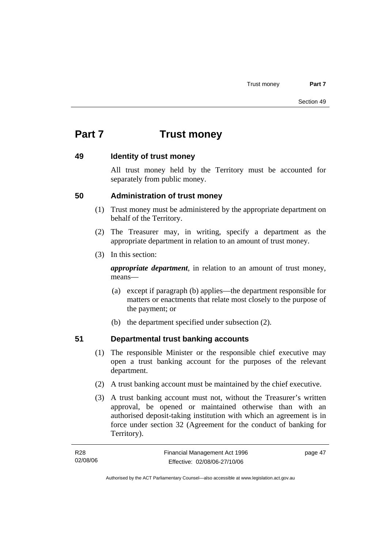# **Part 7 Trust money**

#### **49 Identity of trust money**

All trust money held by the Territory must be accounted for separately from public money.

#### **50 Administration of trust money**

- (1) Trust money must be administered by the appropriate department on behalf of the Territory.
- (2) The Treasurer may, in writing, specify a department as the appropriate department in relation to an amount of trust money.
- (3) In this section:

*appropriate department*, in relation to an amount of trust money, means—

- (a) except if paragraph (b) applies—the department responsible for matters or enactments that relate most closely to the purpose of the payment; or
- (b) the department specified under subsection (2).

## **51 Departmental trust banking accounts**

- (1) The responsible Minister or the responsible chief executive may open a trust banking account for the purposes of the relevant department.
- (2) A trust banking account must be maintained by the chief executive.
- (3) A trust banking account must not, without the Treasurer's written approval, be opened or maintained otherwise than with an authorised deposit-taking institution with which an agreement is in force under section 32 (Agreement for the conduct of banking for Territory).

| R28      | Financial Management Act 1996 | page 47 |
|----------|-------------------------------|---------|
| 02/08/06 | Effective: 02/08/06-27/10/06  |         |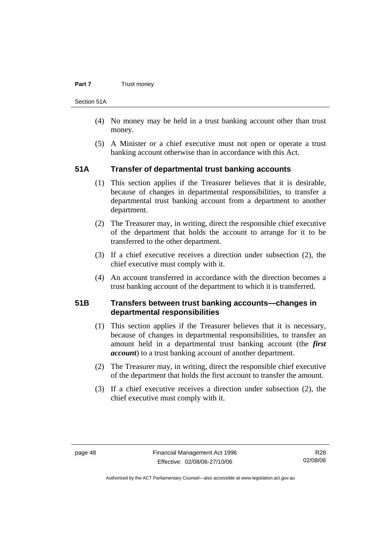#### **Part 7 Trust money**

Section 51A

- (4) No money may be held in a trust banking account other than trust money.
- (5) A Minister or a chief executive must not open or operate a trust banking account otherwise than in accordance with this Act.

#### **51A Transfer of departmental trust banking accounts**

- (1) This section applies if the Treasurer believes that it is desirable, because of changes in departmental responsibilities, to transfer a departmental trust banking account from a department to another department.
- (2) The Treasurer may, in writing, direct the responsible chief executive of the department that holds the account to arrange for it to be transferred to the other department.
- (3) If a chief executive receives a direction under subsection (2), the chief executive must comply with it.
- (4) An account transferred in accordance with the direction becomes a trust banking account of the department to which it is transferred.

#### **51B Transfers between trust banking accounts—changes in departmental responsibilities**

- (1) This section applies if the Treasurer believes that it is necessary, because of changes in departmental responsibilities, to transfer an amount held in a departmental trust banking account (the *first account*) to a trust banking account of another department.
- (2) The Treasurer may, in writing, direct the responsible chief executive of the department that holds the first account to transfer the amount.
- (3) If a chief executive receives a direction under subsection (2), the chief executive must comply with it.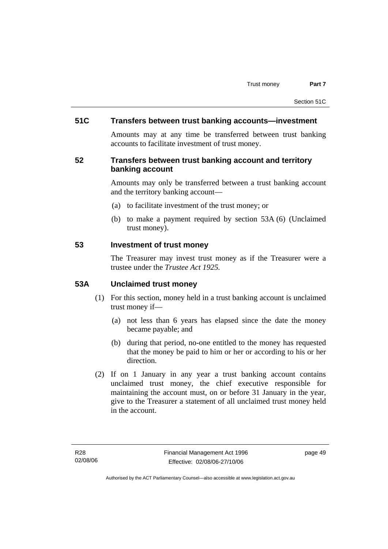#### **51C Transfers between trust banking accounts—investment**

Amounts may at any time be transferred between trust banking accounts to facilitate investment of trust money.

#### **52 Transfers between trust banking account and territory banking account**

Amounts may only be transferred between a trust banking account and the territory banking account—

- (a) to facilitate investment of the trust money; or
- (b) to make a payment required by section 53A (6) (Unclaimed trust money).

#### **53 Investment of trust money**

The Treasurer may invest trust money as if the Treasurer were a trustee under the *Trustee Act 1925.*

#### **53A Unclaimed trust money**

- (1) For this section, money held in a trust banking account is unclaimed trust money if—
	- (a) not less than 6 years has elapsed since the date the money became payable; and
	- (b) during that period, no-one entitled to the money has requested that the money be paid to him or her or according to his or her direction.
- (2) If on 1 January in any year a trust banking account contains unclaimed trust money, the chief executive responsible for maintaining the account must, on or before 31 January in the year, give to the Treasurer a statement of all unclaimed trust money held in the account.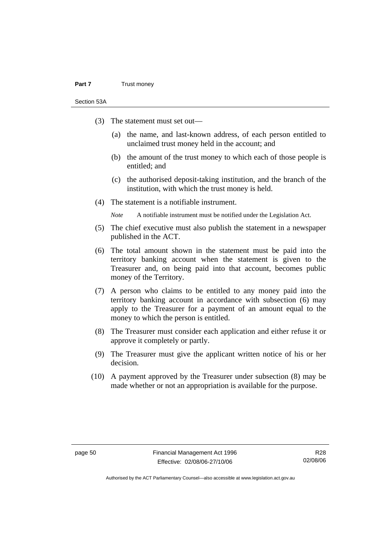#### **Part 7** Trust money

Section 53A

- (3) The statement must set out—
	- (a) the name, and last-known address, of each person entitled to unclaimed trust money held in the account; and
	- (b) the amount of the trust money to which each of those people is entitled; and
	- (c) the authorised deposit-taking institution, and the branch of the institution, with which the trust money is held.
- (4) The statement is a notifiable instrument.

*Note* A notifiable instrument must be notified under the Legislation Act.

- (5) The chief executive must also publish the statement in a newspaper published in the ACT.
- (6) The total amount shown in the statement must be paid into the territory banking account when the statement is given to the Treasurer and, on being paid into that account, becomes public money of the Territory.
- (7) A person who claims to be entitled to any money paid into the territory banking account in accordance with subsection (6) may apply to the Treasurer for a payment of an amount equal to the money to which the person is entitled.
- (8) The Treasurer must consider each application and either refuse it or approve it completely or partly.
- (9) The Treasurer must give the applicant written notice of his or her decision.
- (10) A payment approved by the Treasurer under subsection (8) may be made whether or not an appropriation is available for the purpose.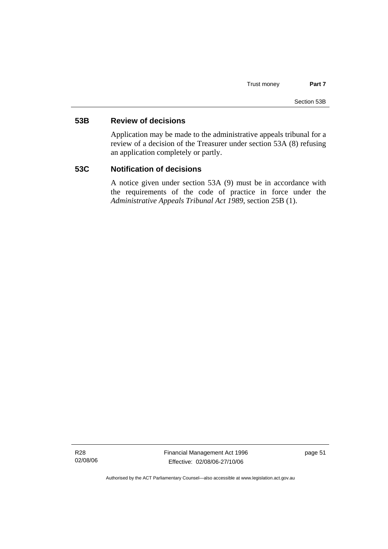#### **53B Review of decisions**

Application may be made to the administrative appeals tribunal for a review of a decision of the Treasurer under section 53A (8) refusing an application completely or partly.

#### **53C Notification of decisions**

A notice given under section 53A (9) must be in accordance with the requirements of the code of practice in force under the *Administrative Appeals Tribunal Act 1989*, section 25B (1).

R28 02/08/06 Financial Management Act 1996 Effective: 02/08/06-27/10/06

page 51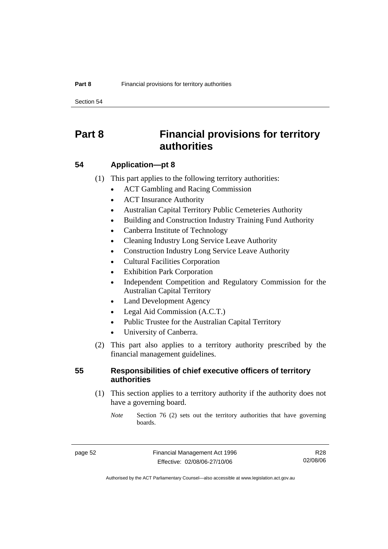Section 54

# **Part 8 Financial provisions for territory authorities**

#### **54 Application—pt 8**

(1) This part applies to the following territory authorities:

- ACT Gambling and Racing Commission
- ACT Insurance Authority
- Australian Capital Territory Public Cemeteries Authority
- Building and Construction Industry Training Fund Authority
- Canberra Institute of Technology
- Cleaning Industry Long Service Leave Authority
- Construction Industry Long Service Leave Authority
- Cultural Facilities Corporation
- **Exhibition Park Corporation**
- Independent Competition and Regulatory Commission for the Australian Capital Territory
- Land Development Agency
- Legal Aid Commission (A.C.T.)
- Public Trustee for the Australian Capital Territory
- University of Canberra.
- (2) This part also applies to a territory authority prescribed by the financial management guidelines.

#### **55 Responsibilities of chief executive officers of territory authorities**

 (1) This section applies to a territory authority if the authority does not have a governing board.

*Note* Section 76 (2) sets out the territory authorities that have governing boards.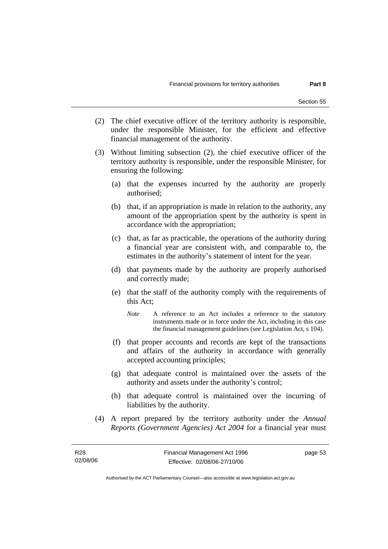- (2) The chief executive officer of the territory authority is responsible, under the responsible Minister, for the efficient and effective financial management of the authority.
- (3) Without limiting subsection (2), the chief executive officer of the territory authority is responsible, under the responsible Minister, for ensuring the following:
	- (a) that the expenses incurred by the authority are properly authorised;
	- (b) that, if an appropriation is made in relation to the authority, any amount of the appropriation spent by the authority is spent in accordance with the appropriation;
	- (c) that, as far as practicable, the operations of the authority during a financial year are consistent with, and comparable to, the estimates in the authority's statement of intent for the year.
	- (d) that payments made by the authority are properly authorised and correctly made;
	- (e) that the staff of the authority comply with the requirements of this Act;
		- *Note* A reference to an Act includes a reference to the statutory instruments made or in force under the Act, including in this case the financial management guidelines (see Legislation Act, s 104).
	- (f) that proper accounts and records are kept of the transactions and affairs of the authority in accordance with generally accepted accounting principles;
	- (g) that adequate control is maintained over the assets of the authority and assets under the authority's control;
	- (h) that adequate control is maintained over the incurring of liabilities by the authority.
- (4) A report prepared by the territory authority under the *Annual Reports (Government Agencies) Act 2004* for a financial year must

Authorised by the ACT Parliamentary Counsel—also accessible at www.legislation.act.gov.au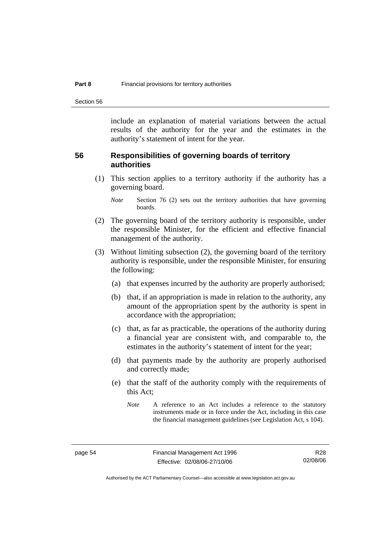Section 56

include an explanation of material variations between the actual results of the authority for the year and the estimates in the authority's statement of intent for the year.

#### **56 Responsibilities of governing boards of territory authorities**

 (1) This section applies to a territory authority if the authority has a governing board.

- (2) The governing board of the territory authority is responsible, under the responsible Minister, for the efficient and effective financial management of the authority.
- (3) Without limiting subsection (2), the governing board of the territory authority is responsible, under the responsible Minister, for ensuring the following:
	- (a) that expenses incurred by the authority are properly authorised;
	- (b) that, if an appropriation is made in relation to the authority, any amount of the appropriation spent by the authority is spent in accordance with the appropriation;
	- (c) that, as far as practicable, the operations of the authority during a financial year are consistent with, and comparable to, the estimates in the authority's statement of intent for the year;
	- (d) that payments made by the authority are properly authorised and correctly made;
	- (e) that the staff of the authority comply with the requirements of this Act;

*Note* Section 76 (2) sets out the territory authorities that have governing boards.

*Note* A reference to an Act includes a reference to the statutory instruments made or in force under the Act, including in this case the financial management guidelines (see Legislation Act, s 104).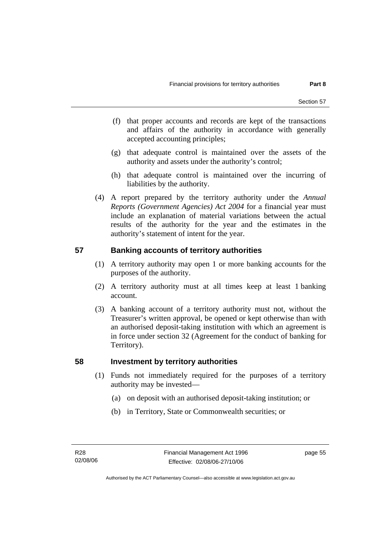- (f) that proper accounts and records are kept of the transactions and affairs of the authority in accordance with generally accepted accounting principles;
- (g) that adequate control is maintained over the assets of the authority and assets under the authority's control;
- (h) that adequate control is maintained over the incurring of liabilities by the authority.
- (4) A report prepared by the territory authority under the *Annual Reports (Government Agencies) Act 2004* for a financial year must include an explanation of material variations between the actual results of the authority for the year and the estimates in the authority's statement of intent for the year.

## **57 Banking accounts of territory authorities**

- (1) A territory authority may open 1 or more banking accounts for the purposes of the authority.
- (2) A territory authority must at all times keep at least 1 banking account.
- (3) A banking account of a territory authority must not, without the Treasurer's written approval, be opened or kept otherwise than with an authorised deposit-taking institution with which an agreement is in force under section 32 (Agreement for the conduct of banking for Territory).

#### **58 Investment by territory authorities**

- (1) Funds not immediately required for the purposes of a territory authority may be invested—
	- (a) on deposit with an authorised deposit-taking institution; or
	- (b) in Territory, State or Commonwealth securities; or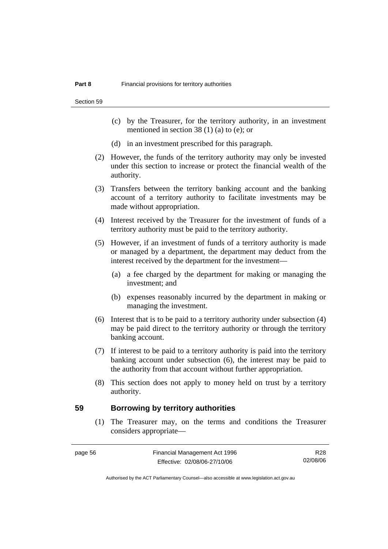Section 59

- (c) by the Treasurer, for the territory authority, in an investment mentioned in section 38 (1) (a) to (e); or
- (d) in an investment prescribed for this paragraph.
- (2) However, the funds of the territory authority may only be invested under this section to increase or protect the financial wealth of the authority.
- (3) Transfers between the territory banking account and the banking account of a territory authority to facilitate investments may be made without appropriation.
- (4) Interest received by the Treasurer for the investment of funds of a territory authority must be paid to the territory authority.
- (5) However, if an investment of funds of a territory authority is made or managed by a department, the department may deduct from the interest received by the department for the investment—
	- (a) a fee charged by the department for making or managing the investment; and
	- (b) expenses reasonably incurred by the department in making or managing the investment.
- (6) Interest that is to be paid to a territory authority under subsection (4) may be paid direct to the territory authority or through the territory banking account.
- (7) If interest to be paid to a territory authority is paid into the territory banking account under subsection (6), the interest may be paid to the authority from that account without further appropriation.
- (8) This section does not apply to money held on trust by a territory authority.

#### **59 Borrowing by territory authorities**

 (1) The Treasurer may, on the terms and conditions the Treasurer considers appropriate—

R28 02/08/06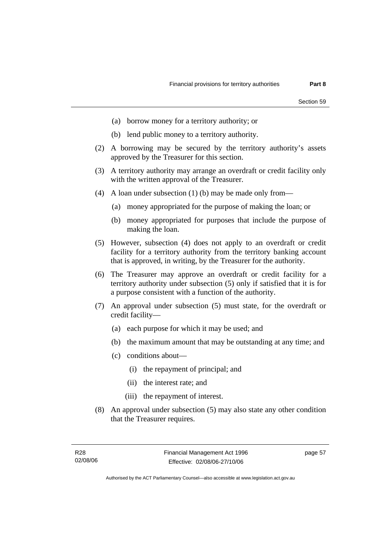- (a) borrow money for a territory authority; or
- (b) lend public money to a territory authority.
- (2) A borrowing may be secured by the territory authority's assets approved by the Treasurer for this section.
- (3) A territory authority may arrange an overdraft or credit facility only with the written approval of the Treasurer.
- (4) A loan under subsection (1) (b) may be made only from—
	- (a) money appropriated for the purpose of making the loan; or
	- (b) money appropriated for purposes that include the purpose of making the loan.
- (5) However, subsection (4) does not apply to an overdraft or credit facility for a territory authority from the territory banking account that is approved, in writing, by the Treasurer for the authority.
- (6) The Treasurer may approve an overdraft or credit facility for a territory authority under subsection (5) only if satisfied that it is for a purpose consistent with a function of the authority.
- (7) An approval under subsection (5) must state, for the overdraft or credit facility—
	- (a) each purpose for which it may be used; and
	- (b) the maximum amount that may be outstanding at any time; and
	- (c) conditions about—
		- (i) the repayment of principal; and
		- (ii) the interest rate; and
		- (iii) the repayment of interest.
- (8) An approval under subsection (5) may also state any other condition that the Treasurer requires.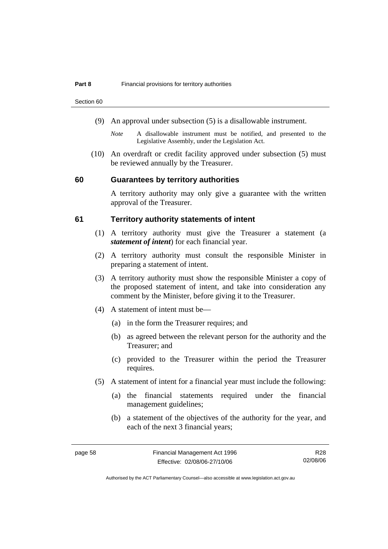Section 60

- (9) An approval under subsection (5) is a disallowable instrument.
	- *Note* A disallowable instrument must be notified, and presented to the Legislative Assembly, under the Legislation Act.
- (10) An overdraft or credit facility approved under subsection (5) must be reviewed annually by the Treasurer.

#### **60 Guarantees by territory authorities**

A territory authority may only give a guarantee with the written approval of the Treasurer.

#### **61 Territory authority statements of intent**

- (1) A territory authority must give the Treasurer a statement (a *statement of intent*) for each financial year.
- (2) A territory authority must consult the responsible Minister in preparing a statement of intent.
- (3) A territory authority must show the responsible Minister a copy of the proposed statement of intent, and take into consideration any comment by the Minister, before giving it to the Treasurer.
- (4) A statement of intent must be—
	- (a) in the form the Treasurer requires; and
	- (b) as agreed between the relevant person for the authority and the Treasurer; and
	- (c) provided to the Treasurer within the period the Treasurer requires.
- (5) A statement of intent for a financial year must include the following:
	- (a) the financial statements required under the financial management guidelines;
	- (b) a statement of the objectives of the authority for the year, and each of the next 3 financial years;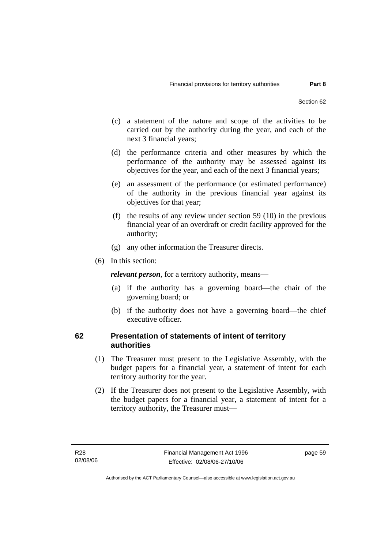- (c) a statement of the nature and scope of the activities to be carried out by the authority during the year, and each of the next 3 financial years;
- (d) the performance criteria and other measures by which the performance of the authority may be assessed against its objectives for the year, and each of the next 3 financial years;
- (e) an assessment of the performance (or estimated performance) of the authority in the previous financial year against its objectives for that year;
- (f) the results of any review under section 59 (10) in the previous financial year of an overdraft or credit facility approved for the authority;
- (g) any other information the Treasurer directs.
- (6) In this section:

*relevant person*, for a territory authority, means—

- (a) if the authority has a governing board—the chair of the governing board; or
- (b) if the authority does not have a governing board—the chief executive officer.

#### **62 Presentation of statements of intent of territory authorities**

- (1) The Treasurer must present to the Legislative Assembly, with the budget papers for a financial year, a statement of intent for each territory authority for the year.
- (2) If the Treasurer does not present to the Legislative Assembly, with the budget papers for a financial year, a statement of intent for a territory authority, the Treasurer must—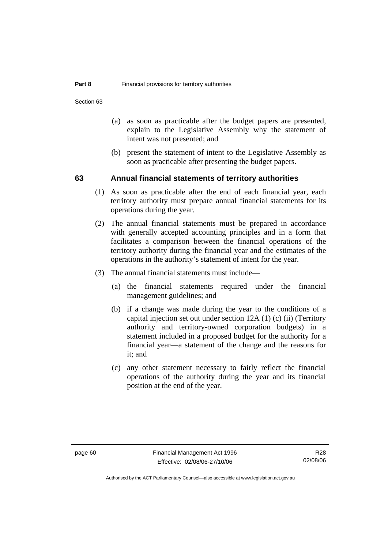Section 63

- (a) as soon as practicable after the budget papers are presented, explain to the Legislative Assembly why the statement of intent was not presented; and
- (b) present the statement of intent to the Legislative Assembly as soon as practicable after presenting the budget papers.

#### **63 Annual financial statements of territory authorities**

- (1) As soon as practicable after the end of each financial year, each territory authority must prepare annual financial statements for its operations during the year.
- (2) The annual financial statements must be prepared in accordance with generally accepted accounting principles and in a form that facilitates a comparison between the financial operations of the territory authority during the financial year and the estimates of the operations in the authority's statement of intent for the year.
- (3) The annual financial statements must include—
	- (a) the financial statements required under the financial management guidelines; and
	- (b) if a change was made during the year to the conditions of a capital injection set out under section 12A (1) (c) (ii) (Territory authority and territory-owned corporation budgets) in a statement included in a proposed budget for the authority for a financial year—a statement of the change and the reasons for it; and
	- (c) any other statement necessary to fairly reflect the financial operations of the authority during the year and its financial position at the end of the year.

R28 02/08/06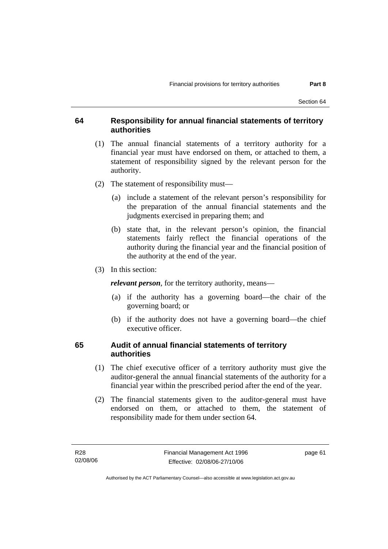#### **64 Responsibility for annual financial statements of territory authorities**

- (1) The annual financial statements of a territory authority for a financial year must have endorsed on them, or attached to them, a statement of responsibility signed by the relevant person for the authority.
- (2) The statement of responsibility must—
	- (a) include a statement of the relevant person's responsibility for the preparation of the annual financial statements and the judgments exercised in preparing them; and
	- (b) state that, in the relevant person's opinion, the financial statements fairly reflect the financial operations of the authority during the financial year and the financial position of the authority at the end of the year.
- (3) In this section:

*relevant person*, for the territory authority, means—

- (a) if the authority has a governing board—the chair of the governing board; or
- (b) if the authority does not have a governing board—the chief executive officer.

#### **65 Audit of annual financial statements of territory authorities**

- (1) The chief executive officer of a territory authority must give the auditor-general the annual financial statements of the authority for a financial year within the prescribed period after the end of the year.
- (2) The financial statements given to the auditor-general must have endorsed on them, or attached to them, the statement of responsibility made for them under section 64.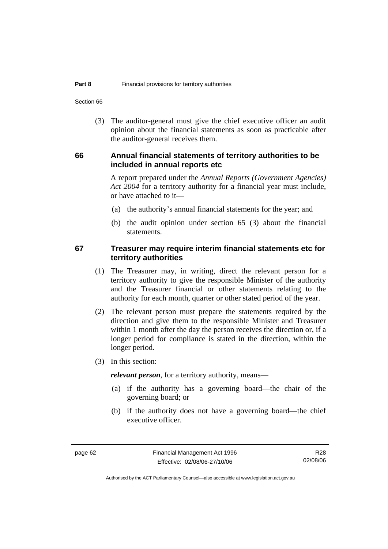Section 66

 (3) The auditor-general must give the chief executive officer an audit opinion about the financial statements as soon as practicable after the auditor-general receives them.

#### **66 Annual financial statements of territory authorities to be included in annual reports etc**

A report prepared under the *Annual Reports (Government Agencies) Act 2004* for a territory authority for a financial year must include, or have attached to it—

- (a) the authority's annual financial statements for the year; and
- (b) the audit opinion under section 65 (3) about the financial statements.

#### **67 Treasurer may require interim financial statements etc for territory authorities**

- (1) The Treasurer may, in writing, direct the relevant person for a territory authority to give the responsible Minister of the authority and the Treasurer financial or other statements relating to the authority for each month, quarter or other stated period of the year.
- (2) The relevant person must prepare the statements required by the direction and give them to the responsible Minister and Treasurer within 1 month after the day the person receives the direction or, if a longer period for compliance is stated in the direction, within the longer period.
- (3) In this section:

*relevant person*, for a territory authority, means—

- (a) if the authority has a governing board—the chair of the governing board; or
- (b) if the authority does not have a governing board—the chief executive officer.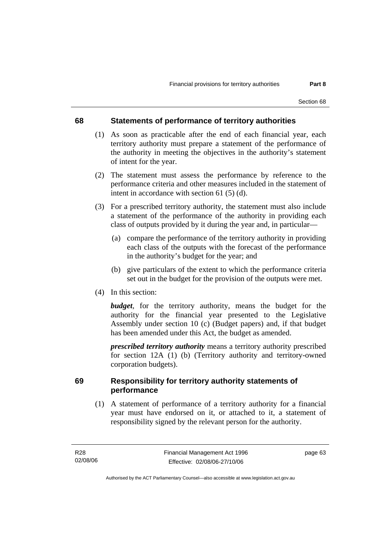### **68 Statements of performance of territory authorities**

- (1) As soon as practicable after the end of each financial year, each territory authority must prepare a statement of the performance of the authority in meeting the objectives in the authority's statement of intent for the year.
- (2) The statement must assess the performance by reference to the performance criteria and other measures included in the statement of intent in accordance with section 61 (5) (d).
- (3) For a prescribed territory authority, the statement must also include a statement of the performance of the authority in providing each class of outputs provided by it during the year and, in particular—
	- (a) compare the performance of the territory authority in providing each class of the outputs with the forecast of the performance in the authority's budget for the year; and
	- (b) give particulars of the extent to which the performance criteria set out in the budget for the provision of the outputs were met.
- (4) In this section:

*budget*, for the territory authority, means the budget for the authority for the financial year presented to the Legislative Assembly under section 10 (c) (Budget papers) and, if that budget has been amended under this Act, the budget as amended.

*prescribed territory authority* means a territory authority prescribed for section 12A (1) (b) (Territory authority and territory-owned corporation budgets).

### **69 Responsibility for territory authority statements of performance**

 (1) A statement of performance of a territory authority for a financial year must have endorsed on it, or attached to it, a statement of responsibility signed by the relevant person for the authority.

page 63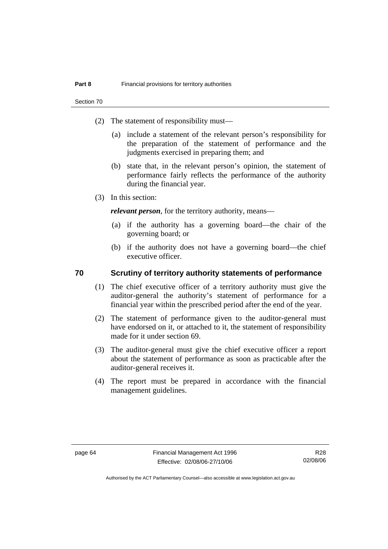Section 70

- (2) The statement of responsibility must—
	- (a) include a statement of the relevant person's responsibility for the preparation of the statement of performance and the judgments exercised in preparing them; and
	- (b) state that, in the relevant person's opinion, the statement of performance fairly reflects the performance of the authority during the financial year.
- (3) In this section:

*relevant person*, for the territory authority, means—

- (a) if the authority has a governing board—the chair of the governing board; or
- (b) if the authority does not have a governing board—the chief executive officer.

### **70 Scrutiny of territory authority statements of performance**

- (1) The chief executive officer of a territory authority must give the auditor-general the authority's statement of performance for a financial year within the prescribed period after the end of the year.
- (2) The statement of performance given to the auditor-general must have endorsed on it, or attached to it, the statement of responsibility made for it under section 69.
- (3) The auditor-general must give the chief executive officer a report about the statement of performance as soon as practicable after the auditor-general receives it.
- (4) The report must be prepared in accordance with the financial management guidelines.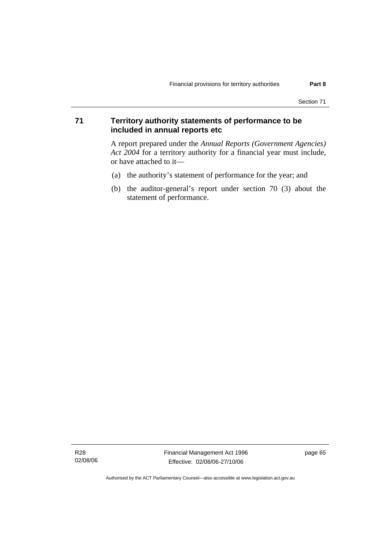## **71 Territory authority statements of performance to be included in annual reports etc**

A report prepared under the *Annual Reports (Government Agencies) Act 2004* for a territory authority for a financial year must include, or have attached to it—

- (a) the authority's statement of performance for the year; and
- (b) the auditor-general's report under section 70 (3) about the statement of performance.

R28 02/08/06 Financial Management Act 1996 Effective: 02/08/06-27/10/06

page 65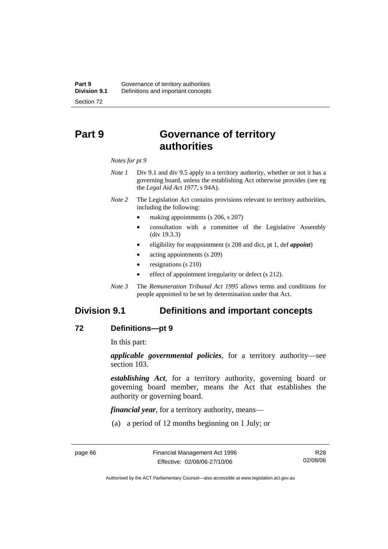# **Part 9 Governance of territory authorities**

#### *Notes for pt 9*

- *Note 1* Div 9.1 and div 9.5 apply to a territory authority, whether or not it has a governing board, unless the establishing Act otherwise provides (see eg the *Legal Aid Act 1977*, s 94A).
- *Note 2* The Legislation Act contains provisions relevant to territory authorities, including the following:
	- making appointments (s 206, s 207)
	- consultation with a committee of the Legislative Assembly (div 19.3.3)
	- eligibility for reappointment (s 208 and dict, pt 1, def *appoint*)
	- acting appointments (s 209)
	- resignations (s 210)
	- effect of appointment irregularity or defect (s 212).
- *Note 3* The *Remuneration Tribunal Act 1995* allows terms and conditions for people appointed to be set by determination under that Act.

# **Division 9.1 Definitions and important concepts**

### **72 Definitions—pt 9**

In this part:

*applicable governmental policies*, for a territory authority—see section 103.

*establishing Act*, for a territory authority, governing board or governing board member, means the Act that establishes the authority or governing board.

*financial year*, for a territory authority, means—

(a) a period of 12 months beginning on 1 July; or

R28 02/08/06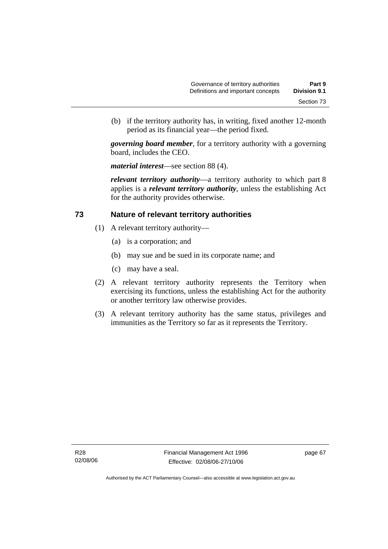(b) if the territory authority has, in writing, fixed another 12-month period as its financial year—the period fixed.

*governing board member*, for a territory authority with a governing board, includes the CEO.

*material interest*—see section 88 (4).

*relevant territory authority*—a territory authority to which part 8 applies is a *relevant territory authority*, unless the establishing Act for the authority provides otherwise.

### **73 Nature of relevant territory authorities**

- (1) A relevant territory authority—
	- (a) is a corporation; and
	- (b) may sue and be sued in its corporate name; and
	- (c) may have a seal.
- (2) A relevant territory authority represents the Territory when exercising its functions, unless the establishing Act for the authority or another territory law otherwise provides.
- (3) A relevant territory authority has the same status, privileges and immunities as the Territory so far as it represents the Territory.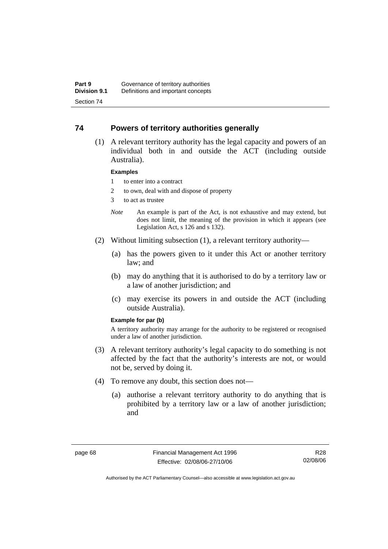### **74 Powers of territory authorities generally**

 (1) A relevant territory authority has the legal capacity and powers of an individual both in and outside the ACT (including outside Australia).

### **Examples**

- 1 to enter into a contract
- 2 to own, deal with and dispose of property
- 3 to act as trustee
- *Note* An example is part of the Act, is not exhaustive and may extend, but does not limit, the meaning of the provision in which it appears (see Legislation Act, s 126 and s 132).
- (2) Without limiting subsection (1), a relevant territory authority—
	- (a) has the powers given to it under this Act or another territory law; and
	- (b) may do anything that it is authorised to do by a territory law or a law of another jurisdiction; and
	- (c) may exercise its powers in and outside the ACT (including outside Australia).

### **Example for par (b)**

A territory authority may arrange for the authority to be registered or recognised under a law of another jurisdiction.

- (3) A relevant territory authority's legal capacity to do something is not affected by the fact that the authority's interests are not, or would not be, served by doing it.
- (4) To remove any doubt, this section does not—
	- (a) authorise a relevant territory authority to do anything that is prohibited by a territory law or a law of another jurisdiction; and

R28 02/08/06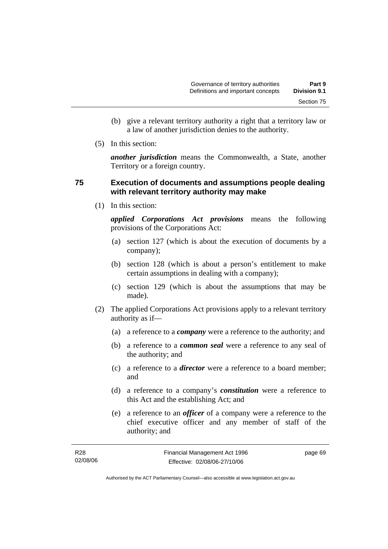- (b) give a relevant territory authority a right that a territory law or a law of another jurisdiction denies to the authority.
- (5) In this section:

*another jurisdiction* means the Commonwealth, a State, another Territory or a foreign country.

### **75 Execution of documents and assumptions people dealing with relevant territory authority may make**

(1) In this section:

*applied Corporations Act provisions* means the following provisions of the Corporations Act:

- (a) section 127 (which is about the execution of documents by a company);
- (b) section 128 (which is about a person's entitlement to make certain assumptions in dealing with a company);
- (c) section 129 (which is about the assumptions that may be made).
- (2) The applied Corporations Act provisions apply to a relevant territory authority as if—
	- (a) a reference to a *company* were a reference to the authority; and
	- (b) a reference to a *common seal* were a reference to any seal of the authority; and
	- (c) a reference to a *director* were a reference to a board member; and
	- (d) a reference to a company's *constitution* were a reference to this Act and the establishing Act; and
	- (e) a reference to an *officer* of a company were a reference to the chief executive officer and any member of staff of the authority; and

| R28      | Financial Management Act 1996 | page 69 |
|----------|-------------------------------|---------|
| 02/08/06 | Effective: 02/08/06-27/10/06  |         |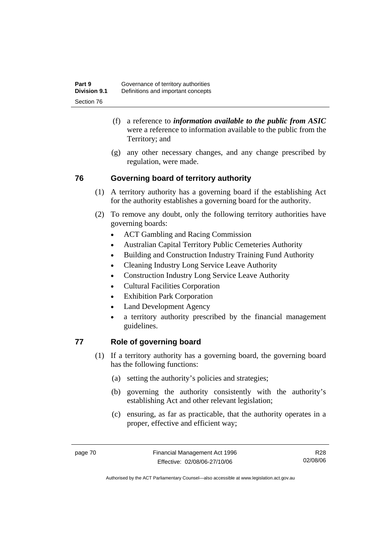- (f) a reference to *information available to the public from ASIC*  were a reference to information available to the public from the Territory; and
- (g) any other necessary changes, and any change prescribed by regulation, were made.

# **76 Governing board of territory authority**

- (1) A territory authority has a governing board if the establishing Act for the authority establishes a governing board for the authority.
- (2) To remove any doubt, only the following territory authorities have governing boards:
	- ACT Gambling and Racing Commission
	- Australian Capital Territory Public Cemeteries Authority
	- Building and Construction Industry Training Fund Authority
	- Cleaning Industry Long Service Leave Authority
	- Construction Industry Long Service Leave Authority
	- Cultural Facilities Corporation
	- Exhibition Park Corporation
	- Land Development Agency
	- a territory authority prescribed by the financial management guidelines.

# **77 Role of governing board**

- (1) If a territory authority has a governing board, the governing board has the following functions:
	- (a) setting the authority's policies and strategies;
	- (b) governing the authority consistently with the authority's establishing Act and other relevant legislation;
	- (c) ensuring, as far as practicable, that the authority operates in a proper, effective and efficient way;

R28 02/08/06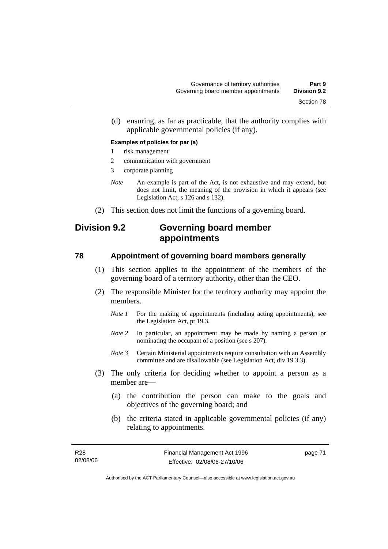(d) ensuring, as far as practicable, that the authority complies with applicable governmental policies (if any).

### **Examples of policies for par (a)**

- 1 risk management
- 2 communication with government
- 3 corporate planning
- *Note* An example is part of the Act, is not exhaustive and may extend, but does not limit, the meaning of the provision in which it appears (see Legislation Act, s 126 and s 132).
- (2) This section does not limit the functions of a governing board.

# **Division 9.2 Governing board member appointments**

### **78 Appointment of governing board members generally**

- (1) This section applies to the appointment of the members of the governing board of a territory authority, other than the CEO.
- (2) The responsible Minister for the territory authority may appoint the members.
	- *Note 1* For the making of appointments (including acting appointments), see the Legislation Act, pt 19.3.
	- *Note 2* In particular, an appointment may be made by naming a person or nominating the occupant of a position (see s 207).
	- *Note 3* Certain Ministerial appointments require consultation with an Assembly committee and are disallowable (see Legislation Act, div 19.3.3).
- (3) The only criteria for deciding whether to appoint a person as a member are—
	- (a) the contribution the person can make to the goals and objectives of the governing board; and
	- (b) the criteria stated in applicable governmental policies (if any) relating to appointments.

page 71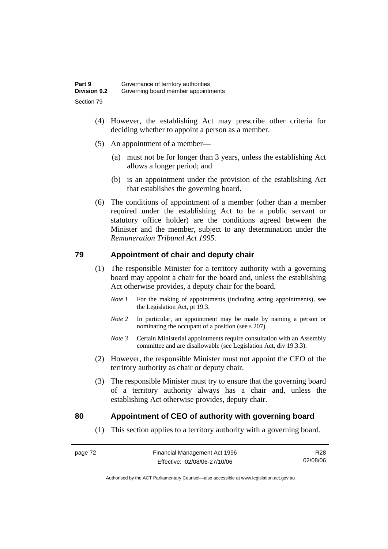- (4) However, the establishing Act may prescribe other criteria for deciding whether to appoint a person as a member.
- (5) An appointment of a member—
	- (a) must not be for longer than 3 years, unless the establishing Act allows a longer period; and
	- (b) is an appointment under the provision of the establishing Act that establishes the governing board.
- (6) The conditions of appointment of a member (other than a member required under the establishing Act to be a public servant or statutory office holder) are the conditions agreed between the Minister and the member, subject to any determination under the *Remuneration Tribunal Act 1995*.

## **79 Appointment of chair and deputy chair**

- (1) The responsible Minister for a territory authority with a governing board may appoint a chair for the board and, unless the establishing Act otherwise provides, a deputy chair for the board.
	- *Note 1* For the making of appointments (including acting appointments), see the Legislation Act, pt 19.3.
	- *Note 2* In particular, an appointment may be made by naming a person or nominating the occupant of a position (see s 207).
	- *Note 3* Certain Ministerial appointments require consultation with an Assembly committee and are disallowable (see Legislation Act, div 19.3.3).
- (2) However, the responsible Minister must not appoint the CEO of the territory authority as chair or deputy chair.
- (3) The responsible Minister must try to ensure that the governing board of a territory authority always has a chair and, unless the establishing Act otherwise provides, deputy chair.

## **80 Appointment of CEO of authority with governing board**

(1) This section applies to a territory authority with a governing board.

R28 02/08/06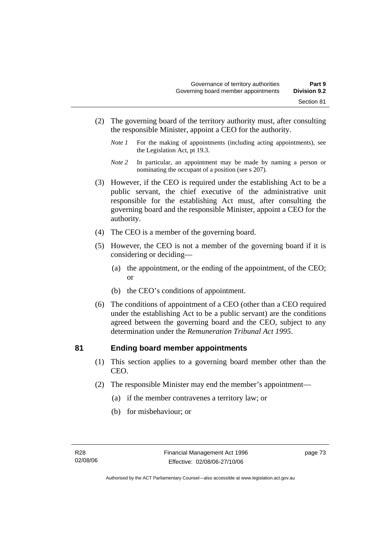- (2) The governing board of the territory authority must, after consulting the responsible Minister, appoint a CEO for the authority.
	- *Note 1* For the making of appointments (including acting appointments), see the Legislation Act, pt 19.3.
	- *Note 2* In particular, an appointment may be made by naming a person or nominating the occupant of a position (see s 207).
- (3) However, if the CEO is required under the establishing Act to be a public servant, the chief executive of the administrative unit responsible for the establishing Act must, after consulting the governing board and the responsible Minister, appoint a CEO for the authority.
- (4) The CEO is a member of the governing board.
- (5) However, the CEO is not a member of the governing board if it is considering or deciding—
	- (a) the appointment, or the ending of the appointment, of the CEO; or
	- (b) the CEO's conditions of appointment.
- (6) The conditions of appointment of a CEO (other than a CEO required under the establishing Act to be a public servant) are the conditions agreed between the governing board and the CEO, subject to any determination under the *Remuneration Tribunal Act 1995*.

### **81 Ending board member appointments**

- (1) This section applies to a governing board member other than the CEO.
- (2) The responsible Minister may end the member's appointment—
	- (a) if the member contravenes a territory law; or
	- (b) for misbehaviour; or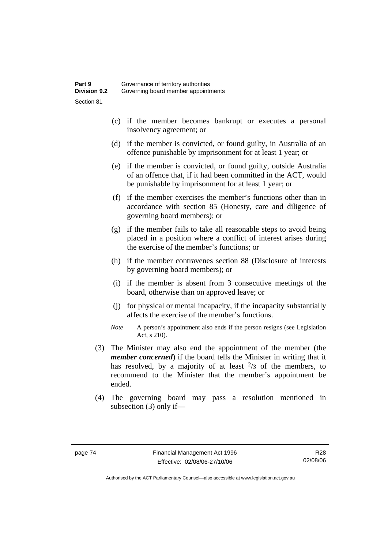- (c) if the member becomes bankrupt or executes a personal insolvency agreement; or
- (d) if the member is convicted, or found guilty, in Australia of an offence punishable by imprisonment for at least 1 year; or
- (e) if the member is convicted, or found guilty, outside Australia of an offence that, if it had been committed in the ACT, would be punishable by imprisonment for at least 1 year; or
- (f) if the member exercises the member's functions other than in accordance with section 85 (Honesty, care and diligence of governing board members); or
- (g) if the member fails to take all reasonable steps to avoid being placed in a position where a conflict of interest arises during the exercise of the member's functions; or
- (h) if the member contravenes section 88 (Disclosure of interests by governing board members); or
- (i) if the member is absent from 3 consecutive meetings of the board, otherwise than on approved leave; or
- (j) for physical or mental incapacity, if the incapacity substantially affects the exercise of the member's functions.
- *Note* A person's appointment also ends if the person resigns (see Legislation Act, s 210).
- (3) The Minister may also end the appointment of the member (the *member concerned*) if the board tells the Minister in writing that it has resolved, by a majority of at least  $\frac{2}{3}$  of the members, to recommend to the Minister that the member's appointment be ended.
- (4) The governing board may pass a resolution mentioned in subsection (3) only if—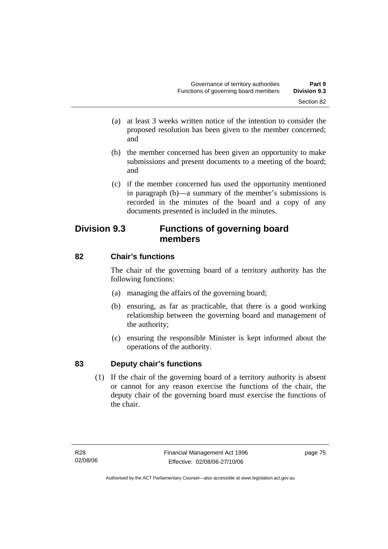- (a) at least 3 weeks written notice of the intention to consider the proposed resolution has been given to the member concerned; and
- (b) the member concerned has been given an opportunity to make submissions and present documents to a meeting of the board; and
- (c) if the member concerned has used the opportunity mentioned in paragraph (b)—a summary of the member's submissions is recorded in the minutes of the board and a copy of any documents presented is included in the minutes.

# **Division 9.3 Functions of governing board members**

# **82 Chair's functions**

The chair of the governing board of a territory authority has the following functions:

- (a) managing the affairs of the governing board;
- (b) ensuring, as far as practicable, that there is a good working relationship between the governing board and management of the authority;
- (c) ensuring the responsible Minister is kept informed about the operations of the authority.

# **83 Deputy chair's functions**

 (1) If the chair of the governing board of a territory authority is absent or cannot for any reason exercise the functions of the chair, the deputy chair of the governing board must exercise the functions of the chair.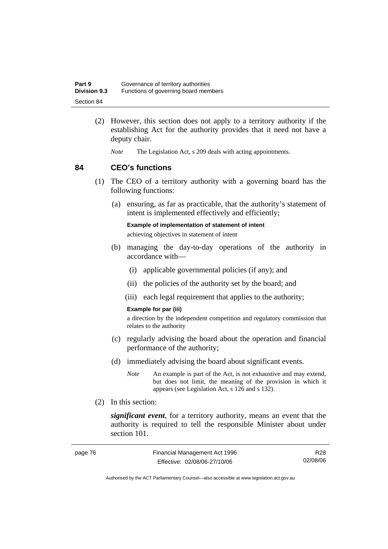| Part 9              | Governance of territory authorities  |
|---------------------|--------------------------------------|
| <b>Division 9.3</b> | Functions of governing board members |
| Section 84          |                                      |

- (2) However, this section does not apply to a territory authority if the establishing Act for the authority provides that it need not have a deputy chair.
	- *Note* The Legislation Act, s 209 deals with acting appointments.

### **84 CEO's functions**

- (1) The CEO of a territory authority with a governing board has the following functions:
	- (a) ensuring, as far as practicable, that the authority's statement of intent is implemented effectively and efficiently;

**Example of implementation of statement of intent** 

achieving objectives in statement of intent

- (b) managing the day-to-day operations of the authority in accordance with—
	- (i) applicable governmental policies (if any); and
	- (ii) the policies of the authority set by the board; and
	- (iii) each legal requirement that applies to the authority;

### **Example for par (iii)**

a direction by the independent competition and regulatory commission that relates to the authority

- (c) regularly advising the board about the operation and financial performance of the authority;
- (d) immediately advising the board about significant events.
	- *Note* An example is part of the Act, is not exhaustive and may extend, but does not limit, the meaning of the provision in which it appears (see Legislation Act, s 126 and s 132).
- (2) In this section:

*significant event*, for a territory authority, means an event that the authority is required to tell the responsible Minister about under section 101.

| page 76 | Financial Management Act 1996 | R <sub>28</sub> |
|---------|-------------------------------|-----------------|
|         | Effective: 02/08/06-27/10/06  | 02/08/06        |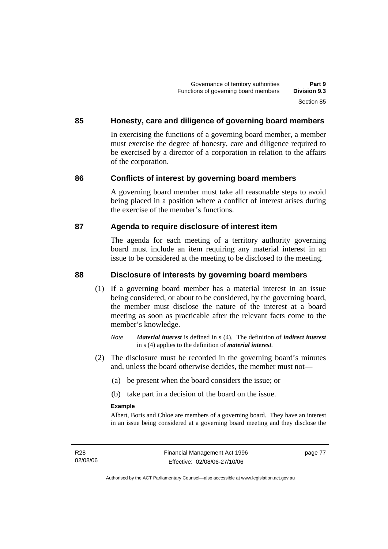## **85 Honesty, care and diligence of governing board members**

In exercising the functions of a governing board member, a member must exercise the degree of honesty, care and diligence required to be exercised by a director of a corporation in relation to the affairs of the corporation.

### **86 Conflicts of interest by governing board members**

A governing board member must take all reasonable steps to avoid being placed in a position where a conflict of interest arises during the exercise of the member's functions.

### **87 Agenda to require disclosure of interest item**

The agenda for each meeting of a territory authority governing board must include an item requiring any material interest in an issue to be considered at the meeting to be disclosed to the meeting.

### **88 Disclosure of interests by governing board members**

- (1) If a governing board member has a material interest in an issue being considered, or about to be considered, by the governing board, the member must disclose the nature of the interest at a board meeting as soon as practicable after the relevant facts come to the member's knowledge.
	- *Note Material interest* is defined in s (4). The definition of *indirect interest* in s (4) applies to the definition of *material interest*.
- (2) The disclosure must be recorded in the governing board's minutes and, unless the board otherwise decides, the member must not—
	- (a) be present when the board considers the issue; or
	- (b) take part in a decision of the board on the issue.

### **Example**

Albert, Boris and Chloe are members of a governing board. They have an interest in an issue being considered at a governing board meeting and they disclose the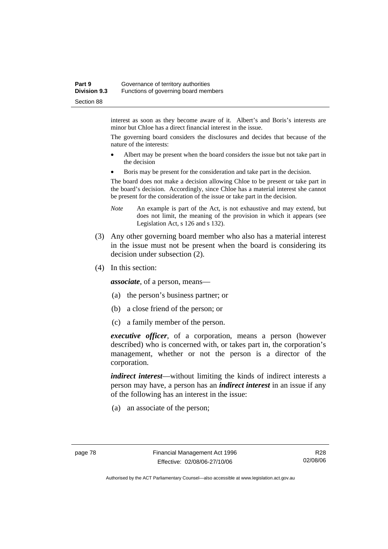### **Part 9 Governance of territory authorities Division 9.3** Functions of governing board members Section 88

interest as soon as they become aware of it. Albert's and Boris's interests are minor but Chloe has a direct financial interest in the issue.

The governing board considers the disclosures and decides that because of the nature of the interests:

- Albert may be present when the board considers the issue but not take part in the decision
- Boris may be present for the consideration and take part in the decision.

The board does not make a decision allowing Chloe to be present or take part in the board's decision. Accordingly, since Chloe has a material interest she cannot be present for the consideration of the issue or take part in the decision.

- *Note* An example is part of the Act, is not exhaustive and may extend, but does not limit, the meaning of the provision in which it appears (see Legislation Act, s 126 and s 132).
- (3) Any other governing board member who also has a material interest in the issue must not be present when the board is considering its decision under subsection (2).
- (4) In this section:

*associate*, of a person, means—

- (a) the person's business partner; or
- (b) a close friend of the person; or
- (c) a family member of the person.

*executive officer*, of a corporation, means a person (however described) who is concerned with, or takes part in, the corporation's management, whether or not the person is a director of the corporation.

*indirect interest*—without limiting the kinds of indirect interests a person may have, a person has an *indirect interest* in an issue if any of the following has an interest in the issue:

(a) an associate of the person;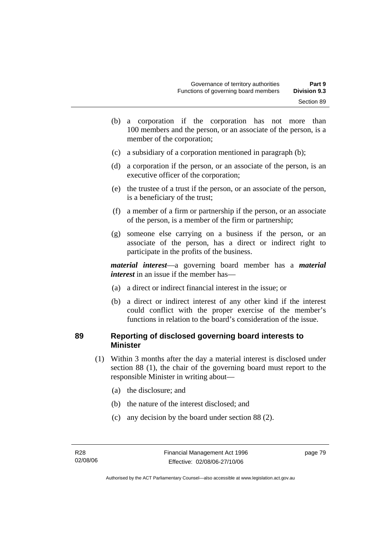- (b) a corporation if the corporation has not more than 100 members and the person, or an associate of the person, is a member of the corporation;
- (c) a subsidiary of a corporation mentioned in paragraph (b);
- (d) a corporation if the person, or an associate of the person, is an executive officer of the corporation;
- (e) the trustee of a trust if the person, or an associate of the person, is a beneficiary of the trust;
- (f) a member of a firm or partnership if the person, or an associate of the person, is a member of the firm or partnership;
- (g) someone else carrying on a business if the person, or an associate of the person, has a direct or indirect right to participate in the profits of the business.

*material interest*—a governing board member has a *material interest* in an issue if the member has—

- (a) a direct or indirect financial interest in the issue; or
- (b) a direct or indirect interest of any other kind if the interest could conflict with the proper exercise of the member's functions in relation to the board's consideration of the issue.

### **89 Reporting of disclosed governing board interests to Minister**

- (1) Within 3 months after the day a material interest is disclosed under section 88 (1), the chair of the governing board must report to the responsible Minister in writing about—
	- (a) the disclosure; and
	- (b) the nature of the interest disclosed; and
	- (c) any decision by the board under section 88 (2).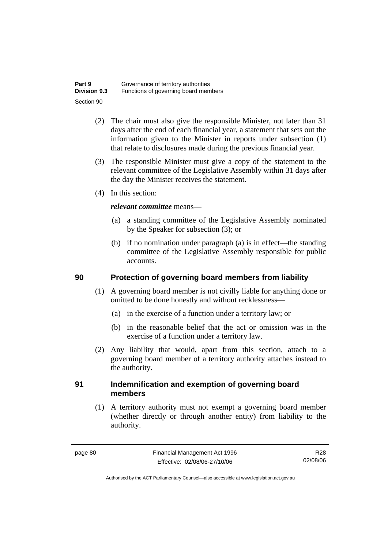| Part 9              | Governance of territory authorities  |
|---------------------|--------------------------------------|
| <b>Division 9.3</b> | Functions of governing board members |
| Section 90          |                                      |

- (2) The chair must also give the responsible Minister, not later than 31 days after the end of each financial year, a statement that sets out the information given to the Minister in reports under subsection (1) that relate to disclosures made during the previous financial year.
- (3) The responsible Minister must give a copy of the statement to the relevant committee of the Legislative Assembly within 31 days after the day the Minister receives the statement.
- (4) In this section:

### *relevant committee* means—

- (a) a standing committee of the Legislative Assembly nominated by the Speaker for subsection (3); or
- (b) if no nomination under paragraph (a) is in effect—the standing committee of the Legislative Assembly responsible for public accounts.

### **90 Protection of governing board members from liability**

- (1) A governing board member is not civilly liable for anything done or omitted to be done honestly and without recklessness—
	- (a) in the exercise of a function under a territory law; or
	- (b) in the reasonable belief that the act or omission was in the exercise of a function under a territory law.
- (2) Any liability that would, apart from this section, attach to a governing board member of a territory authority attaches instead to the authority.

### **91 Indemnification and exemption of governing board members**

 (1) A territory authority must not exempt a governing board member (whether directly or through another entity) from liability to the authority.

R28 02/08/06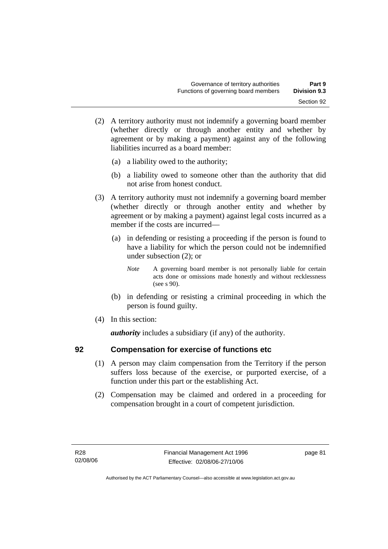- (2) A territory authority must not indemnify a governing board member (whether directly or through another entity and whether by agreement or by making a payment) against any of the following liabilities incurred as a board member:
	- (a) a liability owed to the authority;
	- (b) a liability owed to someone other than the authority that did not arise from honest conduct.
- (3) A territory authority must not indemnify a governing board member (whether directly or through another entity and whether by agreement or by making a payment) against legal costs incurred as a member if the costs are incurred—
	- (a) in defending or resisting a proceeding if the person is found to have a liability for which the person could not be indemnified under subsection (2); or
		- *Note* A governing board member is not personally liable for certain acts done or omissions made honestly and without recklessness (see s 90).
	- (b) in defending or resisting a criminal proceeding in which the person is found guilty.
- (4) In this section:

*authority* includes a subsidiary (if any) of the authority.

## **92 Compensation for exercise of functions etc**

- (1) A person may claim compensation from the Territory if the person suffers loss because of the exercise, or purported exercise, of a function under this part or the establishing Act.
- (2) Compensation may be claimed and ordered in a proceeding for compensation brought in a court of competent jurisdiction.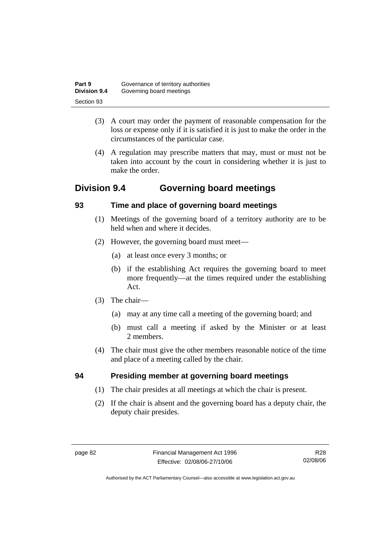| Part 9              | Governance of territory authorities |
|---------------------|-------------------------------------|
| <b>Division 9.4</b> | Governing board meetings            |
| Section 93          |                                     |

- (3) A court may order the payment of reasonable compensation for the loss or expense only if it is satisfied it is just to make the order in the circumstances of the particular case.
- (4) A regulation may prescribe matters that may, must or must not be taken into account by the court in considering whether it is just to make the order.

# **Division 9.4 Governing board meetings**

# **93 Time and place of governing board meetings**

- (1) Meetings of the governing board of a territory authority are to be held when and where it decides.
- (2) However, the governing board must meet—
	- (a) at least once every 3 months; or
	- (b) if the establishing Act requires the governing board to meet more frequently—at the times required under the establishing Act.
- (3) The chair—
	- (a) may at any time call a meeting of the governing board; and
	- (b) must call a meeting if asked by the Minister or at least 2 members.
- (4) The chair must give the other members reasonable notice of the time and place of a meeting called by the chair.

# **94 Presiding member at governing board meetings**

- (1) The chair presides at all meetings at which the chair is present.
- (2) If the chair is absent and the governing board has a deputy chair, the deputy chair presides.

R28 02/08/06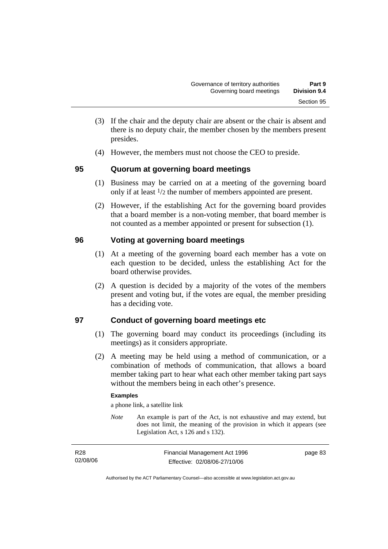- (3) If the chair and the deputy chair are absent or the chair is absent and there is no deputy chair, the member chosen by the members present presides.
- (4) However, the members must not choose the CEO to preside.

## **95 Quorum at governing board meetings**

- (1) Business may be carried on at a meeting of the governing board only if at least 1/2 the number of members appointed are present.
- (2) However, if the establishing Act for the governing board provides that a board member is a non-voting member, that board member is not counted as a member appointed or present for subsection (1).

# **96 Voting at governing board meetings**

- (1) At a meeting of the governing board each member has a vote on each question to be decided, unless the establishing Act for the board otherwise provides.
- (2) A question is decided by a majority of the votes of the members present and voting but, if the votes are equal, the member presiding has a deciding vote.

## **97 Conduct of governing board meetings etc**

- (1) The governing board may conduct its proceedings (including its meetings) as it considers appropriate.
- (2) A meeting may be held using a method of communication, or a combination of methods of communication, that allows a board member taking part to hear what each other member taking part says without the members being in each other's presence.

### **Examples**

a phone link, a satellite link

*Note* An example is part of the Act, is not exhaustive and may extend, but does not limit, the meaning of the provision in which it appears (see Legislation Act, s 126 and s 132).

| R <sub>28</sub> | Financial Management Act 1996 | page 83 |
|-----------------|-------------------------------|---------|
| 02/08/06        | Effective: 02/08/06-27/10/06  |         |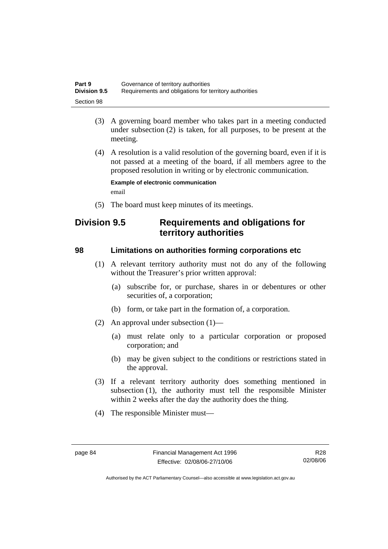| Part 9              | Governance of territory authorities                    |
|---------------------|--------------------------------------------------------|
| <b>Division 9.5</b> | Requirements and obligations for territory authorities |
| Section 98          |                                                        |

- (3) A governing board member who takes part in a meeting conducted under subsection (2) is taken, for all purposes, to be present at the meeting.
- (4) A resolution is a valid resolution of the governing board, even if it is not passed at a meeting of the board, if all members agree to the proposed resolution in writing or by electronic communication.

**Example of electronic communication**  email

(5) The board must keep minutes of its meetings.

# **Division 9.5 Requirements and obligations for territory authorities**

### **98 Limitations on authorities forming corporations etc**

- (1) A relevant territory authority must not do any of the following without the Treasurer's prior written approval:
	- (a) subscribe for, or purchase, shares in or debentures or other securities of, a corporation;
	- (b) form, or take part in the formation of, a corporation.
- (2) An approval under subsection (1)—
	- (a) must relate only to a particular corporation or proposed corporation; and
	- (b) may be given subject to the conditions or restrictions stated in the approval.
- (3) If a relevant territory authority does something mentioned in subsection (1), the authority must tell the responsible Minister within 2 weeks after the day the authority does the thing.
- (4) The responsible Minister must—

R28 02/08/06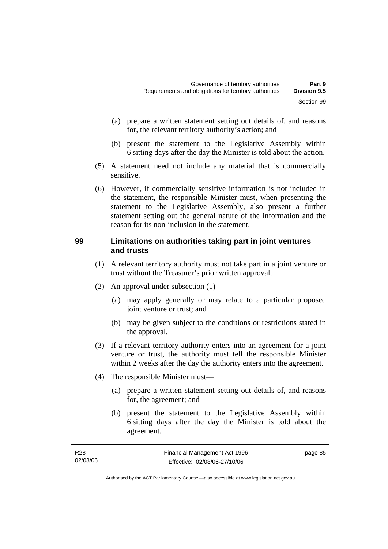- (a) prepare a written statement setting out details of, and reasons for, the relevant territory authority's action; and
- (b) present the statement to the Legislative Assembly within 6 sitting days after the day the Minister is told about the action.
- (5) A statement need not include any material that is commercially sensitive.
- (6) However, if commercially sensitive information is not included in the statement, the responsible Minister must, when presenting the statement to the Legislative Assembly, also present a further statement setting out the general nature of the information and the reason for its non-inclusion in the statement.

### **99 Limitations on authorities taking part in joint ventures and trusts**

- (1) A relevant territory authority must not take part in a joint venture or trust without the Treasurer's prior written approval.
- (2) An approval under subsection (1)—
	- (a) may apply generally or may relate to a particular proposed joint venture or trust; and
	- (b) may be given subject to the conditions or restrictions stated in the approval.
- (3) If a relevant territory authority enters into an agreement for a joint venture or trust, the authority must tell the responsible Minister within 2 weeks after the day the authority enters into the agreement.
- (4) The responsible Minister must—
	- (a) prepare a written statement setting out details of, and reasons for, the agreement; and
	- (b) present the statement to the Legislative Assembly within 6 sitting days after the day the Minister is told about the agreement.

| R28      | Financial Management Act 1996 | page 85 |
|----------|-------------------------------|---------|
| 02/08/06 | Effective: 02/08/06-27/10/06  |         |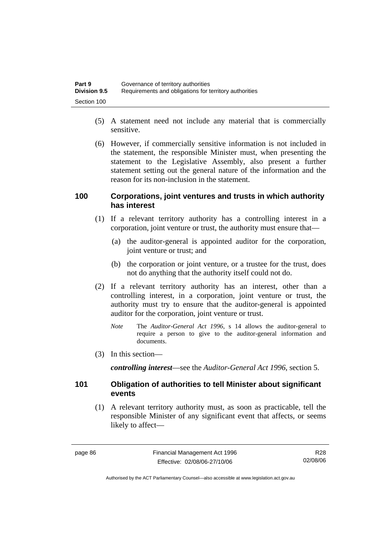| Part 9              | Governance of territory authorities                    |
|---------------------|--------------------------------------------------------|
| <b>Division 9.5</b> | Requirements and obligations for territory authorities |
| Section 100         |                                                        |

- (5) A statement need not include any material that is commercially sensitive.
- (6) However, if commercially sensitive information is not included in the statement, the responsible Minister must, when presenting the statement to the Legislative Assembly, also present a further statement setting out the general nature of the information and the reason for its non-inclusion in the statement.

### **100 Corporations, joint ventures and trusts in which authority has interest**

- (1) If a relevant territory authority has a controlling interest in a corporation, joint venture or trust, the authority must ensure that—
	- (a) the auditor-general is appointed auditor for the corporation, joint venture or trust; and
	- (b) the corporation or joint venture, or a trustee for the trust, does not do anything that the authority itself could not do.
- (2) If a relevant territory authority has an interest, other than a controlling interest, in a corporation, joint venture or trust, the authority must try to ensure that the auditor-general is appointed auditor for the corporation, joint venture or trust.
	- *Note* The *Auditor-General Act 1996*, s 14 allows the auditor-general to require a person to give to the auditor-general information and documents.
- (3) In this section—

*controlling interest*—see the *Auditor-General Act 1996*, section 5.

### **101 Obligation of authorities to tell Minister about significant events**

 (1) A relevant territory authority must, as soon as practicable, tell the responsible Minister of any significant event that affects, or seems likely to affect—

R28 02/08/06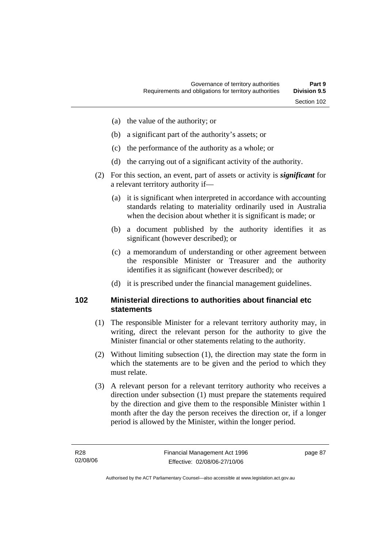- (a) the value of the authority; or
- (b) a significant part of the authority's assets; or
- (c) the performance of the authority as a whole; or
- (d) the carrying out of a significant activity of the authority.
- (2) For this section, an event, part of assets or activity is *significant* for a relevant territory authority if—
	- (a) it is significant when interpreted in accordance with accounting standards relating to materiality ordinarily used in Australia when the decision about whether it is significant is made; or
	- (b) a document published by the authority identifies it as significant (however described); or
	- (c) a memorandum of understanding or other agreement between the responsible Minister or Treasurer and the authority identifies it as significant (however described); or
	- (d) it is prescribed under the financial management guidelines.

### **102 Ministerial directions to authorities about financial etc statements**

- (1) The responsible Minister for a relevant territory authority may, in writing, direct the relevant person for the authority to give the Minister financial or other statements relating to the authority.
- (2) Without limiting subsection (1), the direction may state the form in which the statements are to be given and the period to which they must relate.
- (3) A relevant person for a relevant territory authority who receives a direction under subsection (1) must prepare the statements required by the direction and give them to the responsible Minister within 1 month after the day the person receives the direction or, if a longer period is allowed by the Minister, within the longer period.

page 87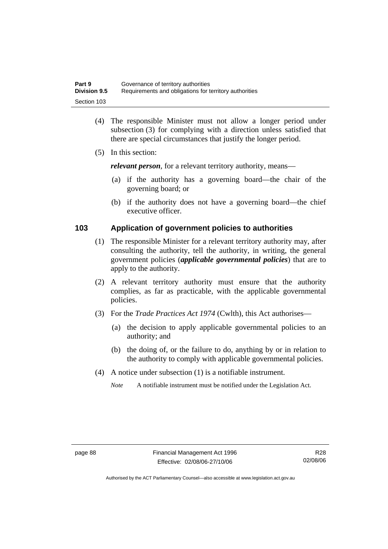| Part 9              | Governance of territory authorities                    |
|---------------------|--------------------------------------------------------|
| <b>Division 9.5</b> | Requirements and obligations for territory authorities |
| Section 103         |                                                        |

- (4) The responsible Minister must not allow a longer period under subsection (3) for complying with a direction unless satisfied that there are special circumstances that justify the longer period.
- (5) In this section:

*relevant person*, for a relevant territory authority, means—

- (a) if the authority has a governing board—the chair of the governing board; or
- (b) if the authority does not have a governing board—the chief executive officer.

### **103 Application of government policies to authorities**

- (1) The responsible Minister for a relevant territory authority may, after consulting the authority, tell the authority, in writing, the general government policies (*applicable governmental policies*) that are to apply to the authority.
- (2) A relevant territory authority must ensure that the authority complies, as far as practicable, with the applicable governmental policies.
- (3) For the *Trade Practices Act 1974* (Cwlth), this Act authorises—
	- (a) the decision to apply applicable governmental policies to an authority; and
	- (b) the doing of, or the failure to do, anything by or in relation to the authority to comply with applicable governmental policies.
- (4) A notice under subsection (1) is a notifiable instrument.

*Note* A notifiable instrument must be notified under the Legislation Act.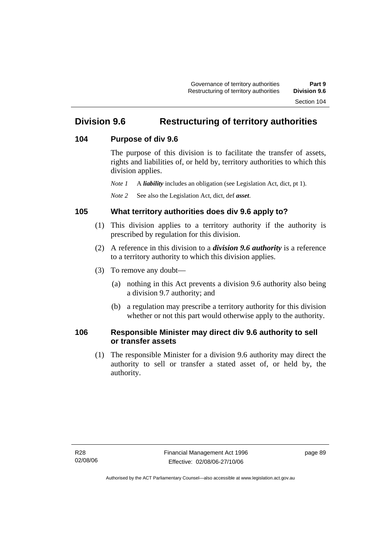# **Division 9.6 Restructuring of territory authorities**

## **104 Purpose of div 9.6**

The purpose of this division is to facilitate the transfer of assets, rights and liabilities of, or held by, territory authorities to which this division applies.

*Note 1* A *liability* includes an obligation (see Legislation Act, dict, pt 1).

*Note 2* See also the Legislation Act, dict, def *asset*.

## **105 What territory authorities does div 9.6 apply to?**

- (1) This division applies to a territory authority if the authority is prescribed by regulation for this division.
- (2) A reference in this division to a *division 9.6 authority* is a reference to a territory authority to which this division applies.
- (3) To remove any doubt—
	- (a) nothing in this Act prevents a division 9.6 authority also being a division 9.7 authority; and
	- (b) a regulation may prescribe a territory authority for this division whether or not this part would otherwise apply to the authority.

## **106 Responsible Minister may direct div 9.6 authority to sell or transfer assets**

 (1) The responsible Minister for a division 9.6 authority may direct the authority to sell or transfer a stated asset of, or held by, the authority.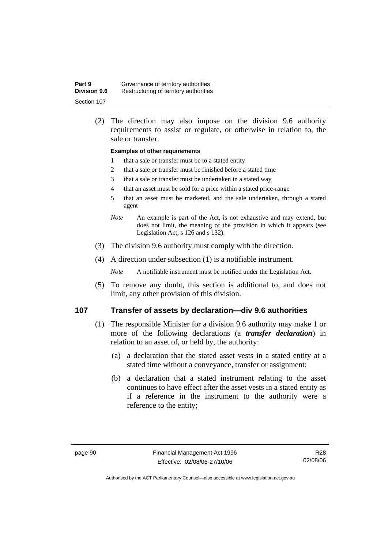| Part 9              | Governance of territory authorities    |
|---------------------|----------------------------------------|
| <b>Division 9.6</b> | Restructuring of territory authorities |
| Section 107         |                                        |

 (2) The direction may also impose on the division 9.6 authority requirements to assist or regulate, or otherwise in relation to, the sale or transfer.

#### **Examples of other requirements**

- 1 that a sale or transfer must be to a stated entity
- 2 that a sale or transfer must be finished before a stated time
- 3 that a sale or transfer must be undertaken in a stated way
- 4 that an asset must be sold for a price within a stated price-range
- 5 that an asset must be marketed, and the sale undertaken, through a stated agent
- *Note* An example is part of the Act, is not exhaustive and may extend, but does not limit, the meaning of the provision in which it appears (see Legislation Act, s 126 and s 132).
- (3) The division 9.6 authority must comply with the direction.
- (4) A direction under subsection (1) is a notifiable instrument.

*Note* A notifiable instrument must be notified under the Legislation Act.

 (5) To remove any doubt, this section is additional to, and does not limit, any other provision of this division.

### **107 Transfer of assets by declaration—div 9.6 authorities**

- (1) The responsible Minister for a division 9.6 authority may make 1 or more of the following declarations (a *transfer declaration*) in relation to an asset of, or held by, the authority:
	- (a) a declaration that the stated asset vests in a stated entity at a stated time without a conveyance, transfer or assignment;
	- (b) a declaration that a stated instrument relating to the asset continues to have effect after the asset vests in a stated entity as if a reference in the instrument to the authority were a reference to the entity;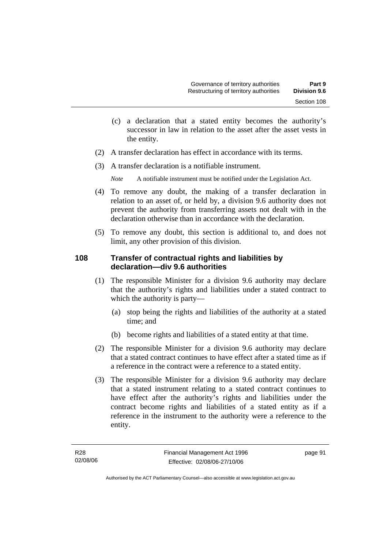- (c) a declaration that a stated entity becomes the authority's successor in law in relation to the asset after the asset vests in the entity.
- (2) A transfer declaration has effect in accordance with its terms.
- (3) A transfer declaration is a notifiable instrument.

*Note* A notifiable instrument must be notified under the Legislation Act.

- (4) To remove any doubt, the making of a transfer declaration in relation to an asset of, or held by, a division 9.6 authority does not prevent the authority from transferring assets not dealt with in the declaration otherwise than in accordance with the declaration.
- (5) To remove any doubt, this section is additional to, and does not limit, any other provision of this division.

## **108 Transfer of contractual rights and liabilities by declaration—div 9.6 authorities**

- (1) The responsible Minister for a division 9.6 authority may declare that the authority's rights and liabilities under a stated contract to which the authority is party—
	- (a) stop being the rights and liabilities of the authority at a stated time; and
	- (b) become rights and liabilities of a stated entity at that time.
- (2) The responsible Minister for a division 9.6 authority may declare that a stated contract continues to have effect after a stated time as if a reference in the contract were a reference to a stated entity.
- (3) The responsible Minister for a division 9.6 authority may declare that a stated instrument relating to a stated contract continues to have effect after the authority's rights and liabilities under the contract become rights and liabilities of a stated entity as if a reference in the instrument to the authority were a reference to the entity.

page 91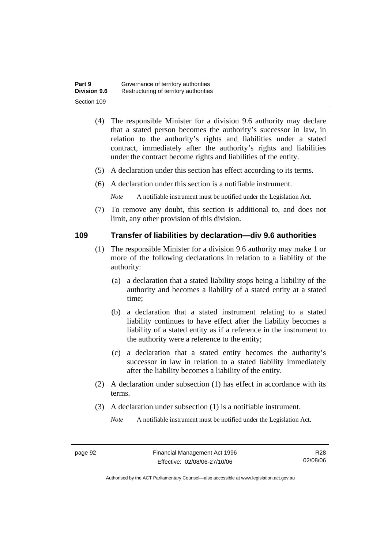| Part 9              | Governance of territory authorities    |
|---------------------|----------------------------------------|
| <b>Division 9.6</b> | Restructuring of territory authorities |
| Section 109         |                                        |

- (4) The responsible Minister for a division 9.6 authority may declare that a stated person becomes the authority's successor in law, in relation to the authority's rights and liabilities under a stated contract, immediately after the authority's rights and liabilities under the contract become rights and liabilities of the entity.
- (5) A declaration under this section has effect according to its terms.
- (6) A declaration under this section is a notifiable instrument.

*Note* A notifiable instrument must be notified under the Legislation Act.

 (7) To remove any doubt, this section is additional to, and does not limit, any other provision of this division.

### **109 Transfer of liabilities by declaration—div 9.6 authorities**

- (1) The responsible Minister for a division 9.6 authority may make 1 or more of the following declarations in relation to a liability of the authority:
	- (a) a declaration that a stated liability stops being a liability of the authority and becomes a liability of a stated entity at a stated time;
	- (b) a declaration that a stated instrument relating to a stated liability continues to have effect after the liability becomes a liability of a stated entity as if a reference in the instrument to the authority were a reference to the entity;
	- (c) a declaration that a stated entity becomes the authority's successor in law in relation to a stated liability immediately after the liability becomes a liability of the entity.
- (2) A declaration under subsection (1) has effect in accordance with its terms.
- (3) A declaration under subsection (1) is a notifiable instrument.

*Note* A notifiable instrument must be notified under the Legislation Act.

R28 02/08/06

Authorised by the ACT Parliamentary Counsel—also accessible at www.legislation.act.gov.au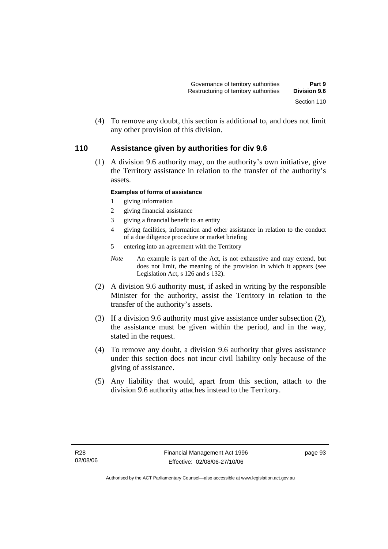(4) To remove any doubt, this section is additional to, and does not limit any other provision of this division.

### **110 Assistance given by authorities for div 9.6**

 (1) A division 9.6 authority may, on the authority's own initiative, give the Territory assistance in relation to the transfer of the authority's assets.

### **Examples of forms of assistance**

- 1 giving information
- 2 giving financial assistance
- 3 giving a financial benefit to an entity
- 4 giving facilities, information and other assistance in relation to the conduct of a due diligence procedure or market briefing
- 5 entering into an agreement with the Territory
- *Note* An example is part of the Act, is not exhaustive and may extend, but does not limit, the meaning of the provision in which it appears (see Legislation Act, s 126 and s 132).
- (2) A division 9.6 authority must, if asked in writing by the responsible Minister for the authority, assist the Territory in relation to the transfer of the authority's assets.
- (3) If a division 9.6 authority must give assistance under subsection (2), the assistance must be given within the period, and in the way, stated in the request.
- (4) To remove any doubt, a division 9.6 authority that gives assistance under this section does not incur civil liability only because of the giving of assistance.
- (5) Any liability that would, apart from this section, attach to the division 9.6 authority attaches instead to the Territory.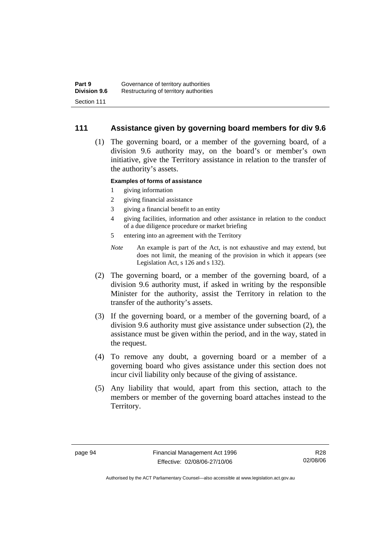### **111 Assistance given by governing board members for div 9.6**

 (1) The governing board, or a member of the governing board, of a division 9.6 authority may, on the board's or member's own initiative, give the Territory assistance in relation to the transfer of the authority's assets.

### **Examples of forms of assistance**

- 1 giving information
- 2 giving financial assistance
- 3 giving a financial benefit to an entity
- 4 giving facilities, information and other assistance in relation to the conduct of a due diligence procedure or market briefing
- 5 entering into an agreement with the Territory
- *Note* An example is part of the Act, is not exhaustive and may extend, but does not limit, the meaning of the provision in which it appears (see Legislation Act, s 126 and s 132).
- (2) The governing board, or a member of the governing board, of a division 9.6 authority must, if asked in writing by the responsible Minister for the authority, assist the Territory in relation to the transfer of the authority's assets.
- (3) If the governing board, or a member of the governing board, of a division 9.6 authority must give assistance under subsection (2), the assistance must be given within the period, and in the way, stated in the request.
- (4) To remove any doubt, a governing board or a member of a governing board who gives assistance under this section does not incur civil liability only because of the giving of assistance.
- (5) Any liability that would, apart from this section, attach to the members or member of the governing board attaches instead to the Territory.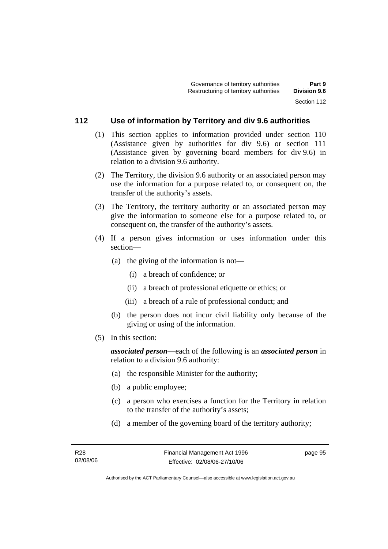## **112 Use of information by Territory and div 9.6 authorities**

- (1) This section applies to information provided under section 110 (Assistance given by authorities for div 9.6) or section 111 (Assistance given by governing board members for div 9.6) in relation to a division 9.6 authority.
- (2) The Territory, the division 9.6 authority or an associated person may use the information for a purpose related to, or consequent on, the transfer of the authority's assets.
- (3) The Territory, the territory authority or an associated person may give the information to someone else for a purpose related to, or consequent on, the transfer of the authority's assets.
- (4) If a person gives information or uses information under this section—
	- (a) the giving of the information is not—
		- (i) a breach of confidence; or
		- (ii) a breach of professional etiquette or ethics; or
		- (iii) a breach of a rule of professional conduct; and
	- (b) the person does not incur civil liability only because of the giving or using of the information.
- (5) In this section:

*associated person*—each of the following is an *associated person* in relation to a division 9.6 authority:

- (a) the responsible Minister for the authority;
- (b) a public employee;
- (c) a person who exercises a function for the Territory in relation to the transfer of the authority's assets;
- (d) a member of the governing board of the territory authority;

page 95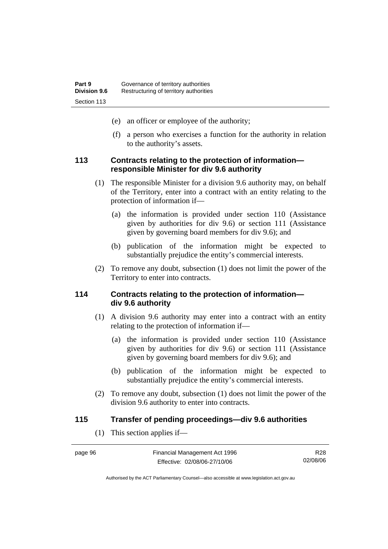- (e) an officer or employee of the authority;
- (f) a person who exercises a function for the authority in relation to the authority's assets.

### **113 Contracts relating to the protection of information responsible Minister for div 9.6 authority**

- (1) The responsible Minister for a division 9.6 authority may, on behalf of the Territory, enter into a contract with an entity relating to the protection of information if—
	- (a) the information is provided under section 110 (Assistance given by authorities for div 9.6) or section 111 (Assistance given by governing board members for div 9.6); and
	- (b) publication of the information might be expected to substantially prejudice the entity's commercial interests.
- (2) To remove any doubt, subsection (1) does not limit the power of the Territory to enter into contracts.

### **114 Contracts relating to the protection of information div 9.6 authority**

- (1) A division 9.6 authority may enter into a contract with an entity relating to the protection of information if—
	- (a) the information is provided under section 110 (Assistance given by authorities for div 9.6) or section 111 (Assistance given by governing board members for div 9.6); and
	- (b) publication of the information might be expected to substantially prejudice the entity's commercial interests.
- (2) To remove any doubt, subsection (1) does not limit the power of the division 9.6 authority to enter into contracts.

### **115 Transfer of pending proceedings—div 9.6 authorities**

(1) This section applies if—

| page 96 | Financial Management Act 1996 | R28      |
|---------|-------------------------------|----------|
|         | Effective: 02/08/06-27/10/06  | 02/08/06 |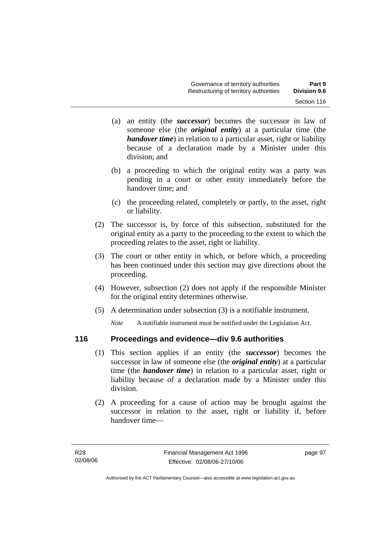- (a) an entity (the *successor*) becomes the successor in law of someone else (the *original entity*) at a particular time (the *handover time*) in relation to a particular asset, right or liability because of a declaration made by a Minister under this division; and
- (b) a proceeding to which the original entity was a party was pending in a court or other entity immediately before the handover time; and
- (c) the proceeding related, completely or partly, to the asset, right or liability.
- (2) The successor is, by force of this subsection, substituted for the original entity as a party to the proceeding to the extent to which the proceeding relates to the asset, right or liability.
- (3) The court or other entity in which, or before which, a proceeding has been continued under this section may give directions about the proceeding.
- (4) However, subsection (2) does not apply if the responsible Minister for the original entity determines otherwise.
- (5) A determination under subsection (3) is a notifiable instrument.

*Note* A notifiable instrument must be notified under the Legislation Act.

## **116 Proceedings and evidence—div 9.6 authorities**

- (1) This section applies if an entity (the *successor*) becomes the successor in law of someone else (the *original entity*) at a particular time (the *handover time*) in relation to a particular asset, right or liability because of a declaration made by a Minister under this division.
- (2) A proceeding for a cause of action may be brought against the successor in relation to the asset, right or liability if, before handover time—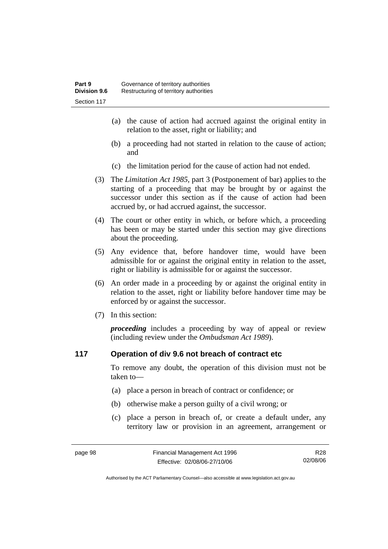- (a) the cause of action had accrued against the original entity in relation to the asset, right or liability; and
- (b) a proceeding had not started in relation to the cause of action; and
- (c) the limitation period for the cause of action had not ended.
- (3) The *Limitation Act 1985,* part 3 (Postponement of bar) applies to the starting of a proceeding that may be brought by or against the successor under this section as if the cause of action had been accrued by, or had accrued against, the successor.
- (4) The court or other entity in which, or before which, a proceeding has been or may be started under this section may give directions about the proceeding.
- (5) Any evidence that, before handover time, would have been admissible for or against the original entity in relation to the asset, right or liability is admissible for or against the successor.
- (6) An order made in a proceeding by or against the original entity in relation to the asset, right or liability before handover time may be enforced by or against the successor.
- (7) In this section:

*proceeding* includes a proceeding by way of appeal or review (including review under the *Ombudsman Act 1989*).

### **117 Operation of div 9.6 not breach of contract etc**

To remove any doubt, the operation of this division must not be taken to—

- (a) place a person in breach of contract or confidence; or
- (b) otherwise make a person guilty of a civil wrong; or
- (c) place a person in breach of, or create a default under, any territory law or provision in an agreement, arrangement or

R28 02/08/06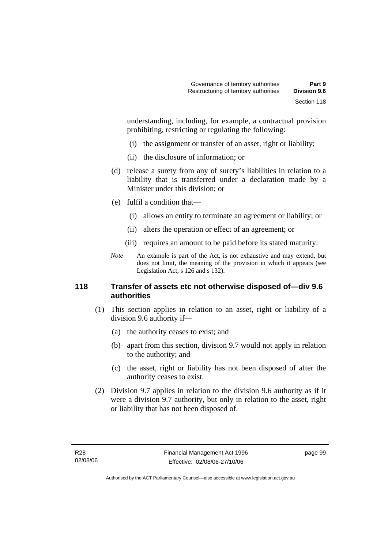understanding, including, for example, a contractual provision prohibiting, restricting or regulating the following:

- (i) the assignment or transfer of an asset, right or liability;
- (ii) the disclosure of information; or
- (d) release a surety from any of surety's liabilities in relation to a liability that is transferred under a declaration made by a Minister under this division; or
- (e) fulfil a condition that—
	- (i) allows an entity to terminate an agreement or liability; or
	- (ii) alters the operation or effect of an agreement; or
	- (iii) requires an amount to be paid before its stated maturity.
- *Note* An example is part of the Act, is not exhaustive and may extend, but does not limit, the meaning of the provision in which it appears (see Legislation Act, s 126 and s 132).

### **118 Transfer of assets etc not otherwise disposed of—div 9.6 authorities**

- (1) This section applies in relation to an asset, right or liability of a division 9.6 authority if—
	- (a) the authority ceases to exist; and
	- (b) apart from this section, division 9.7 would not apply in relation to the authority; and
	- (c) the asset, right or liability has not been disposed of after the authority ceases to exist.
- (2) Division 9.7 applies in relation to the division 9.6 authority as if it were a division 9.7 authority, but only in relation to the asset, right or liability that has not been disposed of.

page 99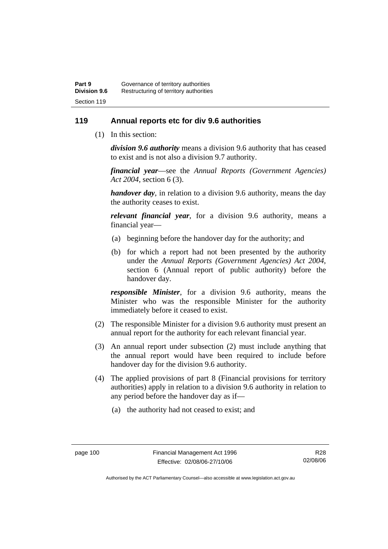### **119 Annual reports etc for div 9.6 authorities**

(1) In this section:

*division 9.6 authority* means a division 9.6 authority that has ceased to exist and is not also a division 9.7 authority.

*financial year*––see the *Annual Reports (Government Agencies) Act 2004*, section 6 (3).

*handover day*, in relation to a division 9.6 authority, means the day the authority ceases to exist.

*relevant financial year*, for a division 9.6 authority, means a financial year—

- (a) beginning before the handover day for the authority; and
- (b) for which a report had not been presented by the authority under the *Annual Reports (Government Agencies) Act 2004*, section 6 (Annual report of public authority) before the handover day.

*responsible Minister*, for a division 9.6 authority, means the Minister who was the responsible Minister for the authority immediately before it ceased to exist.

- (2) The responsible Minister for a division 9.6 authority must present an annual report for the authority for each relevant financial year.
- (3) An annual report under subsection (2) must include anything that the annual report would have been required to include before handover day for the division 9.6 authority.
- (4) The applied provisions of part 8 (Financial provisions for territory authorities) apply in relation to a division 9.6 authority in relation to any period before the handover day as if—
	- (a) the authority had not ceased to exist; and

R28 02/08/06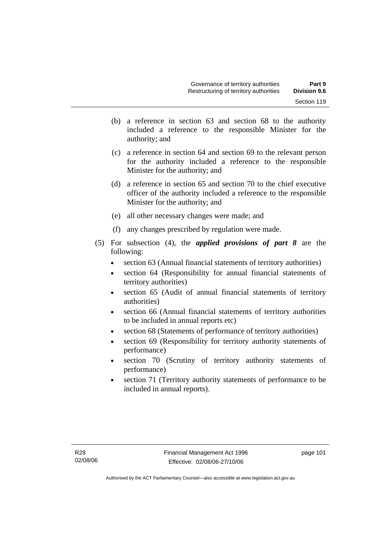- (b) a reference in section 63 and section 68 to the authority included a reference to the responsible Minister for the authority; and
- (c) a reference in section 64 and section 69 to the relevant person for the authority included a reference to the responsible Minister for the authority; and
- (d) a reference in section 65 and section 70 to the chief executive officer of the authority included a reference to the responsible Minister for the authority; and
- (e) all other necessary changes were made; and
- (f) any changes prescribed by regulation were made.
- (5) For subsection (4), the *applied provisions of part 8* are the following:
	- section 63 (Annual financial statements of territory authorities)
	- section 64 (Responsibility for annual financial statements of territory authorities)
	- section 65 (Audit of annual financial statements of territory authorities)
	- section 66 (Annual financial statements of territory authorities to be included in annual reports etc)
	- section 68 (Statements of performance of territory authorities)
	- section 69 (Responsibility for territory authority statements of performance)
	- section 70 (Scrutiny of territory authority statements of performance)
	- section 71 (Territory authority statements of performance to be included in annual reports).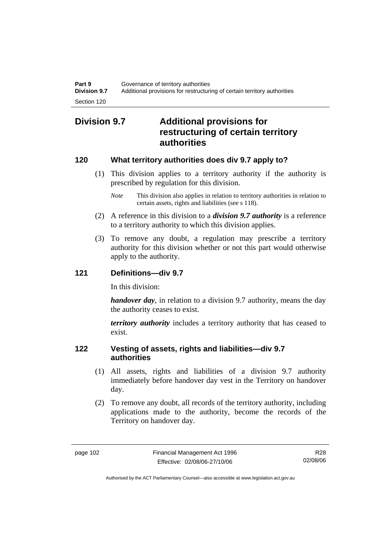# **Division 9.7 Additional provisions for restructuring of certain territory authorities**

### **120 What territory authorities does div 9.7 apply to?**

- (1) This division applies to a territory authority if the authority is prescribed by regulation for this division.
	- *Note* This division also applies in relation to territory authorities in relation to certain assets, rights and liabilities (see s 118).
- (2) A reference in this division to a *division 9.7 authority* is a reference to a territory authority to which this division applies.
- (3) To remove any doubt, a regulation may prescribe a territory authority for this division whether or not this part would otherwise apply to the authority.

### **121 Definitions—div 9.7**

In this division:

*handover day*, in relation to a division 9.7 authority, means the day the authority ceases to exist.

*territory authority* includes a territory authority that has ceased to exist.

### **122 Vesting of assets, rights and liabilities—div 9.7 authorities**

- (1) All assets, rights and liabilities of a division 9.7 authority immediately before handover day vest in the Territory on handover day.
- (2) To remove any doubt, all records of the territory authority, including applications made to the authority, become the records of the Territory on handover day.

R28 02/08/06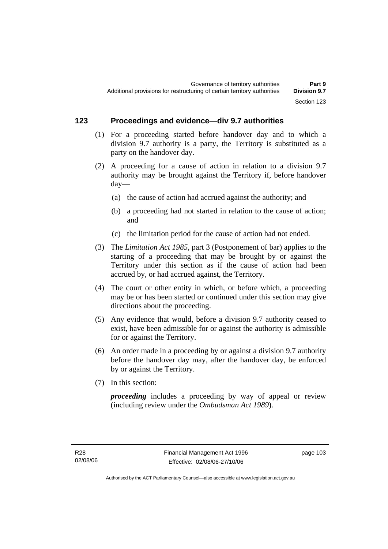### **123 Proceedings and evidence—div 9.7 authorities**

- (1) For a proceeding started before handover day and to which a division 9.7 authority is a party, the Territory is substituted as a party on the handover day.
- (2) A proceeding for a cause of action in relation to a division 9.7 authority may be brought against the Territory if, before handover day—
	- (a) the cause of action had accrued against the authority; and
	- (b) a proceeding had not started in relation to the cause of action; and
	- (c) the limitation period for the cause of action had not ended.
- (3) The *Limitation Act 1985,* part 3 (Postponement of bar) applies to the starting of a proceeding that may be brought by or against the Territory under this section as if the cause of action had been accrued by, or had accrued against, the Territory.
- (4) The court or other entity in which, or before which, a proceeding may be or has been started or continued under this section may give directions about the proceeding.
- (5) Any evidence that would, before a division 9.7 authority ceased to exist, have been admissible for or against the authority is admissible for or against the Territory.
- (6) An order made in a proceeding by or against a division 9.7 authority before the handover day may, after the handover day, be enforced by or against the Territory.
- (7) In this section:

*proceeding* includes a proceeding by way of appeal or review (including review under the *Ombudsman Act 1989*).

page 103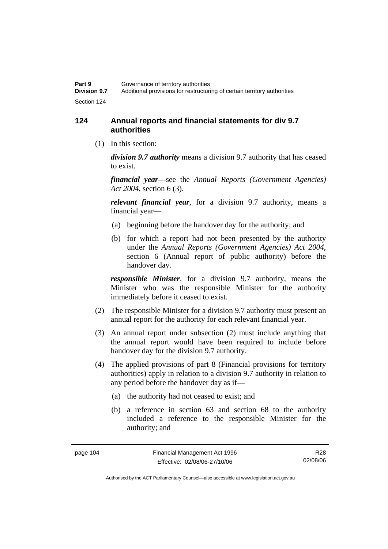### **124 Annual reports and financial statements for div 9.7 authorities**

(1) In this section:

*division 9.7 authority* means a division 9.7 authority that has ceased to exist.

*financial year*––see the *Annual Reports (Government Agencies) Act 2004*, section 6 (3).

*relevant financial year*, for a division 9.7 authority, means a financial year—

- (a) beginning before the handover day for the authority; and
- (b) for which a report had not been presented by the authority under the *Annual Reports (Government Agencies) Act 2004*, section 6 (Annual report of public authority) before the handover day.

*responsible Minister*, for a division 9.7 authority, means the Minister who was the responsible Minister for the authority immediately before it ceased to exist.

- (2) The responsible Minister for a division 9.7 authority must present an annual report for the authority for each relevant financial year.
- (3) An annual report under subsection (2) must include anything that the annual report would have been required to include before handover day for the division 9.7 authority.
- (4) The applied provisions of part 8 (Financial provisions for territory authorities) apply in relation to a division 9.7 authority in relation to any period before the handover day as if—
	- (a) the authority had not ceased to exist; and
	- (b) a reference in section 63 and section 68 to the authority included a reference to the responsible Minister for the authority; and

R28 02/08/06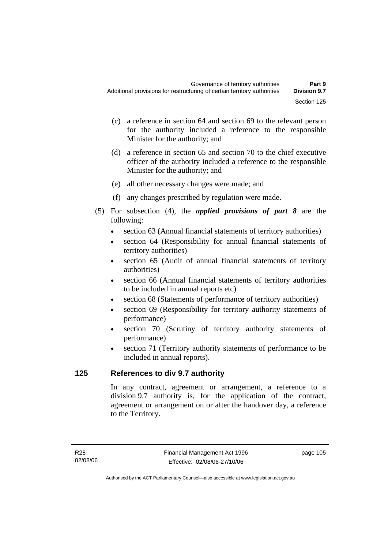- (c) a reference in section 64 and section 69 to the relevant person for the authority included a reference to the responsible Minister for the authority; and
- (d) a reference in section 65 and section 70 to the chief executive officer of the authority included a reference to the responsible Minister for the authority; and
- (e) all other necessary changes were made; and
- (f) any changes prescribed by regulation were made.
- (5) For subsection (4), the *applied provisions of part 8* are the following:
	- section 63 (Annual financial statements of territory authorities)
	- section 64 (Responsibility for annual financial statements of territory authorities)
	- section 65 (Audit of annual financial statements of territory authorities)
	- section 66 (Annual financial statements of territory authorities to be included in annual reports etc)
	- section 68 (Statements of performance of territory authorities)
	- section 69 (Responsibility for territory authority statements of performance)
	- section 70 (Scrutiny of territory authority statements of performance)
	- section 71 (Territory authority statements of performance to be included in annual reports).

### **125 References to div 9.7 authority**

In any contract, agreement or arrangement, a reference to a division 9.7 authority is, for the application of the contract, agreement or arrangement on or after the handover day, a reference to the Territory.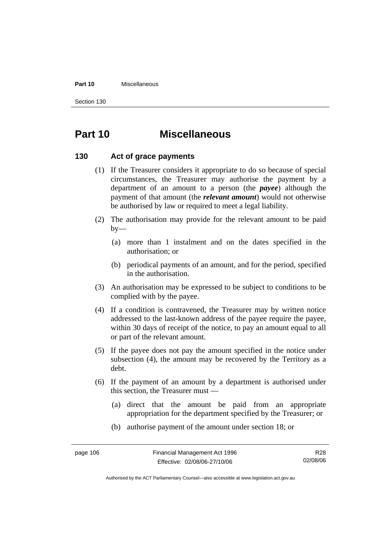#### **Part 10** Miscellaneous

Section 130

# **Part 10 Miscellaneous**

#### **130 Act of grace payments**

- (1) If the Treasurer considers it appropriate to do so because of special circumstances, the Treasurer may authorise the payment by a department of an amount to a person (the *payee*) although the payment of that amount (the *relevant amount*) would not otherwise be authorised by law or required to meet a legal liability.
- (2) The authorisation may provide for the relevant amount to be paid  $by-$ 
	- (a) more than 1 instalment and on the dates specified in the authorisation; or
	- (b) periodical payments of an amount, and for the period, specified in the authorisation.
- (3) An authorisation may be expressed to be subject to conditions to be complied with by the payee.
- (4) If a condition is contravened, the Treasurer may by written notice addressed to the last-known address of the payee require the payee, within 30 days of receipt of the notice, to pay an amount equal to all or part of the relevant amount.
- (5) If the payee does not pay the amount specified in the notice under subsection (4), the amount may be recovered by the Territory as a debt.
- (6) If the payment of an amount by a department is authorised under this section, the Treasurer must —
	- (a) direct that the amount be paid from an appropriate appropriation for the department specified by the Treasurer; or
	- (b) authorise payment of the amount under section 18; or

R28 02/08/06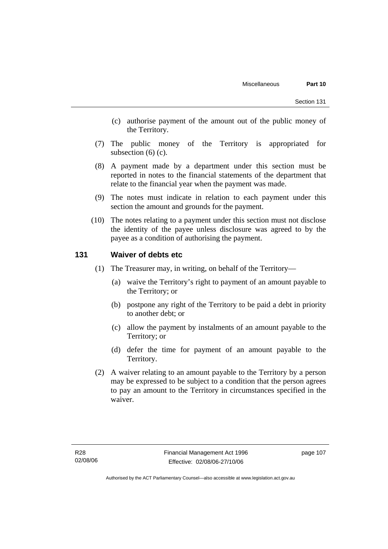- (c) authorise payment of the amount out of the public money of the Territory.
- (7) The public money of the Territory is appropriated for subsection  $(6)$  (c).
- (8) A payment made by a department under this section must be reported in notes to the financial statements of the department that relate to the financial year when the payment was made.
- (9) The notes must indicate in relation to each payment under this section the amount and grounds for the payment.
- (10) The notes relating to a payment under this section must not disclose the identity of the payee unless disclosure was agreed to by the payee as a condition of authorising the payment.

### **131 Waiver of debts etc**

- (1) The Treasurer may, in writing, on behalf of the Territory—
	- (a) waive the Territory's right to payment of an amount payable to the Territory; or
	- (b) postpone any right of the Territory to be paid a debt in priority to another debt; or
	- (c) allow the payment by instalments of an amount payable to the Territory; or
	- (d) defer the time for payment of an amount payable to the Territory.
- (2) A waiver relating to an amount payable to the Territory by a person may be expressed to be subject to a condition that the person agrees to pay an amount to the Territory in circumstances specified in the waiver.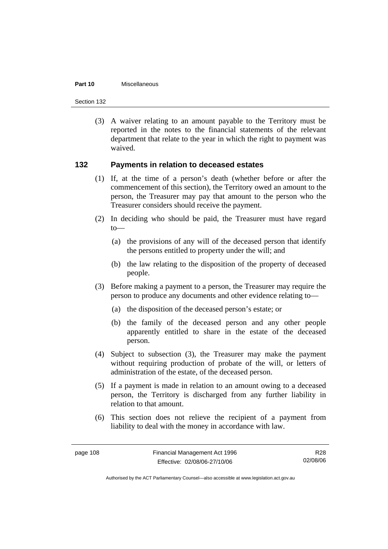#### **Part 10** Miscellaneous

Section 132

 (3) A waiver relating to an amount payable to the Territory must be reported in the notes to the financial statements of the relevant department that relate to the year in which the right to payment was waived.

### **132 Payments in relation to deceased estates**

- (1) If, at the time of a person's death (whether before or after the commencement of this section), the Territory owed an amount to the person, the Treasurer may pay that amount to the person who the Treasurer considers should receive the payment.
- (2) In deciding who should be paid, the Treasurer must have regard  $to$ —
	- (a) the provisions of any will of the deceased person that identify the persons entitled to property under the will; and
	- (b) the law relating to the disposition of the property of deceased people.
- (3) Before making a payment to a person, the Treasurer may require the person to produce any documents and other evidence relating to—
	- (a) the disposition of the deceased person's estate; or
	- (b) the family of the deceased person and any other people apparently entitled to share in the estate of the deceased person.
- (4) Subject to subsection (3), the Treasurer may make the payment without requiring production of probate of the will, or letters of administration of the estate, of the deceased person.
- (5) If a payment is made in relation to an amount owing to a deceased person, the Territory is discharged from any further liability in relation to that amount.
- (6) This section does not relieve the recipient of a payment from liability to deal with the money in accordance with law.

R28 02/08/06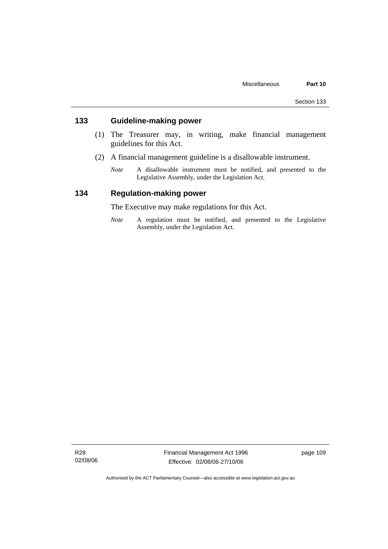### **133 Guideline-making power**

- (1) The Treasurer may, in writing, make financial management guidelines for this Act.
- (2) A financial management guideline is a disallowable instrument.
	- *Note* A disallowable instrument must be notified, and presented to the Legislative Assembly, under the Legislation Act.

### **134 Regulation-making power**

The Executive may make regulations for this Act.

*Note* A regulation must be notified, and presented to the Legislative Assembly, under the Legislation Act.

R28 02/08/06 Financial Management Act 1996 Effective: 02/08/06-27/10/06

page 109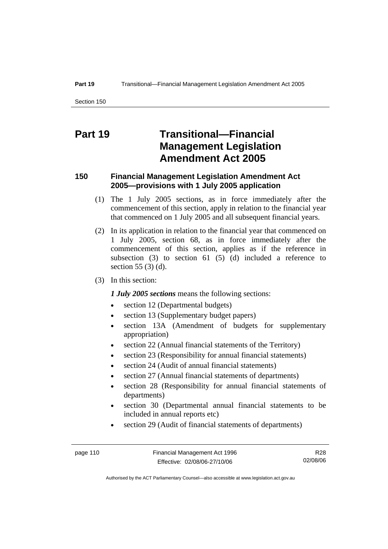# **Part 19 Transitional—Financial Management Legislation Amendment Act 2005**

### **150 Financial Management Legislation Amendment Act 2005—provisions with 1 July 2005 application**

- (1) The 1 July 2005 sections, as in force immediately after the commencement of this section, apply in relation to the financial year that commenced on 1 July 2005 and all subsequent financial years.
- (2) In its application in relation to the financial year that commenced on 1 July 2005, section 68, as in force immediately after the commencement of this section, applies as if the reference in subsection  $(3)$  to section  $61$   $(5)$   $(d)$  included a reference to section 55 (3) (d).
- (3) In this section:

### *1 July 2005 sections* means the following sections:

- section 12 (Departmental budgets)
- section 13 (Supplementary budget papers)
- section 13A (Amendment of budgets for supplementary appropriation)
- section 22 (Annual financial statements of the Territory)
- section 23 (Responsibility for annual financial statements)
- section 24 (Audit of annual financial statements)
- section 27 (Annual financial statements of departments)
- section 28 (Responsibility for annual financial statements of departments)
- section 30 (Departmental annual financial statements to be included in annual reports etc)
- section 29 (Audit of financial statements of departments)

R28 02/08/06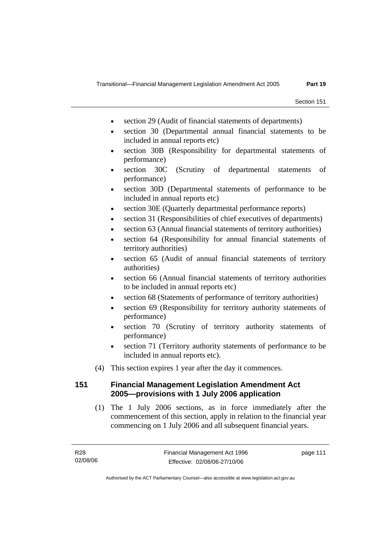- section 29 (Audit of financial statements of departments)
- section 30 (Departmental annual financial statements to be included in annual reports etc)
- section 30B (Responsibility for departmental statements of performance)
- section 30C (Scrutiny of departmental statements of performance)
- section 30D (Departmental statements of performance to be included in annual reports etc)
- section 30E (Quarterly departmental performance reports)
- section 31 (Responsibilities of chief executives of departments)
- section 63 (Annual financial statements of territory authorities)
- section 64 (Responsibility for annual financial statements of territory authorities)
- section 65 (Audit of annual financial statements of territory authorities)
- section 66 (Annual financial statements of territory authorities to be included in annual reports etc)
- section 68 (Statements of performance of territory authorities)
- section 69 (Responsibility for territory authority statements of performance)
- section 70 (Scrutiny of territory authority statements of performance)
- section 71 (Territory authority statements of performance to be included in annual reports etc).
- (4) This section expires 1 year after the day it commences.

### **151 Financial Management Legislation Amendment Act 2005—provisions with 1 July 2006 application**

 (1) The 1 July 2006 sections, as in force immediately after the commencement of this section, apply in relation to the financial year commencing on 1 July 2006 and all subsequent financial years.

page 111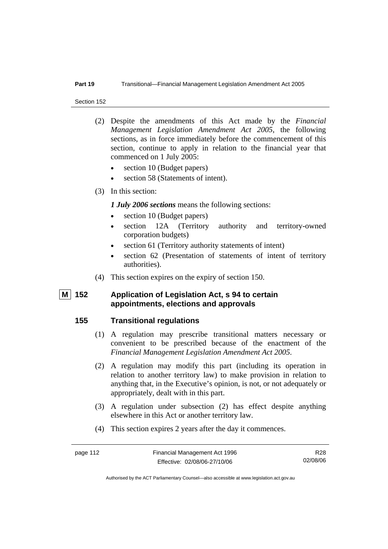#### **Part 19** Transitional—Financial Management Legislation Amendment Act 2005

Section 152

- (2) Despite the amendments of this Act made by the *Financial Management Legislation Amendment Act 2005*, the following sections, as in force immediately before the commencement of this section, continue to apply in relation to the financial year that commenced on 1 July 2005:
	- section 10 (Budget papers)
	- section 58 (Statements of intent).
- (3) In this section:

### *1 July 2006 sections* means the following sections:

- section 10 (Budget papers)
- section 12A (Territory authority and territory-owned corporation budgets)
- section 61 (Territory authority statements of intent)
- section 62 (Presentation of statements of intent of territory authorities).
- (4) This section expires on the expiry of section 150.

### **M 152 Application of Legislation Act, s 94 to certain appointments, elections and approvals**

### **155 Transitional regulations**

- (1) A regulation may prescribe transitional matters necessary or convenient to be prescribed because of the enactment of the *Financial Management Legislation Amendment Act 2005*.
- (2) A regulation may modify this part (including its operation in relation to another territory law) to make provision in relation to anything that, in the Executive's opinion, is not, or not adequately or appropriately, dealt with in this part.
- (3) A regulation under subsection (2) has effect despite anything elsewhere in this Act or another territory law.
- (4) This section expires 2 years after the day it commences.

R28 02/08/06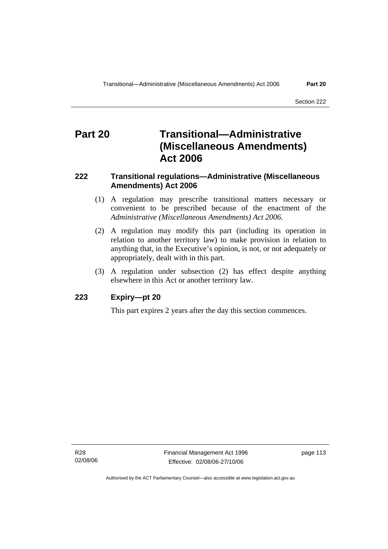# **Part 20 Transitional—Administrative (Miscellaneous Amendments) Act 2006**

### **222 Transitional regulations—Administrative (Miscellaneous Amendments) Act 2006**

- (1) A regulation may prescribe transitional matters necessary or convenient to be prescribed because of the enactment of the *Administrative (Miscellaneous Amendments) Act 2006*.
- (2) A regulation may modify this part (including its operation in relation to another territory law) to make provision in relation to anything that, in the Executive's opinion, is not, or not adequately or appropriately, dealt with in this part.
- (3) A regulation under subsection (2) has effect despite anything elsewhere in this Act or another territory law.

### **223 Expiry—pt 20**

This part expires 2 years after the day this section commences.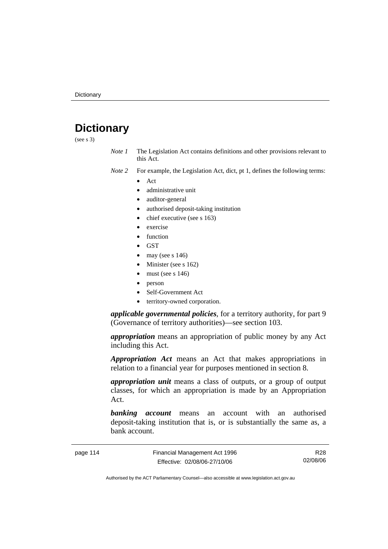# **Dictionary**

(see s 3)

*Note 1* The Legislation Act contains definitions and other provisions relevant to this Act.

*Note 2* For example, the Legislation Act, dict, pt 1, defines the following terms:

- Act
	- administrative unit
	- auditor-general
	- authorised deposit-taking institution
	- chief executive (see s 163)
	- exercise
	- **function**
	- GST
	- may (see s  $146$ )
	- Minister (see s 162)
	- must (see s  $146$ )
	- person
	- Self-Government Act
	- territory-owned corporation.

*applicable governmental policies*, for a territory authority, for part 9 (Governance of territory authorities)—see section 103.

*appropriation* means an appropriation of public money by any Act including this Act.

*Appropriation Act* means an Act that makes appropriations in relation to a financial year for purposes mentioned in section 8.

*appropriation unit* means a class of outputs, or a group of output classes, for which an appropriation is made by an Appropriation Act.

*banking account* means an account with an authorised deposit-taking institution that is, or is substantially the same as, a bank account.

page 114 Financial Management Act 1996 Effective: 02/08/06-27/10/06

R28 02/08/06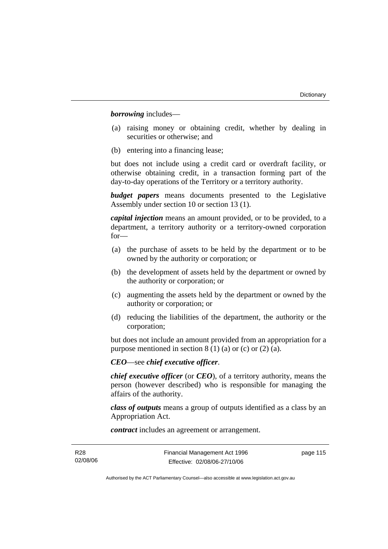*borrowing* includes—

- (a) raising money or obtaining credit, whether by dealing in securities or otherwise; and
- (b) entering into a financing lease;

but does not include using a credit card or overdraft facility, or otherwise obtaining credit, in a transaction forming part of the day-to-day operations of the Territory or a territory authority.

*budget papers* means documents presented to the Legislative Assembly under section 10 or section 13 (1).

*capital injection* means an amount provided, or to be provided, to a department, a territory authority or a territory-owned corporation for—

- (a) the purchase of assets to be held by the department or to be owned by the authority or corporation; or
- (b) the development of assets held by the department or owned by the authority or corporation; or
- (c) augmenting the assets held by the department or owned by the authority or corporation; or
- (d) reducing the liabilities of the department, the authority or the corporation;

but does not include an amount provided from an appropriation for a purpose mentioned in section  $8(1)(a)$  or (c) or (2) (a).

*CEO*—see *chief executive officer*.

*chief executive officer* (or *CEO*), of a territory authority, means the person (however described) who is responsible for managing the affairs of the authority.

*class of outputs* means a group of outputs identified as a class by an Appropriation Act.

*contract* includes an agreement or arrangement.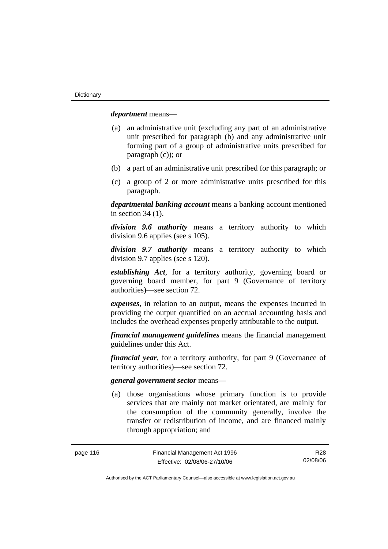*department* means—

- (a) an administrative unit (excluding any part of an administrative unit prescribed for paragraph (b) and any administrative unit forming part of a group of administrative units prescribed for paragraph (c)); or
- (b) a part of an administrative unit prescribed for this paragraph; or
- (c) a group of 2 or more administrative units prescribed for this paragraph.

*departmental banking account* means a banking account mentioned in section 34 (1).

*division 9.6 authority* means a territory authority to which division 9.6 applies (see s 105).

*division 9.7 authority* means a territory authority to which division 9.7 applies (see s 120).

*establishing Act*, for a territory authority, governing board or governing board member, for part 9 (Governance of territory authorities)—see section 72.

*expenses*, in relation to an output, means the expenses incurred in providing the output quantified on an accrual accounting basis and includes the overhead expenses properly attributable to the output.

*financial management guidelines* means the financial management guidelines under this Act.

*financial year*, for a territory authority, for part 9 (Governance of territory authorities)—see section 72.

#### *general government sector* means—

 (a) those organisations whose primary function is to provide services that are mainly not market orientated, are mainly for the consumption of the community generally, involve the transfer or redistribution of income, and are financed mainly through appropriation; and

R28 02/08/06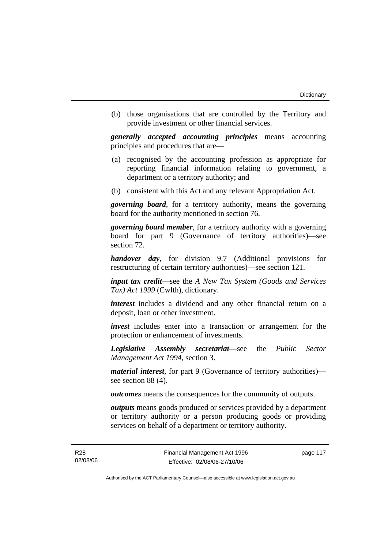(b) those organisations that are controlled by the Territory and provide investment or other financial services.

*generally accepted accounting principles* means accounting principles and procedures that are—

- (a) recognised by the accounting profession as appropriate for reporting financial information relating to government, a department or a territory authority; and
- (b) consistent with this Act and any relevant Appropriation Act.

*governing board*, for a territory authority, means the governing board for the authority mentioned in section 76.

*governing board member*, for a territory authority with a governing board for part 9 (Governance of territory authorities)—see section 72.

*handover day*, for division 9.7 (Additional provisions for restructuring of certain territory authorities)—see section 121.

*input tax credit*—see the *A New Tax System (Goods and Services Tax) Act 1999* (Cwlth), dictionary.

*interest* includes a dividend and any other financial return on a deposit, loan or other investment.

*invest* includes enter into a transaction or arrangement for the protection or enhancement of investments.

*Legislative Assembly secretariat*—see the *Public Sector Management Act 1994*, section 3.

*material interest*, for part 9 (Governance of territory authorities) see section 88 (4).

*outcomes* means the consequences for the community of outputs.

*outputs* means goods produced or services provided by a department or territory authority or a person producing goods or providing services on behalf of a department or territory authority.

page 117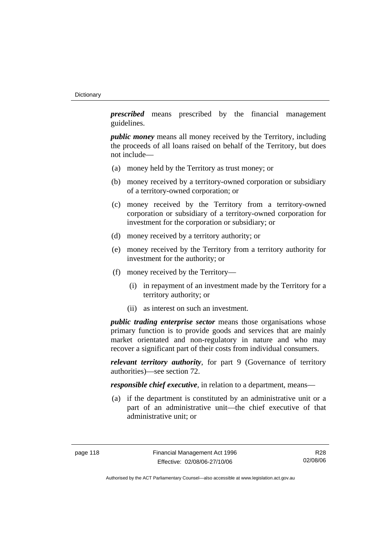*prescribed* means prescribed by the financial management guidelines.

*public money* means all money received by the Territory, including the proceeds of all loans raised on behalf of the Territory, but does not include—

- (a) money held by the Territory as trust money; or
- (b) money received by a territory-owned corporation or subsidiary of a territory-owned corporation; or
- (c) money received by the Territory from a territory-owned corporation or subsidiary of a territory-owned corporation for investment for the corporation or subsidiary; or
- (d) money received by a territory authority; or
- (e) money received by the Territory from a territory authority for investment for the authority; or
- (f) money received by the Territory—
	- (i) in repayment of an investment made by the Territory for a territory authority; or
	- (ii) as interest on such an investment.

*public trading enterprise sector* means those organisations whose primary function is to provide goods and services that are mainly market orientated and non-regulatory in nature and who may recover a significant part of their costs from individual consumers.

*relevant territory authority*, for part 9 (Governance of territory authorities)—see section 72.

*responsible chief executive*, in relation to a department, means—

 (a) if the department is constituted by an administrative unit or a part of an administrative unit—the chief executive of that administrative unit; or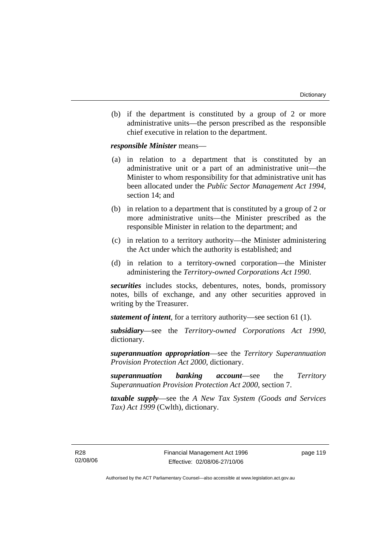(b) if the department is constituted by a group of 2 or more administrative units—the person prescribed as the responsible chief executive in relation to the department.

*responsible Minister* means—

- (a) in relation to a department that is constituted by an administrative unit or a part of an administrative unit—the Minister to whom responsibility for that administrative unit has been allocated under the *Public Sector Management Act 1994*, section 14; and
- (b) in relation to a department that is constituted by a group of 2 or more administrative units—the Minister prescribed as the responsible Minister in relation to the department; and
- (c) in relation to a territory authority—the Minister administering the Act under which the authority is established; and
- (d) in relation to a territory-owned corporation—the Minister administering the *Territory-owned Corporations Act 1990*.

*securities* includes stocks, debentures, notes, bonds, promissory notes, bills of exchange, and any other securities approved in writing by the Treasurer.

*statement of intent*, for a territory authority—see section 61 (1).

*subsidiary*—see the *Territory-owned Corporations Act 1990*, dictionary.

*superannuation appropriation*—see the *Territory Superannuation Provision Protection Act 2000*, dictionary.

*superannuation banking account*—see the *Territory Superannuation Provision Protection Act 2000*, section 7.

*taxable supply*—see the *A New Tax System (Goods and Services Tax) Act 1999* (Cwlth), dictionary.

R28 02/08/06 page 119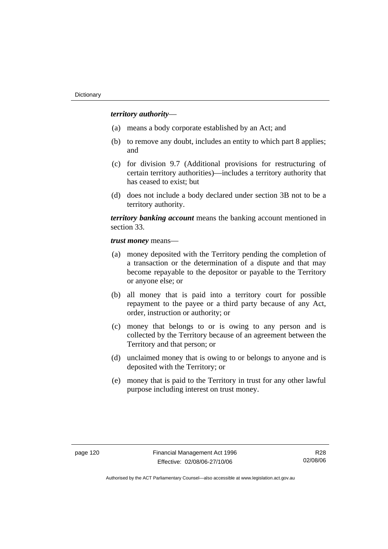#### *territory authority*—

- (a) means a body corporate established by an Act; and
- (b) to remove any doubt, includes an entity to which part 8 applies; and
- (c) for division 9.7 (Additional provisions for restructuring of certain territory authorities)—includes a territory authority that has ceased to exist; but
- (d) does not include a body declared under section 3B not to be a territory authority.

*territory banking account* means the banking account mentioned in section 33.

*trust money* means—

- (a) money deposited with the Territory pending the completion of a transaction or the determination of a dispute and that may become repayable to the depositor or payable to the Territory or anyone else; or
- (b) all money that is paid into a territory court for possible repayment to the payee or a third party because of any Act, order, instruction or authority; or
- (c) money that belongs to or is owing to any person and is collected by the Territory because of an agreement between the Territory and that person; or
- (d) unclaimed money that is owing to or belongs to anyone and is deposited with the Territory; or
- (e) money that is paid to the Territory in trust for any other lawful purpose including interest on trust money.

R28 02/08/06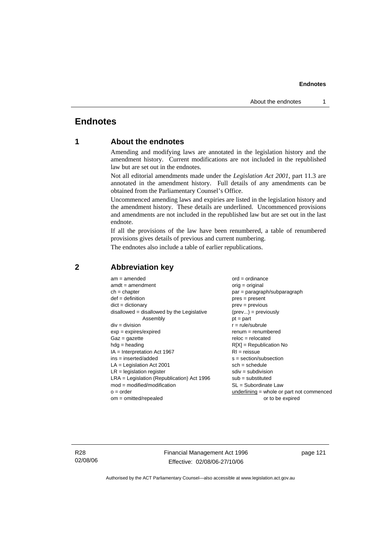## **Endnotes**

### **1 About the endnotes**

Amending and modifying laws are annotated in the legislation history and the amendment history. Current modifications are not included in the republished law but are set out in the endnotes.

Not all editorial amendments made under the *Legislation Act 2001*, part 11.3 are annotated in the amendment history. Full details of any amendments can be obtained from the Parliamentary Counsel's Office.

Uncommenced amending laws and expiries are listed in the legislation history and the amendment history. These details are underlined. Uncommenced provisions and amendments are not included in the republished law but are set out in the last endnote.

If all the provisions of the law have been renumbered, a table of renumbered provisions gives details of previous and current numbering.

The endnotes also include a table of earlier republications.

| $am = amended$                               | $ord = ordinance$                         |
|----------------------------------------------|-------------------------------------------|
| $amdt = amendment$                           | $orig = original$                         |
| $ch = chapter$                               | par = paragraph/subparagraph              |
| $def = definition$                           | $pres = present$                          |
| $dict = dictionary$                          | $prev = previous$                         |
| $disallowed = disallowed by the Legislative$ | $(\text{prev}) = \text{previously}$       |
| Assembly                                     | $pt = part$                               |
| $div = division$                             | $r = rule/subrule$                        |
| $exp = expires/expired$                      | $remum = renumbered$                      |
| $Gaz = qazette$                              | $reloc = relocated$                       |
| $hdg =$ heading                              | $R[X]$ = Republication No                 |
| $IA = Interpretation Act 1967$               | $RI = reissue$                            |
| $ins = inserted/added$                       | $s = section/subsection$                  |
| $LA =$ Legislation Act 2001                  | $sch = schedule$                          |
| $LR =$ legislation register                  | $sdiv = subdivision$                      |
| $LRA =$ Legislation (Republication) Act 1996 | $sub =$ substituted                       |
| $mod = modified/modification$                | $SL = Subordinate$ Law                    |
| $o = order$                                  | underlining = whole or part not commenced |
| $om = omitted/repealed$                      | or to be expired                          |
|                                              |                                           |

#### **2 Abbreviation key**

R28 02/08/06 Financial Management Act 1996 Effective: 02/08/06-27/10/06

page 121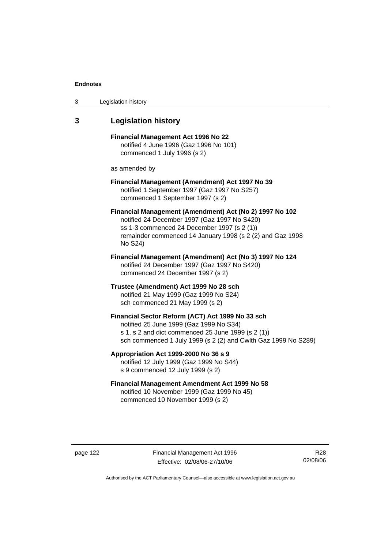| 3 | Legislation history |  |
|---|---------------------|--|
|---|---------------------|--|

### **3 Legislation history**

**Financial Management Act 1996 No 22**  notified 4 June 1996 (Gaz 1996 No 101) commenced 1 July 1996 (s 2)

as amended by

#### **Financial Management (Amendment) Act 1997 No 39**  notified 1 September 1997 (Gaz 1997 No S257) commenced 1 September 1997 (s 2)

**Financial Management (Amendment) Act (No 2) 1997 No 102**  notified 24 December 1997 (Gaz 1997 No S420) ss 1-3 commenced 24 December 1997 (s 2 (1)) remainder commenced 14 January 1998 (s 2 (2) and Gaz 1998 No S24)

**Financial Management (Amendment) Act (No 3) 1997 No 124**  notified 24 December 1997 (Gaz 1997 No S420) commenced 24 December 1997 (s 2)

**Trustee (Amendment) Act 1999 No 28 sch**  notified 21 May 1999 (Gaz 1999 No S24) sch commenced 21 May 1999 (s 2)

#### **Financial Sector Reform (ACT) Act 1999 No 33 sch**  notified 25 June 1999 (Gaz 1999 No S34)

s 1, s 2 and dict commenced 25 June 1999 (s 2 (1)) sch commenced 1 July 1999 (s 2 (2) and Cwlth Gaz 1999 No S289)

**Appropriation Act 1999-2000 No 36 s 9**  notified 12 July 1999 (Gaz 1999 No S44)

s 9 commenced 12 July 1999 (s 2)

### **Financial Management Amendment Act 1999 No 58**  notified 10 November 1999 (Gaz 1999 No 45) commenced 10 November 1999 (s 2)

page 122 Financial Management Act 1996 Effective: 02/08/06-27/10/06

R28 02/08/06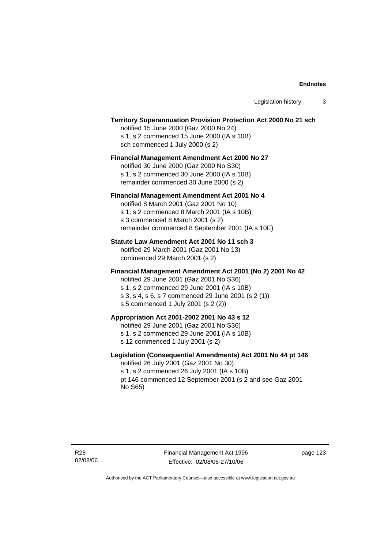#### **Territory Superannuation Provision Protection Act 2000 No 21 sch**

notified 15 June 2000 (Gaz 2000 No 24) s 1, s 2 commenced 15 June 2000 (IA s 10B) sch commenced 1 July 2000 (s 2)

#### **Financial Management Amendment Act 2000 No 27**

notified 30 June 2000 (Gaz 2000 No S30) s 1, s 2 commenced 30 June 2000 (IA s 10B) remainder commenced 30 June 2000 (s 2)

#### **Financial Management Amendment Act 2001 No 4**

notified 8 March 2001 (Gaz 2001 No 10) s 1, s 2 commenced 8 March 2001 (IA s 10B) s 3 commenced 8 March 2001 (s 2) remainder commenced 8 September 2001 (IA s 10E)

#### **Statute Law Amendment Act 2001 No 11 sch 3**

notified 29 March 2001 (Gaz 2001 No 13) commenced 29 March 2001 (s 2)

#### **Financial Management Amendment Act 2001 (No 2) 2001 No 42**

notified 29 June 2001 (Gaz 2001 No S36)

- s 1, s 2 commenced 29 June 2001 (IA s 10B) s 3, s 4, s 6, s 7 commenced 29 June 2001 (s 2 (1))
- s 5 commenced 1 July 2001 (s 2 (2))

#### **Appropriation Act 2001-2002 2001 No 43 s 12**

notified 29 June 2001 (Gaz 2001 No S36)

- s 1, s 2 commenced 29 June 2001 (IA s 10B)
- s 12 commenced 1 July 2001 (s 2)

#### **Legislation (Consequential Amendments) Act 2001 No 44 pt 146**

notified 26 July 2001 (Gaz 2001 No 30) s 1, s 2 commenced 26 July 2001 (IA s 10B) pt 146 commenced 12 September 2001 (s 2 and see Gaz 2001 No S65)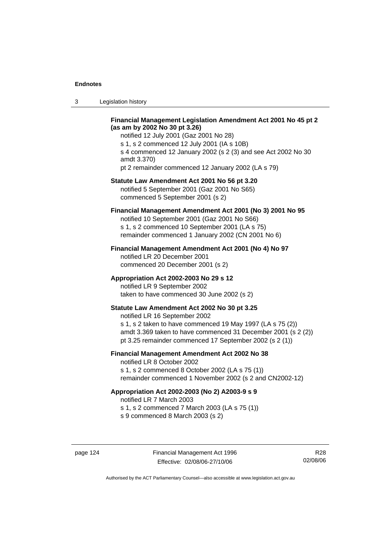3 Legislation history

#### **Financial Management Legislation Amendment Act 2001 No 45 pt 2 (as am by 2002 No 30 pt 3.26)**

notified 12 July 2001 (Gaz 2001 No 28) s 1, s 2 commenced 12 July 2001 (IA s 10B) s 4 commenced 12 January 2002 (s 2 (3) and see Act 2002 No 30 amdt 3.370) pt 2 remainder commenced 12 January 2002 (LA s 79)

#### **Statute Law Amendment Act 2001 No 56 pt 3.20**

notified 5 September 2001 (Gaz 2001 No S65) commenced 5 September 2001 (s 2)

### **Financial Management Amendment Act 2001 (No 3) 2001 No 95**

notified 10 September 2001 (Gaz 2001 No S66) s 1, s 2 commenced 10 September 2001 (LA s 75) remainder commenced 1 January 2002 (CN 2001 No 6)

#### **Financial Management Amendment Act 2001 (No 4) No 97**

notified LR 20 December 2001 commenced 20 December 2001 (s 2)

#### **Appropriation Act 2002-2003 No 29 s 12**

notified LR 9 September 2002 taken to have commenced 30 June 2002 (s 2)

### **Statute Law Amendment Act 2002 No 30 pt 3.25**

notified LR 16 September 2002 s 1, s 2 taken to have commenced 19 May 1997 (LA s 75 (2)) amdt 3.369 taken to have commenced 31 December 2001 (s 2 (2)) pt 3.25 remainder commenced 17 September 2002 (s 2 (1))

#### **Financial Management Amendment Act 2002 No 38**

notified LR 8 October 2002 s 1, s 2 commenced 8 October 2002 (LA s 75 (1))

remainder commenced 1 November 2002 (s 2 and CN2002-12)

#### **Appropriation Act 2002-2003 (No 2) A2003-9 s 9**

notified LR 7 March 2003

s 1, s 2 commenced 7 March 2003 (LA s 75 (1))

s 9 commenced 8 March 2003 (s 2)

R28 02/08/06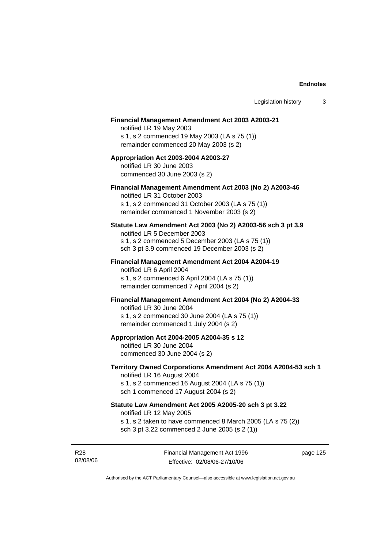#### **Financial Management Amendment Act 2003 A2003-21**

notified LR 19 May 2003 s 1, s 2 commenced 19 May 2003 (LA s 75 (1)) remainder commenced 20 May 2003 (s 2)

#### **Appropriation Act 2003-2004 A2003-27**  notified LR 30 June 2003 commenced 30 June 2003 (s 2)

#### **Financial Management Amendment Act 2003 (No 2) A2003-46**

notified LR 31 October 2003 s 1, s 2 commenced 31 October 2003 (LA s 75 (1)) remainder commenced 1 November 2003 (s 2)

#### **Statute Law Amendment Act 2003 (No 2) A2003-56 sch 3 pt 3.9**

notified LR 5 December 2003 s 1, s 2 commenced 5 December 2003 (LA s 75 (1)) sch 3 pt 3.9 commenced 19 December 2003 (s 2)

#### **Financial Management Amendment Act 2004 A2004-19**  notified LR 6 April 2004

s 1, s 2 commenced 6 April 2004 (LA s 75 (1)) remainder commenced 7 April 2004 (s 2)

#### **Financial Management Amendment Act 2004 (No 2) A2004-33**

notified LR 30 June 2004 s 1, s 2 commenced 30 June 2004 (LA s 75 (1)) remainder commenced 1 July 2004 (s 2)

#### **Appropriation Act 2004-2005 A2004-35 s 12**

notified LR 30 June 2004 commenced 30 June 2004 (s 2)

#### **Territory Owned Corporations Amendment Act 2004 A2004-53 sch 1**  notified LR 16 August 2004

s 1, s 2 commenced 16 August 2004 (LA s 75 (1)) sch 1 commenced 17 August 2004 (s 2)

### **Statute Law Amendment Act 2005 A2005-20 sch 3 pt 3.22**

notified LR 12 May 2005

- s 1, s 2 taken to have commenced 8 March 2005 (LA s 75 (2))
- sch 3 pt 3.22 commenced 2 June 2005 (s 2 (1))

R28 02/08/06 Financial Management Act 1996 Effective: 02/08/06-27/10/06

page 125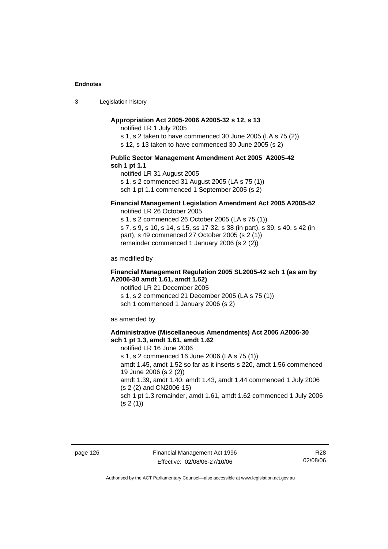3 Legislation history

#### **Appropriation Act 2005-2006 A2005-32 s 12, s 13**

notified LR 1 July 2005

s 1, s 2 taken to have commenced 30 June 2005 (LA s 75 (2))

s 12, s 13 taken to have commenced 30 June 2005 (s 2)

#### **Public Sector Management Amendment Act 2005 A2005-42 sch 1 pt 1.1**

notified LR 31 August 2005 s 1, s 2 commenced 31 August 2005 (LA s 75 (1)) sch 1 pt 1.1 commenced 1 September 2005 (s 2)

### **Financial Management Legislation Amendment Act 2005 A2005-52**

notified LR 26 October 2005

s 1, s 2 commenced 26 October 2005 (LA s 75 (1)) s 7, s 9, s 10, s 14, s 15, ss 17-32, s 38 (in part), s 39, s 40, s 42 (in part), s 49 commenced 27 October 2005 (s 2 (1)) remainder commenced 1 January 2006 (s 2 (2))

as modified by

#### **Financial Management Regulation 2005 SL2005-42 sch 1 (as am by A2006-30 amdt 1.61, amdt 1.62)**

notified LR 21 December 2005 s 1, s 2 commenced 21 December 2005 (LA s 75 (1)) sch 1 commenced 1 January 2006 (s 2)

as amended by

#### **Administrative (Miscellaneous Amendments) Act 2006 A2006-30 sch 1 pt 1.3, amdt 1.61, amdt 1.62**

notified LR 16 June 2006 s 1, s 2 commenced 16 June 2006 (LA s 75 (1)) amdt 1.45, amdt 1.52 so far as it inserts s 220, amdt 1.56 commenced 19 June 2006 (s 2 (2)) amdt 1.39, amdt 1.40, amdt 1.43, amdt 1.44 commenced 1 July 2006 (s 2 (2) and CN2006-15) sch 1 pt 1.3 remainder, amdt 1.61, amdt 1.62 commenced 1 July 2006  $(s 2(1))$ 

R28 02/08/06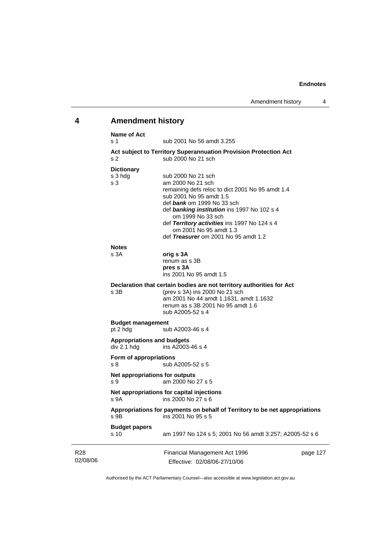# **4 Amendment history Name of Act**

|                 | Nalile VI ACL<br>s 1                             | sub 2001 No 56 amdt 3.255                                                                                                                                                                                                                                                                                                                  |          |
|-----------------|--------------------------------------------------|--------------------------------------------------------------------------------------------------------------------------------------------------------------------------------------------------------------------------------------------------------------------------------------------------------------------------------------------|----------|
|                 | s <sub>2</sub>                                   | Act subject to Territory Superannuation Provision Protection Act<br>sub 2000 No 21 sch                                                                                                                                                                                                                                                     |          |
|                 | <b>Dictionary</b><br>s 3 hdg<br>s <sub>3</sub>   | sub 2000 No 21 sch<br>am 2000 No 21 sch<br>remaining defs reloc to dict 2001 No 95 amdt 1.4<br>sub 2001 No 95 amdt 1.5<br>def bank om 1999 No 33 sch<br>def banking institution ins 1997 No 102 s 4<br>om 1999 No 33 sch<br>def Territory activities ins 1997 No 124 s 4<br>om 2001 No 95 amdt 1.3<br>def Treasurer om 2001 No 95 amdt 1.2 |          |
|                 | <b>Notes</b><br>s <sub>3A</sub>                  | orig s 3A<br>renum as s 3B<br>pres s 3A<br>ins 2001 No 95 amdt 1.5                                                                                                                                                                                                                                                                         |          |
|                 | s 3B                                             | Declaration that certain bodies are not territory authorities for Act<br>(prev s 3A) ins 2000 No 21 sch<br>am 2001 No 44 amdt 1.1631, amdt 1.1632<br>renum as s 3B 2001 No 95 amdt 1.6<br>sub A2005-52 s 4                                                                                                                                 |          |
|                 | <b>Budget management</b><br>pt 2 hdg             | sub A2003-46 s 4                                                                                                                                                                                                                                                                                                                           |          |
|                 | <b>Appropriations and budgets</b><br>div 2.1 hdg | ins A2003-46 s 4                                                                                                                                                                                                                                                                                                                           |          |
|                 | Form of appropriations<br>s <sub>8</sub>         | sub A2005-52 s 5                                                                                                                                                                                                                                                                                                                           |          |
|                 | Net appropriations for outputs<br>s 9            | am 2000 No 27 s 5                                                                                                                                                                                                                                                                                                                          |          |
|                 | s 9A                                             | Net appropriations for capital injections<br>ins 2000 No 27 s 6                                                                                                                                                                                                                                                                            |          |
|                 | $S$ 9B                                           | Appropriations for payments on behalf of Territory to be net appropriations<br>ins 2001 No 95 s 5                                                                                                                                                                                                                                          |          |
|                 | <b>Budget papers</b><br>s <sub>10</sub>          | am 1997 No 124 s 5; 2001 No 56 amdt 3.257; A2005-52 s 6                                                                                                                                                                                                                                                                                    |          |
| R28<br>02/08/06 |                                                  | Financial Management Act 1996<br>Fffective: 02/08/06-27/10/06                                                                                                                                                                                                                                                                              | page 127 |

Effective: 02/08/06-27/10/06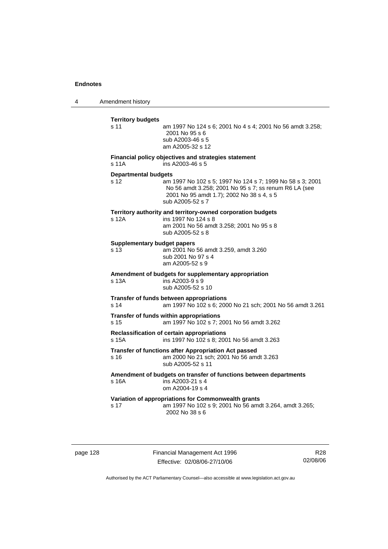4 Amendment history

| <b>Territory budgets</b>           |                                                                                                                                                                                     |
|------------------------------------|-------------------------------------------------------------------------------------------------------------------------------------------------------------------------------------|
| s 11                               | am 1997 No 124 s 6; 2001 No 4 s 4; 2001 No 56 amdt 3.258;<br>2001 No 95 s 6<br>sub A2003-46 s 5<br>am A2005-32 s 12                                                                 |
| s 11A                              | Financial policy objectives and strategies statement<br>ins A2003-46 s 5                                                                                                            |
| <b>Departmental budgets</b>        |                                                                                                                                                                                     |
| s 12                               | am 1997 No 102 s 5; 1997 No 124 s 7; 1999 No 58 s 3; 2001<br>No 56 amdt 3.258; 2001 No 95 s 7; ss renum R6 LA (see<br>2001 No 95 amdt 1.7); 2002 No 38 s 4, s 5<br>sub A2005-52 s 7 |
|                                    | Territory authority and territory-owned corporation budgets                                                                                                                         |
| s 12A                              | ins 1997 No 124 s 8<br>am 2001 No 56 amdt 3.258; 2001 No 95 s 8<br>sub A2005-52 s 8                                                                                                 |
| <b>Supplementary budget papers</b> |                                                                                                                                                                                     |
| s 13                               | am 2001 No 56 amdt 3.259, amdt 3.260<br>sub 2001 No 97 s 4<br>am A2005-52 s 9                                                                                                       |
| s 13A                              | Amendment of budgets for supplementary appropriation<br>ins $A2003-9 s 9$<br>sub A2005-52 s 10                                                                                      |
| s <sub>14</sub>                    | Transfer of funds between appropriations<br>am 1997 No 102 s 6; 2000 No 21 sch; 2001 No 56 amdt 3.261                                                                               |
| s <sub>15</sub>                    | Transfer of funds within appropriations<br>am 1997 No 102 s 7; 2001 No 56 amdt 3.262                                                                                                |
| s 15A                              | Reclassification of certain appropriations<br>ins 1997 No 102 s 8; 2001 No 56 amdt 3.263                                                                                            |
| s 16                               | Transfer of functions after Appropriation Act passed<br>am 2000 No 21 sch; 2001 No 56 amdt 3.263<br>sub A2005-52 s 11                                                               |
| s 16A                              | Amendment of budgets on transfer of functions between departments<br>ins A2003-21 s 4<br>om A2004-19 s 4                                                                            |
|                                    | Variation of appropriations for Commonwealth grants                                                                                                                                 |
| s 17                               | am 1997 No 102 s 9; 2001 No 56 amdt 3.264, amdt 3.265;<br>2002 No 38 s 6                                                                                                            |

page 128 Financial Management Act 1996 Effective: 02/08/06-27/10/06

R28 02/08/06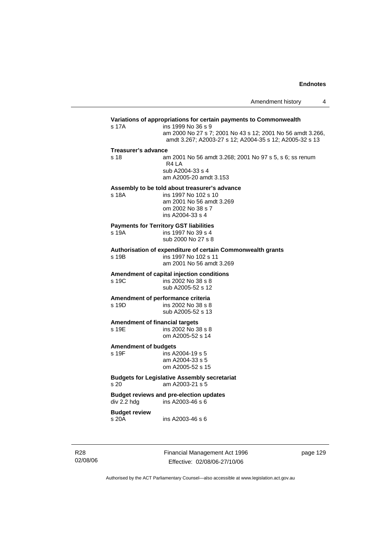### **Variations of appropriations for certain payments to Commonwealth** s 17A ins 1999 No 36 s 9 am 2000 No 27 s 7; 2001 No 43 s 12; 2001 No 56 amdt 3.266, amdt 3.267; A2003-27 s 12; A2004-35 s 12; A2005-32 s 13 **Treasurer's advance**  s 18 am 2001 No 56 amdt 3.268; 2001 No 97 s 5, s 6; ss renum R4 LA sub A2004-33 s 4 am A2005-20 amdt 3.153 **Assembly to be told about treasurer's advance** s 18A ins 1997 No 102 s 10 am 2001 No 56 amdt 3.269 om 2002 No 38 s 7 ins A2004-33 s 4 **Payments for Territory GST liabilities** ins 1997 No 39 s 4 sub 2000 No 27 s 8 **Authorisation of expenditure of certain Commonwealth grants**  s 19B ins 1997 No 102 s 11 am 2001 No 56 amdt 3.269 **Amendment of capital injection conditions**  ins 2002 No 38 s 8 sub A2005-52 s 12 **Amendment of performance criteria**<br>s 19D ins 2002 No 38 s 8 ins 2002 No 38 s 8 sub A2005-52 s 13 **Amendment of financial targets**  s 19E ins 2002 No 38 s 8 om A2005-52 s 14 **Amendment of budgets**   $ins$  A2004-19 s 5 am A2004-33 s 5 om A2005-52 s 15 **Budgets for Legislative Assembly secretariat**  s 20 am A2003-21 s 5 **Budget reviews and pre-election updates**   $div 2.2$  hdg  $ins A2003-46 s 6$ **Budget review**  s 20A ins A2003-46 s 6

R28 02/08/06 Financial Management Act 1996 Effective: 02/08/06-27/10/06

page 129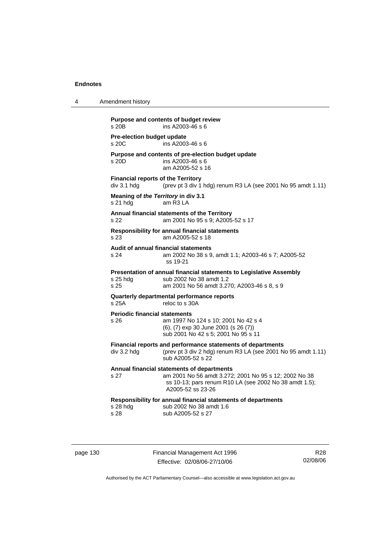| 4 | Amendment history                                                                                                                                                                          |  |  |
|---|--------------------------------------------------------------------------------------------------------------------------------------------------------------------------------------------|--|--|
|   | Purpose and contents of budget review<br>ins A2003-46 s 6<br>s 20B                                                                                                                         |  |  |
|   | Pre-election budget update<br>s 20C<br>ins A2003-46 s 6                                                                                                                                    |  |  |
|   | Purpose and contents of pre-election budget update<br>ins A2003-46 s 6<br>s 20D<br>am A2005-52 s 16                                                                                        |  |  |
|   | <b>Financial reports of the Territory</b><br>div 3.1 hdg<br>(prev pt 3 div 1 hdg) renum R3 LA (see 2001 No 95 amdt 1.11)                                                                   |  |  |
|   | Meaning of the Territory in div 3.1<br>am R3 LA<br>$s21$ hdg                                                                                                                               |  |  |
|   | Annual financial statements of the Territory<br>am 2001 No 95 s 9; A2005-52 s 17<br>s 22                                                                                                   |  |  |
|   | <b>Responsibility for annual financial statements</b><br>s 23<br>am A2005-52 s 18                                                                                                          |  |  |
|   | Audit of annual financial statements<br>s 24<br>am 2002 No 38 s 9, amdt 1.1; A2003-46 s 7; A2005-52<br>ss 19-21                                                                            |  |  |
|   | Presentation of annual financial statements to Legislative Assembly<br>sub 2002 No 38 amdt 1.2<br>$s$ 25 hdg<br>s 25<br>am 2001 No 56 amdt 3.270; A2003-46 s 8, s 9                        |  |  |
|   | Quarterly departmental performance reports<br>s 25A<br>reloc to s 30A                                                                                                                      |  |  |
|   | <b>Periodic financial statements</b><br>am 1997 No 124 s 10; 2001 No 42 s 4<br>s 26<br>(6), (7) exp 30 June 2001 (s 26 (7))<br>sub 2001 No 42 s 5; 2001 No 95 s 11                         |  |  |
|   | Financial reports and performance statements of departments<br>(prev pt 3 div 2 hdg) renum R3 LA (see 2001 No 95 amdt 1.11)<br>div 3.2 hdg<br>sub A2005-52 s 22                            |  |  |
|   | Annual financial statements of departments<br>s 27<br>am 2001 No 56 amdt 3.272; 2001 No 95 s 12; 2002 No 38<br>ss 10-13; pars renum R10 LA (see 2002 No 38 amdt 1.5);<br>A2005-52 ss 23-26 |  |  |
|   | Responsibility for annual financial statements of departments<br>s 28 hdg<br>sub 2002 No 38 amdt 1.6<br>s 28<br>sub A2005-52 s 27                                                          |  |  |
|   |                                                                                                                                                                                            |  |  |

page 130 Financial Management Act 1996 Effective: 02/08/06-27/10/06

R28 02/08/06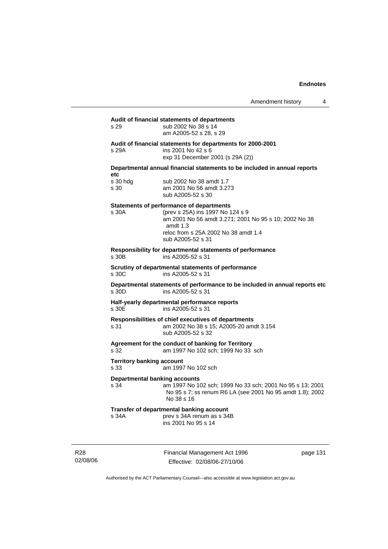| s 29                                         | Audit of financial statements of departments<br>sub 2002 No 38 s 14<br>am A2005-52 s 28, s 29                                                                                                                           |
|----------------------------------------------|-------------------------------------------------------------------------------------------------------------------------------------------------------------------------------------------------------------------------|
| s 29A                                        | Audit of financial statements for departments for 2000-2001<br>ins 2001 No 42 s 6<br>exp 31 December 2001 (s 29A (2))                                                                                                   |
| etc                                          | Departmental annual financial statements to be included in annual reports                                                                                                                                               |
| s 30 hdg<br>s 30                             | sub 2002 No 38 amdt 1.7<br>am 2001 No 56 amdt 3.273<br>sub A2005-52 s 30                                                                                                                                                |
| s 30A                                        | <b>Statements of performance of departments</b><br>(prev s 25A) ins 1997 No 124 s 9<br>am 2001 No 56 amdt 3.271; 2001 No 95 s 10; 2002 No 38<br>amdt $1.3$<br>reloc from s 25A 2002 No 38 amdt 1.4<br>sub A2005-52 s 31 |
| s 30B                                        | Responsibility for departmental statements of performance<br>ins A2005-52 s 31                                                                                                                                          |
| s 30C                                        | Scrutiny of departmental statements of performance<br>ins A2005-52 s 31                                                                                                                                                 |
| s 30D                                        | Departmental statements of performance to be included in annual reports etc<br>ins A2005-52 s 31                                                                                                                        |
| s 30E                                        | Half-yearly departmental performance reports<br>ins A2005-52 s 31                                                                                                                                                       |
| s 31                                         | Responsibilities of chief executives of departments<br>am 2002 No 38 s 15; A2005-20 amdt 3.154<br>sub A2005-52 s 32                                                                                                     |
| s 32                                         | Agreement for the conduct of banking for Territory<br>am 1997 No 102 sch; 1999 No 33 sch                                                                                                                                |
| <b>Territory banking account</b><br>s 33     | am 1997 No 102 sch                                                                                                                                                                                                      |
| <b>Departmental banking accounts</b><br>s 34 | am 1997 No 102 sch; 1999 No 33 sch; 2001 No 95 s 13; 2001<br>No 95 s 7; ss renum R6 LA (see 2001 No 95 amdt 1.8); 2002<br>No 38 s 16                                                                                    |
| s 34A                                        | Transfer of departmental banking account<br>prev s 34A renum as s 34B<br>ins 2001 No 95 s 14                                                                                                                            |

R28 02/08/06 Financial Management Act 1996 Effective: 02/08/06-27/10/06

page 131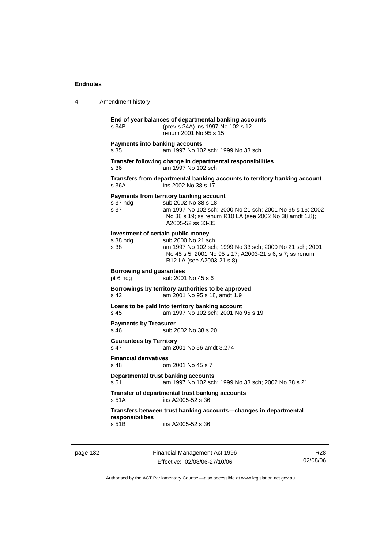| Transfers from departmental banking accounts to territory banking account                                           |  |  |
|---------------------------------------------------------------------------------------------------------------------|--|--|
| am 1997 No 102 sch; 2000 No 21 sch; 2001 No 95 s 16; 2002<br>No 38 s 19; ss renum R10 LA (see 2002 No 38 amdt 1.8); |  |  |
| am 1997 No 102 sch; 1999 No 33 sch; 2000 No 21 sch; 2001<br>No 45 s 5; 2001 No 95 s 17; A2003-21 s 6, s 7; ss renum |  |  |
| <b>Borrowing and guarantees</b><br>sub 2001 No 45 s 6<br>pt 6 hdg                                                   |  |  |
|                                                                                                                     |  |  |
|                                                                                                                     |  |  |
|                                                                                                                     |  |  |
|                                                                                                                     |  |  |
|                                                                                                                     |  |  |
|                                                                                                                     |  |  |
|                                                                                                                     |  |  |
|                                                                                                                     |  |  |
|                                                                                                                     |  |  |

page 132 Financial Management Act 1996 Effective: 02/08/06-27/10/06

R28 02/08/06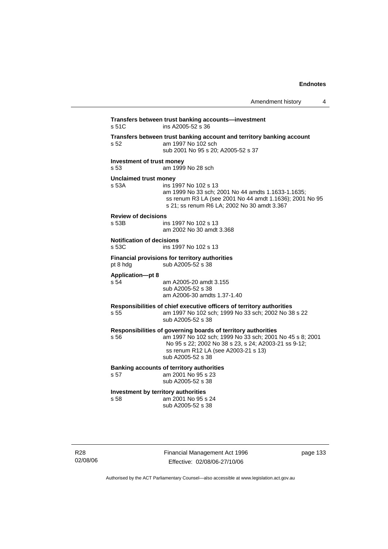| Amendment history |  |
|-------------------|--|
|-------------------|--|

| Transfers between trust banking account and territory banking account<br>am 1997 No 102 sch<br>sub 2001 No 95 s 20; A2005-52 s 37<br>Investment of trust money<br>am 1999 No 28 sch<br><b>Unclaimed trust money</b><br>ins 1997 No 102 s 13<br>am 1999 No 33 sch; 2001 No 44 amdts 1.1633-1.1635;<br>s 21; ss renum R6 LA; 2002 No 30 amdt 3.367<br><b>Review of decisions</b><br>ins 1997 No 102 s 13<br>am 2002 No 30 amdt 3.368<br><b>Notification of decisions</b><br>ins 1997 No 102 s 13 |
|------------------------------------------------------------------------------------------------------------------------------------------------------------------------------------------------------------------------------------------------------------------------------------------------------------------------------------------------------------------------------------------------------------------------------------------------------------------------------------------------|
| ss renum R3 LA (see 2001 No 44 amdt 1.1636); 2001 No 95                                                                                                                                                                                                                                                                                                                                                                                                                                        |
|                                                                                                                                                                                                                                                                                                                                                                                                                                                                                                |
|                                                                                                                                                                                                                                                                                                                                                                                                                                                                                                |
|                                                                                                                                                                                                                                                                                                                                                                                                                                                                                                |
|                                                                                                                                                                                                                                                                                                                                                                                                                                                                                                |
| Financial provisions for territory authorities<br>sub A2005-52 s 38                                                                                                                                                                                                                                                                                                                                                                                                                            |
| am A2005-20 amdt 3.155<br>sub A2005-52 s 38<br>am A2006-30 amdts 1.37-1.40                                                                                                                                                                                                                                                                                                                                                                                                                     |
| Responsibilities of chief executive officers of territory authorities<br>am 1997 No 102 sch; 1999 No 33 sch; 2002 No 38 s 22<br>sub A2005-52 s 38                                                                                                                                                                                                                                                                                                                                              |
| Responsibilities of governing boards of territory authorities<br>am 1997 No 102 sch; 1999 No 33 sch; 2001 No 45 s 8; 2001<br>No 95 s 22; 2002 No 38 s 23, s 24; A2003-21 ss 9-12;<br>ss renum R12 LA (see A2003-21 s 13)<br>sub A2005-52 s 38                                                                                                                                                                                                                                                  |
| <b>Banking accounts of territory authorities</b><br>am 2001 No 95 s 23<br>sub A2005-52 s 38                                                                                                                                                                                                                                                                                                                                                                                                    |
| Investment by territory authorities<br>am 2001 No 95 s 24<br>sub A2005-52 s 38                                                                                                                                                                                                                                                                                                                                                                                                                 |
|                                                                                                                                                                                                                                                                                                                                                                                                                                                                                                |

R28 02/08/06 Financial Management Act 1996 Effective: 02/08/06-27/10/06

page 133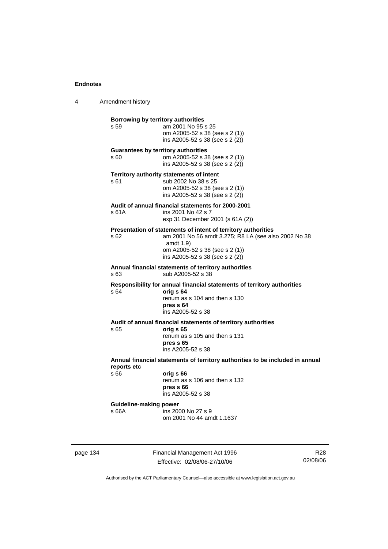4 Amendment history

| Borrowing by territory authorities<br>s 59                                                   | am 2001 No 95 s 25<br>om A2005-52 s 38 (see s 2 (1))<br>ins A2005-52 s 38 (see s 2 (2))                                                                                                                  |  |
|----------------------------------------------------------------------------------------------|----------------------------------------------------------------------------------------------------------------------------------------------------------------------------------------------------------|--|
| <b>Guarantees by territory authorities</b><br>s 60                                           | om A2005-52 s 38 (see s 2 (1))<br>ins A2005-52 s 38 (see s 2 (2))                                                                                                                                        |  |
| s 61                                                                                         | Territory authority statements of intent<br>sub 2002 No 38 s 25<br>om A2005-52 s 38 (see s 2 (1))<br>ins A2005-52 s 38 (see s 2 (2))                                                                     |  |
| s 61A                                                                                        | Audit of annual financial statements for 2000-2001<br>ins 2001 No 42 s 7<br>exp 31 December 2001 (s 61A (2))                                                                                             |  |
| s 62                                                                                         | Presentation of statements of intent of territory authorities<br>am 2001 No 56 amdt 3.275; R8 LA (see also 2002 No 38<br>amdt $1.9$<br>om A2005-52 s 38 (see s 2 (1))<br>ins A2005-52 s 38 (see s 2 (2)) |  |
| s 63                                                                                         | Annual financial statements of territory authorities<br>sub A2005-52 s 38                                                                                                                                |  |
| s 64                                                                                         | Responsibility for annual financial statements of territory authorities<br>orig s 64<br>renum as s 104 and then s 130<br>pres s 64<br>ins A2005-52 s 38                                                  |  |
| s 65                                                                                         | Audit of annual financial statements of territory authorities<br>orig s 65<br>renum as s 105 and then s 131<br>pres s 65<br>ins A2005-52 s 38                                                            |  |
| Annual financial statements of territory authorities to be included in annual<br>reports etc |                                                                                                                                                                                                          |  |
| s 66                                                                                         | orig s 66<br>renum as s 106 and then s 132<br>pres <sub>66</sub><br>ins A2005-52 s 38                                                                                                                    |  |
| <b>Guideline-making power</b>                                                                |                                                                                                                                                                                                          |  |
| s 66A                                                                                        | ins 2000 No 27 s 9<br>om 2001 No 44 amdt 1.1637                                                                                                                                                          |  |

page 134 Financial Management Act 1996 Effective: 02/08/06-27/10/06

R28 02/08/06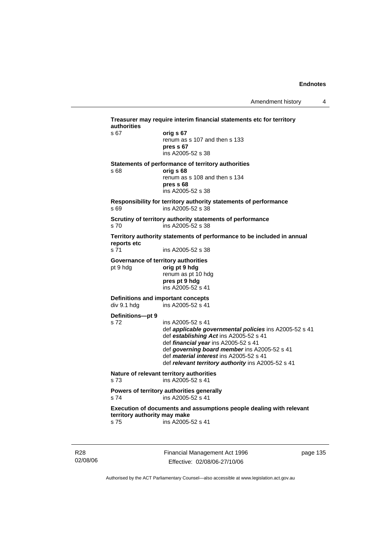| authorities<br>s 67          | orig s 67                                                                      |
|------------------------------|--------------------------------------------------------------------------------|
|                              | renum as s 107 and then s 133                                                  |
|                              | pres s 67                                                                      |
|                              | ins A2005-52 s 38                                                              |
|                              | Statements of performance of territory authorities                             |
| s 68                         | orig s 68<br>renum as s 108 and then s 134                                     |
|                              | pres s 68                                                                      |
|                              | ins A2005-52 s 38                                                              |
|                              | Responsibility for territory authority statements of performance               |
| s 69                         | ins A2005-52 s 38                                                              |
|                              | Scrutiny of territory authority statements of performance                      |
| s <sub>70</sub>              | ins A2005-52 s 38                                                              |
| reports etc                  | Territory authority statements of performance to be included in annual         |
| s 71                         | ins A2005-52 s 38                                                              |
|                              | Governance of territory authorities                                            |
| pt 9 hdg                     | orig pt 9 hdg                                                                  |
|                              | renum as pt 10 hdg<br>pres pt 9 hdg                                            |
|                              | ins A2005-52 s 41                                                              |
|                              | Definitions and important concepts                                             |
| div 9.1 hdg                  | ins A2005-52 s 41                                                              |
| Definitions-pt 9             |                                                                                |
| s 72                         | ins A2005-52 s 41                                                              |
|                              | def applicable governmental policies ins A2005-52 s 41                         |
|                              | def establishing Act ins A2005-52 s 41<br>def financial year ins A2005-52 s 41 |
|                              | def governing board member ins A2005-52 s 41                                   |
|                              | def <i>material interest</i> ins A2005-52 s 41                                 |
|                              | def relevant territory authority ins A2005-52 s 41                             |
| s <sub>73</sub>              | Nature of relevant territory authorities<br>ins A2005-52 s 41                  |
|                              | Powers of territory authorities generally                                      |
| s 74                         | ins A2005-52 s 41                                                              |
| territory authority may make | Execution of documents and assumptions people dealing with relevant            |
| s 75                         | ins A2005-52 s 41                                                              |

R28 02/08/06 Financial Management Act 1996 Effective: 02/08/06-27/10/06

page 135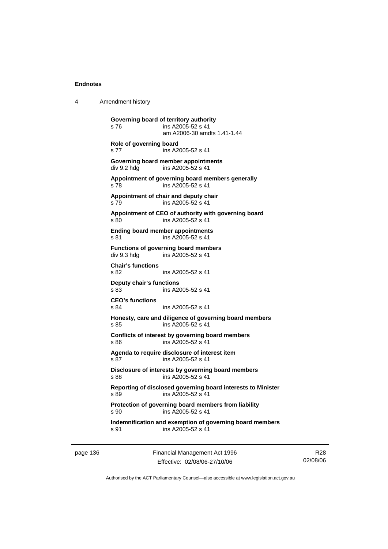4 Amendment history

**Governing board of territory authority**  s 76 ins A2005-52 s 41 am A2006-30 amdts 1.41-1.44 **Role of governing board**  s 77 ins A2005-52 s 41 **Governing board member appointments**  div 9.2 hdg ins A2005-52 s 41 **Appointment of governing board members generally**  s 78 ins A2005-52 s 41 **Appointment of chair and deputy chair**  s 79 ins A2005-52 s 41 **Appointment of CEO of authority with governing board**  s 80 ins A2005-52 s 41 **Ending board member appointments**  s 81 ins A2005-52 s 41 **Functions of governing board members**  div 9.3 hdg ins A2005-52 s 41 **Chair's functions**  s 82 ins A2005-52 s 41 **Deputy chair's functions**  ins A2005-52 s 41 **CEO's functions**  s 84 ins A2005-52 s 41 **Honesty, care and diligence of governing board members**  s 85 ins A2005-52 s 41 **Conflicts of interest by governing board members**  s 86 ins A2005-52 s 41 **Agenda to require disclosure of interest item**  s 87 ins A2005-52 s 41 **Disclosure of interests by governing board members**  s 88 ins A2005-52 s 41 **Reporting of disclosed governing board interests to Minister**  s 89 ins A2005-52 s 41 **Protection of governing board members from liability**  s 90 ins A2005-52 s 41 **Indemnification and exemption of governing board members**  s 91 ins A2005-52 s 41

page 136 Financial Management Act 1996 Effective: 02/08/06-27/10/06

R28 02/08/06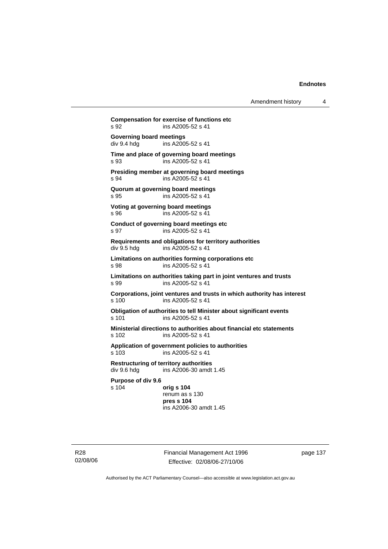Amendment history 4

**Compensation for exercise of functions etc**  s 92 ins A2005-52 s 41 **Governing board meetings**<br>div 9.4 hdg ins A200 ins A2005-52 s 41 **Time and place of governing board meetings**  s 93 ins A2005-52 s 41 **Presiding member at governing board meetings**  s 94 ins A2005-52 s 41 **Quorum at governing board meetings**  s 95 ins A2005-52 s 41 **Voting at governing board meetings**  s 96 ins A2005-52 s 41 **Conduct of governing board meetings etc**  s 97 ins A2005-52 s 41 **Requirements and obligations for territory authorities**  div 9.5 hdg ins A2005-52 s 41 **Limitations on authorities forming corporations etc**  s 98 ins A2005-52 s 41 **Limitations on authorities taking part in joint ventures and trusts**  s 99 ins A2005-52 s 41 **Corporations, joint ventures and trusts in which authority has interest**  s 100 ins A2005-52 s 41 **Obligation of authorities to tell Minister about significant events**  s 101 ins A2005-52 s 41 **Ministerial directions to authorities about financial etc statements**  s 102 ins A2005-52 s 41 **Application of government policies to authorities**  s 103 ins A2005-52 s 41 **Restructuring of territory authorities**  ins  $A2006-30$  amdt 1.45 **Purpose of div 9.6**  s 104 **orig s 104** renum as s 130 **pres s 104**  ins A2006-30 amdt 1.45

R28 02/08/06 Financial Management Act 1996 Effective: 02/08/06-27/10/06

page 137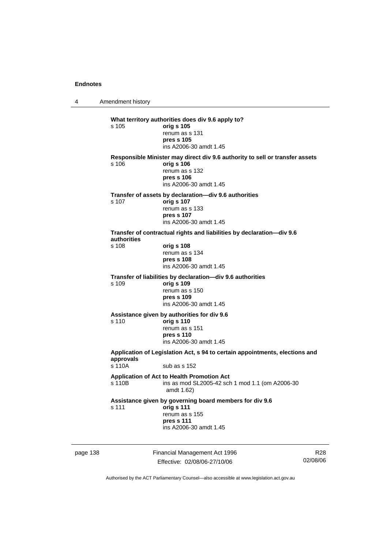4 Amendment history

|          | s 105                | What territory authorities does div 9.6 apply to?<br>orig s 105<br>renum as s 131<br>pres s 105<br>ins A2006-30 amdt 1.45                            |   |
|----------|----------------------|------------------------------------------------------------------------------------------------------------------------------------------------------|---|
|          | s 106                | Responsible Minister may direct div 9.6 authority to sell or transfer assets<br>orig s 106<br>renum as s 132<br>pres s 106<br>ins A2006-30 amdt 1.45 |   |
|          | s 107                | Transfer of assets by declaration—div 9.6 authorities<br>orig s 107<br>renum as s 133<br>pres s 107<br>ins A2006-30 amdt 1.45                        |   |
|          | authorities<br>s 108 | Transfer of contractual rights and liabilities by declaration-div 9.6<br>orig s 108<br>renum as s 134<br>pres s 108<br>ins A2006-30 amdt 1.45        |   |
|          | s 109                | Transfer of liabilities by declaration-div 9.6 authorities<br>orig s 109<br>renum as s 150<br>pres s 109<br>ins A2006-30 amdt 1.45                   |   |
|          | s 110                | Assistance given by authorities for div 9.6<br>orig s 110<br>renum as s 151<br>pres s 110<br>ins A2006-30 amdt 1.45                                  |   |
|          | approvals<br>s 110A  | Application of Legislation Act, s 94 to certain appointments, elections and<br>sub as $s$ 152                                                        |   |
|          | s 110B               | Application of Act to Health Promotion Act<br>ins as mod SL2005-42 sch 1 mod 1.1 (om A2006-30<br>amdt 1.62)                                          |   |
|          | s 111                | Assistance given by governing board members for div 9.6<br>orig s 111<br>renum as s 155<br>pres s 111<br>ins A2006-30 amdt 1.45                      |   |
| page 138 |                      | Financial Management Act 1996                                                                                                                        | R |

Effective: 02/08/06-27/10/06

R28 02/08/06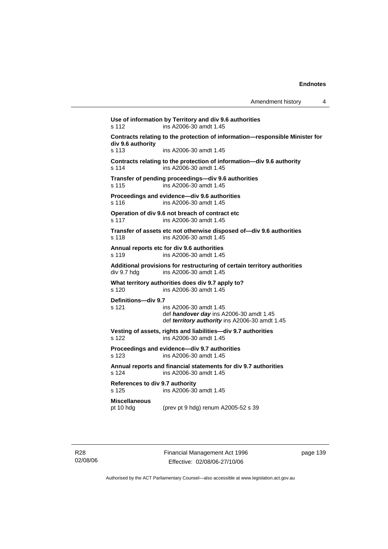| Amendment history |  |
|-------------------|--|
|-------------------|--|

**Use of information by Territory and div 9.6 authorities**  s 112 ins A2006-30 amdt 1.45 **Contracts relating to the protection of information—responsible Minister for div 9.6 authority**  s 113 ins A2006-30 amdt 1.45 **Contracts relating to the protection of information—div 9.6 authority**  s 114 ins A2006-30 amdt 1.45 **Transfer of pending proceedings—div 9.6 authorities**  s 115 ins A2006-30 amdt 1.45 **Proceedings and evidence—div 9.6 authorities**  s 116 ins A2006-30 amdt 1.45 **Operation of div 9.6 not breach of contract etc**  s 117 ins A2006-30 amdt 1.45 **Transfer of assets etc not otherwise disposed of—div 9.6 authorities**  s 118 ins A2006-30 amdt 1.45 **Annual reports etc for div 9.6 authorities**  s 119 ins A2006-30 amdt 1.45 **Additional provisions for restructuring of certain territory authorities**  div 9.7 hdg ins A2006-30 amdt 1.45 **What territory authorities does div 9.7 apply to?**  s 120 ins A2006-30 amdt 1.45 **Definitions—div 9.7**  s 121 ins A2006-30 amdt 1.45 def *handover day* ins A2006-30 amdt 1.45 def *territory authority* ins A2006-30 amdt 1.45 **Vesting of assets, rights and liabilities—div 9.7 authorities**  s 122 ins A2006-30 amdt 1.45 **Proceedings and evidence—div 9.7 authorities**  s 123 ins A2006-30 amdt 1.45 **Annual reports and financial statements for div 9.7 authorities**  s 124 ins A2006-30 amdt 1.45 **References to div 9.7 authority**  ins A2006-30 amdt 1.45 **Miscellaneous**  pt 10 hdg (prev pt 9 hdg) renum A2005-52 s 39

Financial Management Act 1996 Effective: 02/08/06-27/10/06

page 139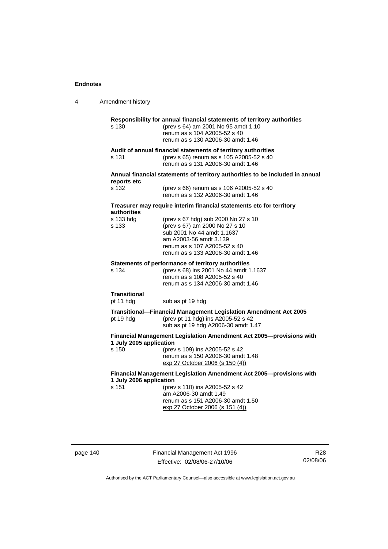4 Amendment history

| $s$ 130                                                                                           | Responsibility for annual financial statements of territory authorities<br>(prev s 64) am 2001 No 95 amdt 1.10<br>renum as s 104 A2005-52 s 40<br>renum as s 130 A2006-30 amdt 1.46                |  |
|---------------------------------------------------------------------------------------------------|----------------------------------------------------------------------------------------------------------------------------------------------------------------------------------------------------|--|
| s 131                                                                                             | Audit of annual financial statements of territory authorities<br>(prev s 65) renum as s 105 A2005-52 s 40<br>renum as s 131 A2006-30 amdt 1.46                                                     |  |
| reports etc                                                                                       | Annual financial statements of territory authorities to be included in annual                                                                                                                      |  |
| s 132                                                                                             | (prev s 66) renum as s 106 A2005-52 s 40<br>renum as s 132 A2006-30 amdt 1.46                                                                                                                      |  |
| authorities                                                                                       | Treasurer may require interim financial statements etc for territory                                                                                                                               |  |
| s 133 hdg<br>s 133                                                                                | (prev s 67 hdg) sub 2000 No 27 s 10<br>(prev s 67) am 2000 No 27 s 10<br>sub 2001 No 44 amdt 1.1637<br>am A2003-56 amdt 3.139<br>renum as s 107 A2005-52 s 40<br>renum as s 133 A2006-30 amdt 1.46 |  |
| s 134                                                                                             | Statements of performance of territory authorities<br>(prev s 68) ins 2001 No 44 amdt 1.1637<br>renum as s 108 A2005-52 s 40<br>renum as s 134 A2006-30 amdt 1.46                                  |  |
| <b>Transitional</b><br>pt 11 hdg                                                                  | sub as pt 19 hdg                                                                                                                                                                                   |  |
| pt 19 hdg                                                                                         | Transitional-Financial Management Legislation Amendment Act 2005<br>(prev pt 11 hdg) ins A2005-52 s 42<br>sub as pt 19 hdg A2006-30 amdt 1.47                                                      |  |
| Financial Management Legislation Amendment Act 2005--- provisions with<br>1 July 2005 application |                                                                                                                                                                                                    |  |
| s 150                                                                                             | (prev s 109) ins A2005-52 s 42<br>renum as s 150 A2006-30 amdt 1.48<br>exp 27 October 2006 (s 150 (4))                                                                                             |  |
| Financial Management Legislation Amendment Act 2005--- provisions with<br>1 July 2006 application |                                                                                                                                                                                                    |  |
| s 151                                                                                             | (prev s 110) ins A2005-52 s 42<br>am A2006-30 amdt 1.49<br>renum as s 151 A2006-30 amdt 1.50<br>exp 27 October 2006 (s 151 (4))                                                                    |  |

page 140 Financial Management Act 1996 Effective: 02/08/06-27/10/06

R28 02/08/06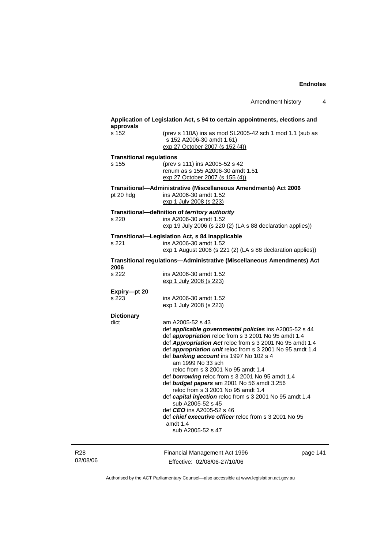| s 152                           | (prev s 110A) ins as mod SL2005-42 sch 1 mod 1.1 (sub as<br>s 152 A2006-30 amdt 1.61)<br>exp 27 October 2007 (s 152 (4))                                                                                                                                                                                                                                                                                                                                                                                                                                                                                                                                                                                     |  |
|---------------------------------|--------------------------------------------------------------------------------------------------------------------------------------------------------------------------------------------------------------------------------------------------------------------------------------------------------------------------------------------------------------------------------------------------------------------------------------------------------------------------------------------------------------------------------------------------------------------------------------------------------------------------------------------------------------------------------------------------------------|--|
| <b>Transitional regulations</b> |                                                                                                                                                                                                                                                                                                                                                                                                                                                                                                                                                                                                                                                                                                              |  |
| s 155                           | (prev s 111) ins A2005-52 s 42<br>renum as s 155 A2006-30 amdt 1.51<br>exp 27 October 2007 (s 155 (4))                                                                                                                                                                                                                                                                                                                                                                                                                                                                                                                                                                                                       |  |
| pt 20 hdg                       | Transitional-Administrative (Miscellaneous Amendments) Act 2006<br>ins A2006-30 amdt 1.52<br>exp 1 July 2008 (s 223)                                                                                                                                                                                                                                                                                                                                                                                                                                                                                                                                                                                         |  |
|                                 | Transitional-definition of territory authority                                                                                                                                                                                                                                                                                                                                                                                                                                                                                                                                                                                                                                                               |  |
| s 220                           | ins A2006-30 amdt 1.52<br>exp 19 July 2006 (s 220 (2) (LA s 88 declaration applies))                                                                                                                                                                                                                                                                                                                                                                                                                                                                                                                                                                                                                         |  |
| s 221                           | Transitional—Legislation Act, s 84 inapplicable<br>ins A2006-30 amdt 1.52<br>exp 1 August 2006 (s 221 (2) (LA s 88 declaration applies))                                                                                                                                                                                                                                                                                                                                                                                                                                                                                                                                                                     |  |
| 2006                            | Transitional regulations—Administrative (Miscellaneous Amendments) Act                                                                                                                                                                                                                                                                                                                                                                                                                                                                                                                                                                                                                                       |  |
| s 222                           | ins A2006-30 amdt 1.52<br>exp 1 July 2008 (s 223)                                                                                                                                                                                                                                                                                                                                                                                                                                                                                                                                                                                                                                                            |  |
| Expiry-pt 20                    |                                                                                                                                                                                                                                                                                                                                                                                                                                                                                                                                                                                                                                                                                                              |  |
| s 223                           | ins A2006-30 amdt 1.52<br><u>exp 1 July 2008 (s 223)</u>                                                                                                                                                                                                                                                                                                                                                                                                                                                                                                                                                                                                                                                     |  |
| <b>Dictionary</b>               |                                                                                                                                                                                                                                                                                                                                                                                                                                                                                                                                                                                                                                                                                                              |  |
| dict                            | am A2005-52 s 43<br>def applicable governmental policies ins A2005-52 s 44<br>def <i>appropriation</i> reloc from s 3 2001 No 95 amdt 1.4<br>def Appropriation Act reloc from s 3 2001 No 95 amdt 1.4<br>def appropriation unit reloc from s 3 2001 No 95 amdt 1.4<br>def banking account ins 1997 No 102 s 4<br>am 1999 No 33 sch<br>reloc from s 3 2001 No 95 amdt 1.4<br>def <b>borrowing</b> reloc from s 3 2001 No 95 amdt 1.4<br>def budget papers am 2001 No 56 amdt 3.256<br>reloc from s 3 2001 No 95 amdt 1.4<br>def capital injection reloc from s 3 2001 No 95 amdt 1.4<br>sub A2005-52 s 45<br>def <b>CEO</b> ins A2005-52 s 46<br>def <i>chief executive officer</i> reloc from s 3 2001 No 95 |  |
|                                 | amdt 1.4<br>sub A2005-52 s 47                                                                                                                                                                                                                                                                                                                                                                                                                                                                                                                                                                                                                                                                                |  |
|                                 |                                                                                                                                                                                                                                                                                                                                                                                                                                                                                                                                                                                                                                                                                                              |  |

R28 02/08/06

Effective: 02/08/06-27/10/06

page 1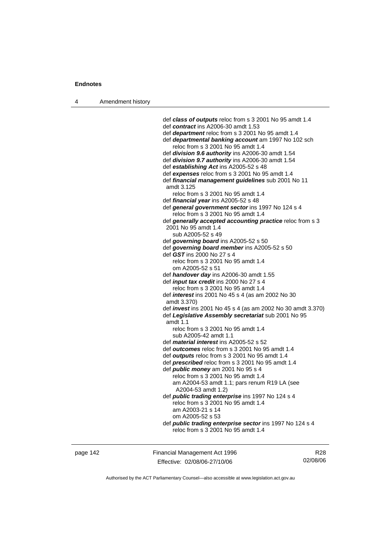4 Amendment history

 def *class of outputs* reloc from s 3 2001 No 95 amdt 1.4 def *contract* ins A2006-30 amdt 1.53 def *department* reloc from s 3 2001 No 95 amdt 1.4 def *departmental banking account* am 1997 No 102 sch reloc from s 3 2001 No 95 amdt 1.4 def *division 9.6 authority* ins A2006-30 amdt 1.54 def *division 9.7 authority* ins A2006-30 amdt 1.54 def *establishing Act* ins A2005-52 s 48 def *expenses* reloc from s 3 2001 No 95 amdt 1.4 def *financial management guidelines* sub 2001 No 11 amdt 3.125 reloc from s 3 2001 No 95 amdt 1.4 def *financial year* ins A2005-52 s 48 def *general government sector* ins 1997 No 124 s 4 reloc from s 3 2001 No 95 amdt 1.4 def *generally accepted accounting practice* reloc from s 3 2001 No 95 amdt 1.4 sub A2005-52 s 49 def *governing board* ins A2005-52 s 50 def *governing board member* ins A2005-52 s 50 def *GST* ins 2000 No 27 s 4 reloc from s 3 2001 No 95 amdt 1.4 om A2005-52 s 51 def *handover day* ins A2006-30 amdt 1.55 def *input tax credit* ins 2000 No 27 s 4 reloc from s 3 2001 No 95 amdt 1.4 def *interest* ins 2001 No 45 s 4 (as am 2002 No 30 amdt 3.370) def *invest* ins 2001 No 45 s 4 (as am 2002 No 30 amdt 3.370) def *Legislative Assembly secretariat* sub 2001 No 95 amdt 1.1 reloc from s 3 2001 No 95 amdt 1.4 sub A2005-42 amdt 1.1 def *material interest* ins A2005-52 s 52 def *outcomes* reloc from s 3 2001 No 95 amdt 1.4 def *outputs* reloc from s 3 2001 No 95 amdt 1.4 def *prescribed* reloc from s 3 2001 No 95 amdt 1.4 def *public money* am 2001 No 95 s 4 reloc from s 3 2001 No 95 amdt 1.4 am A2004-53 amdt 1.1; pars renum R19 LA (see A2004-53 amdt 1.2) def *public trading enterprise* ins 1997 No 124 s 4 reloc from s 3 2001 No 95 amdt 1.4 am A2003-21 s 14 om A2005-52 s 53 def *public trading enterprise sector* ins 1997 No 124 s 4 reloc from s 3 2001 No 95 amdt 1.4

page 142 Financial Management Act 1996 Effective: 02/08/06-27/10/06

R28 02/08/06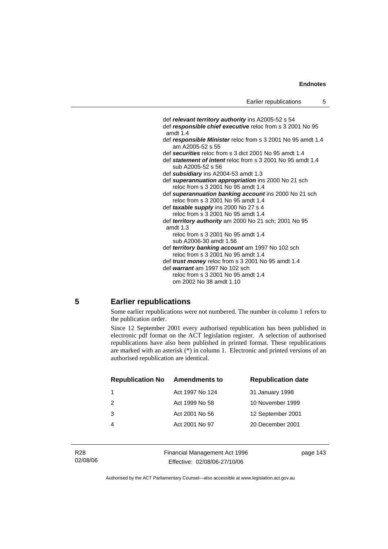def *relevant territory authority* ins A2005-52 s 54 def *responsible chief executive* reloc from s 3 2001 No 95 amdt 1.4 def *responsible Minister* reloc from s 3 2001 No 95 amdt 1.4 am A2005-52 s 55 def *securities* reloc from s 3 dict 2001 No 95 amdt 1.4 def *statement of intent* reloc from s 3 2001 No 95 amdt 1.4 sub A2005-52 s 56 def *subsidiary* ins A2004-53 amdt 1.3 def *superannuation appropriation* ins 2000 No 21 sch reloc from s 3 2001 No 95 amdt 1.4 def *superannuation banking account* ins 2000 No 21 sch reloc from s 3 2001 No 95 amdt 1.4 def *taxable supply* ins 2000 No 27 s 4 reloc from s 3 2001 No 95 amdt 1.4 def *territory authority* am 2000 No 21 sch; 2001 No 95 amdt 1.3 reloc from s 3 2001 No 95 amdt 1.4 sub A2006-30 amdt 1.56 def *territory banking account* am 1997 No 102 sch reloc from s 3 2001 No 95 amdt 1.4 def *trust money* reloc from s 3 2001 No 95 amdt 1.4 def *warrant* am 1997 No 102 sch reloc from s 3 2001 No 95 amdt 1.4 om 2002 No 38 amdt 1.10

## **5 Earlier republications**

Some earlier republications were not numbered. The number in column 1 refers to the publication order.

Since 12 September 2001 every authorised republication has been published in electronic pdf format on the ACT legislation register. A selection of authorised republications have also been published in printed format. These republications are marked with an asterisk (\*) in column 1. Electronic and printed versions of an authorised republication are identical.

| <b>Republication No</b> | <b>Amendments to</b> | <b>Republication date</b> |
|-------------------------|----------------------|---------------------------|
|                         | Act 1997 No 124      | 31 January 1998           |
| $\mathcal{P}$           | Act 1999 No 58       | 10 November 1999          |
| 3                       | Act 2001 No 56       | 12 September 2001         |
|                         | Act 2001 No 97       | 20 December 2001          |
|                         |                      |                           |

Financial Management Act 1996 Effective: 02/08/06-27/10/06

page 143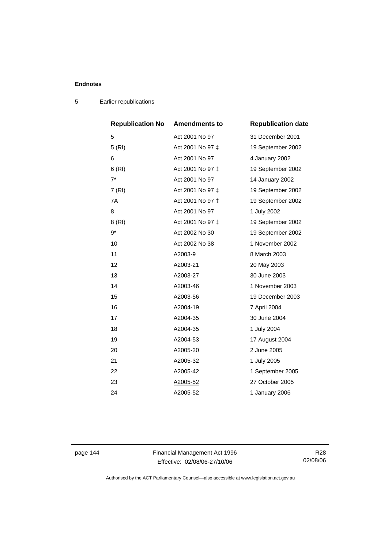| <b>Republication No</b> | <b>Amendments to</b> | <b>Republication date</b> |
|-------------------------|----------------------|---------------------------|
| 5                       | Act 2001 No 97       | 31 December 2001          |
| 5(RI)                   | Act 2001 No 97 ‡     | 19 September 2002         |
| 6                       | Act 2001 No 97       | 4 January 2002            |
| 6(RI)                   | Act 2001 No 97 ‡     | 19 September 2002         |
| $7^*$                   | Act 2001 No 97       | 14 January 2002           |
| 7(RI)                   | Act 2001 No 97 ‡     | 19 September 2002         |
| 7A                      | Act 2001 No 97 ‡     | 19 September 2002         |
| 8                       | Act 2001 No 97       | 1 July 2002               |
| 8 (RI)                  | Act 2001 No 97 ‡     | 19 September 2002         |
| 9*                      | Act 2002 No 30       | 19 September 2002         |
| 10                      | Act 2002 No 38       | 1 November 2002           |
| 11                      | A2003-9              | 8 March 2003              |
| 12                      | A2003-21             | 20 May 2003               |
| 13                      | A2003-27             | 30 June 2003              |
| 14                      | A2003-46             | 1 November 2003           |
| 15                      | A2003-56             | 19 December 2003          |
| 16                      | A2004-19             | 7 April 2004              |
| 17                      | A2004-35             | 30 June 2004              |
| 18                      | A2004-35             | 1 July 2004               |
| 19                      | A2004-53             | 17 August 2004            |
| 20                      | A2005-20             | 2 June 2005               |
| 21                      | A2005-32             | 1 July 2005               |
| 22                      | A2005-42             | 1 September 2005          |
| 23                      | A2005-52             | 27 October 2005           |
| 24                      | A2005-52             | 1 January 2006            |

5 Earlier republications

page 144 Financial Management Act 1996 Effective: 02/08/06-27/10/06

R28 02/08/06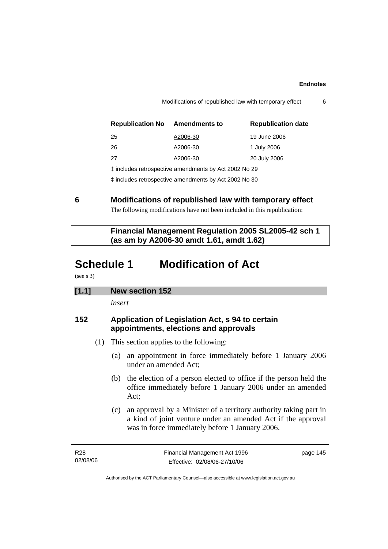| <b>Republication No</b>                               | <b>Amendments to</b> | <b>Republication date</b> |  |  |
|-------------------------------------------------------|----------------------|---------------------------|--|--|
| 25                                                    | A2006-30             | 19 June 2006              |  |  |
| 26                                                    | A2006-30             | 1 July 2006               |  |  |
| 27                                                    | A2006-30             | 20 July 2006              |  |  |
| t includes retrospective amendments by Act 2002 No 29 |                      |                           |  |  |
| t includes retrospective amendments by Act 2002 No 30 |                      |                           |  |  |

Modifications of republished law with temporary effect 6

**6 Modifications of republished law with temporary effect**  The following modifications have not been included in this republication:

 **Financial Management Regulation 2005 SL2005-42 sch 1 (as am by A2006-30 amdt 1.61, amdt 1.62)** 

# **Schedule 1 Modification of Act**

(see s 3)

## **[1.1] New section 152**

*insert* 

## **152 Application of Legislation Act, s 94 to certain appointments, elections and approvals**

- (1) This section applies to the following:
	- (a) an appointment in force immediately before 1 January 2006 under an amended Act;
	- (b) the election of a person elected to office if the person held the office immediately before 1 January 2006 under an amended Act;
	- (c) an approval by a Minister of a territory authority taking part in a kind of joint venture under an amended Act if the approval was in force immediately before 1 January 2006.

R28 02/08/06 page 145